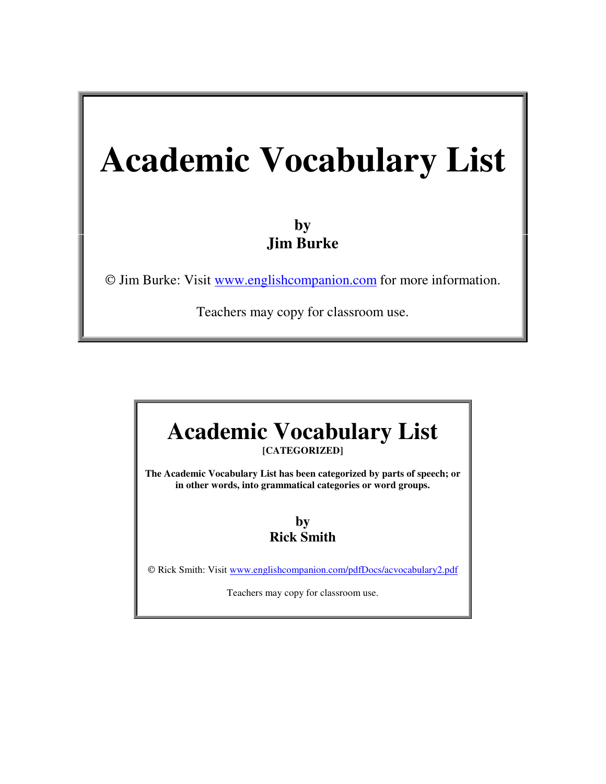# **Academic Vocabulary List**

### **by Jim Burke**

Jim Burke: Visit www.englishcompanion.com for more information.

Teachers may copy for classroom use.

# **Academic Vocabulary List [CATEGORIZED] The Academic Vocabulary List has been categorized by parts of speech; or in other words, into grammatical categories or word groups.**

#### **by Rick Smith**

© Rick Smith: Visit www.englishcompanion.com/pdfDocs/acvocabulary2.pdf

Teachers may copy for classroom use.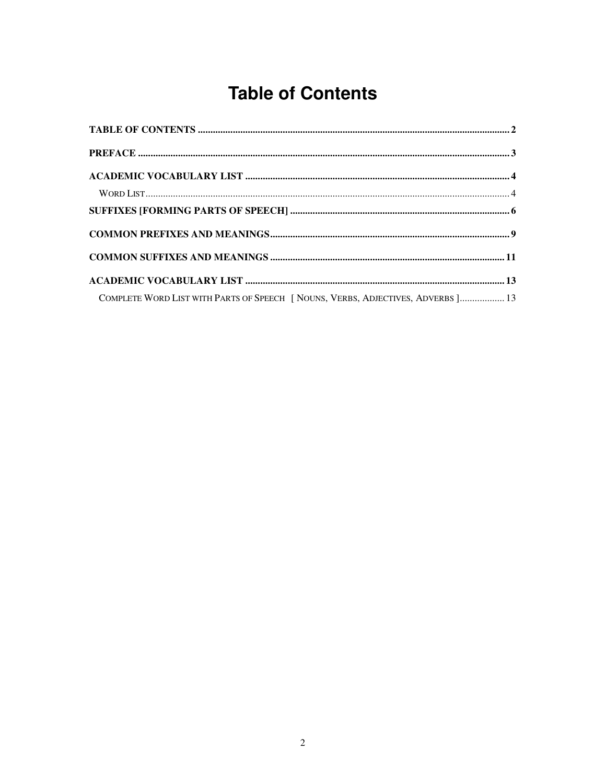## **Table of Contents**

| COMPLETE WORD LIST WITH PARTS OF SPEECH [ NOUNS, VERBS, ADJECTIVES, ADVERBS ] 13 |  |
|----------------------------------------------------------------------------------|--|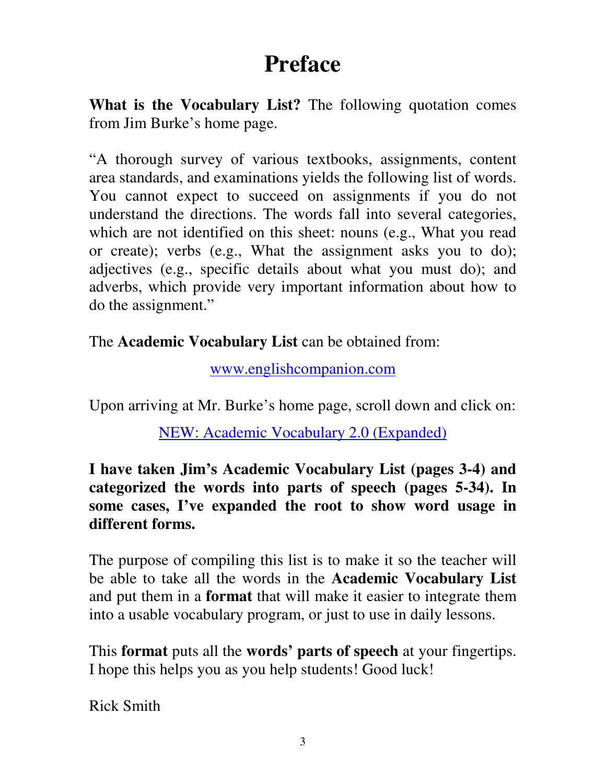# **Preface**

**What is the Vocabulary List?** The following quotation comes from Jim Burke's home page.

"A thorough survey of various textbooks, assignments, content area standards, and examinations yields the following list of words. You cannot expect to succeed on assignments if you do not understand the directions. The words fall into several categories, which are not identified on this sheet: nouns (e.g., What you read or create); verbs (e.g., What the assignment asks you to do); adjectives (e.g., specific details about what you must do); and adverbs, which provide very important information about how to do the assignment."

The **Academic Vocabulary List** can be obtained from:

www.englishcompanion.com

Upon arriving at Mr. Burke's home page, scroll down and click on:

NEW: Academic Vocabulary 2.0 (Expanded)

**I have taken Jim's Academic Vocabulary List (pages 3-4) and categorized the words into parts of speech (pages 5-34). In some cases, I've expanded the root to show word usage in different forms.**

The purpose of compiling this list is to make it so the teacher will be able to take all the words in the **Academic Vocabulary List** and put them in a **format** that will make it easier to integrate them into a usable vocabulary program, or just to use in daily lessons.

This **format** puts all the **words' parts of speech** at your fingertips. I hope this helps you as you help students! Good luck!

Rick Smith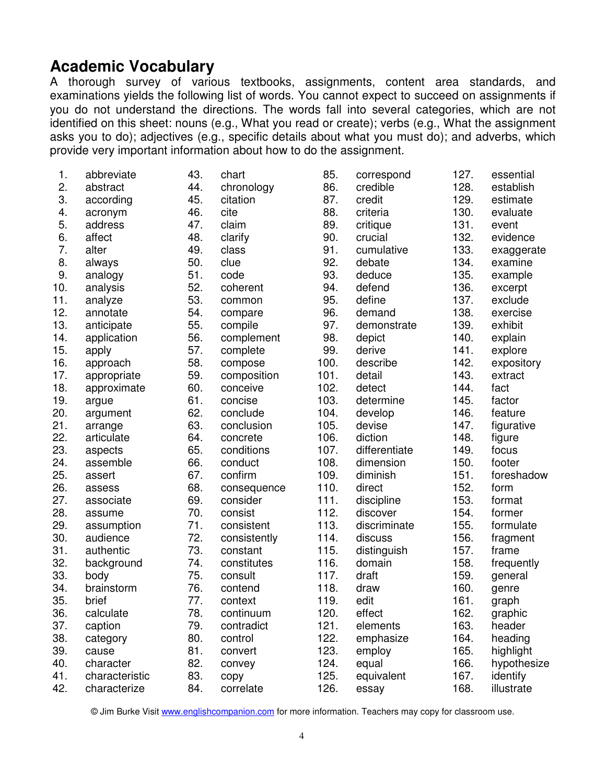#### **Academic Vocabulary**

A thorough survey of various textbooks, assignments, content area standards, and examinations yields the following list of words. You cannot expect to succeed on assignments if you do not understand the directions. The words fall into several categories, which are not identified on this sheet: nouns (e.g., What you read or create); verbs (e.g., What the assignment asks you to do); adjectives (e.g., specific details about what you must do); and adverbs, which provide very important information about how to do the assignment.

| 1.  | abbreviate     | 43. | chart        | 85.  | correspond    | 127. | essential   |
|-----|----------------|-----|--------------|------|---------------|------|-------------|
| 2.  | abstract       | 44. | chronology   | 86.  | credible      | 128. | establish   |
| 3.  | according      | 45. | citation     | 87.  | credit        | 129. | estimate    |
| 4.  | acronym        | 46. | cite         | 88.  | criteria      | 130. | evaluate    |
| 5.  | address        | 47. | claim        | 89.  | critique      | 131. | event       |
| 6.  | affect         | 48. | clarify      | 90.  | crucial       | 132. | evidence    |
| 7.  | alter          | 49. | class        | 91.  | cumulative    | 133. | exaggerate  |
| 8.  | always         | 50. | clue         | 92.  | debate        | 134. | examine     |
| 9.  | analogy        | 51. | code         | 93.  | deduce        | 135. | example     |
| 10. | analysis       | 52. | coherent     | 94.  | defend        | 136. | excerpt     |
| 11. | analyze        | 53. | common       | 95.  | define        | 137. | exclude     |
| 12. | annotate       | 54. | compare      | 96.  | demand        | 138. | exercise    |
| 13. | anticipate     | 55. | compile      | 97.  | demonstrate   | 139. | exhibit     |
| 14. | application    | 56. | complement   | 98.  | depict        | 140. | explain     |
| 15. | apply          | 57. | complete     | 99.  | derive        | 141. | explore     |
| 16. | approach       | 58. | compose      | 100. | describe      | 142. | expository  |
| 17. | appropriate    | 59. | composition  | 101. | detail        | 143. | extract     |
| 18. | approximate    | 60. | conceive     | 102. | detect        | 144. | fact        |
| 19. | argue          | 61. | concise      | 103. | determine     | 145. | factor      |
| 20. | argument       | 62. | conclude     | 104. | develop       | 146. | feature     |
| 21. | arrange        | 63. | conclusion   | 105. | devise        | 147. | figurative  |
| 22. | articulate     | 64. | concrete     | 106. | diction       | 148. | figure      |
| 23. | aspects        | 65. | conditions   | 107. | differentiate | 149. | focus       |
| 24. | assemble       | 66. | conduct      | 108. | dimension     | 150. | footer      |
| 25. | assert         | 67. | confirm      | 109. | diminish      | 151. | foreshadow  |
| 26. | assess         | 68. | consequence  | 110. | direct        | 152. | form        |
| 27. | associate      | 69. | consider     | 111. | discipline    | 153. | format      |
| 28. | assume         | 70. | consist      | 112. | discover      | 154. | former      |
| 29. | assumption     | 71. | consistent   | 113. | discriminate  | 155. | formulate   |
| 30. | audience       | 72. | consistently | 114. | discuss       | 156. | fragment    |
| 31. | authentic      | 73. | constant     | 115. | distinguish   | 157. | frame       |
| 32. | background     | 74. | constitutes  | 116. | domain        | 158. | frequently  |
| 33. | body           | 75. | consult      | 117. | draft         | 159. | general     |
| 34. | brainstorm     | 76. | contend      | 118. | draw          | 160. | genre       |
| 35. | brief          | 77. | context      | 119. | edit          | 161. | graph       |
| 36. | calculate      | 78. | continuum    | 120. | effect        | 162. | graphic     |
| 37. | caption        | 79. | contradict   | 121. | elements      | 163. | header      |
| 38. | category       | 80. | control      | 122. | emphasize     | 164. | heading     |
| 39. | cause          | 81. | convert      | 123. | employ        | 165. | highlight   |
| 40. | character      | 82. | convey       | 124. | equal         | 166. | hypothesize |
| 41. | characteristic | 83. | copy         | 125. | equivalent    | 167. | identify    |
| 42. | characterize   | 84. | correlate    | 126. | essay         | 168. | illustrate  |

© Jim Burke Visit www.englishcompanion.com for more information. Teachers may copy for classroom use.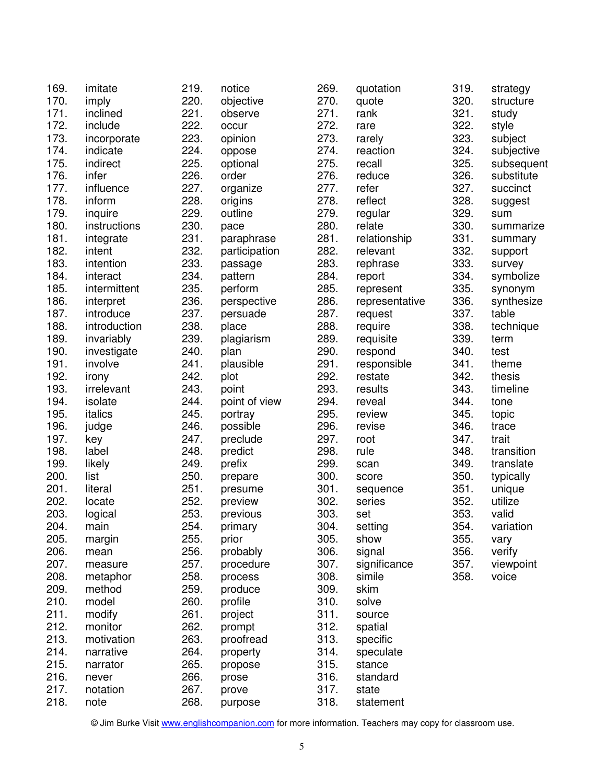| 169. | imitate      | 219. | notice        | 269. | quotation           | 319. | strategy   |
|------|--------------|------|---------------|------|---------------------|------|------------|
| 170. | imply        | 220. | objective     | 270. | quote               | 320. | structure  |
| 171. | inclined     | 221. | observe       | 271. | rank                | 321. | study      |
| 172. | include      | 222. | occur         | 272. | rare                | 322. | style      |
| 173. | incorporate  | 223. | opinion       | 273. | rarely              | 323. | subject    |
| 174. | indicate     | 224. | oppose        | 274. | reaction            | 324. | subjective |
| 175. | indirect     | 225. | optional      | 275. | recall              | 325. | subsequent |
| 176. | infer        | 226. | order         | 276. | reduce              | 326. | substitute |
| 177. | influence    | 227. | organize      | 277. | refer               | 327. | succinct   |
| 178. | inform       | 228. | origins       | 278. | reflect             | 328. | suggest    |
| 179. | inquire      | 229. | outline       | 279. | regular             | 329. | sum        |
| 180. | instructions | 230. | pace          | 280. | relate              | 330. | summarize  |
| 181. | integrate    | 231. | paraphrase    | 281. | relationship        | 331. | summary    |
| 182. | intent       | 232. | participation | 282. | relevant            | 332. | support    |
| 183. | intention    | 233. | passage       | 283. | rephrase            | 333. | survey     |
| 184. | interact     | 234. | pattern       | 284. | report              | 334. | symbolize  |
| 185. | intermittent | 235. | perform       | 285. | represent           | 335. | synonym    |
| 186. | interpret    | 236. | perspective   | 286. | representative      | 336. | synthesize |
| 187. | introduce    | 237. | persuade      | 287. | request             | 337. | table      |
| 188. | introduction | 238. | place         | 288. | require             | 338. | technique  |
| 189. | invariably   | 239. | plagiarism    | 289. | requisite           | 339. | term       |
| 190. | investigate  | 240. | plan          | 290. | respond             | 340. | test       |
| 191. | involve      | 241. | plausible     | 291. | responsible         | 341. | theme      |
| 192. | irony        | 242. | plot          | 292. | restate             | 342. | thesis     |
| 193. | irrelevant   | 243. | point         | 293. | results             | 343. | timeline   |
| 194. | isolate      | 244. | point of view | 294. | reveal              | 344. | tone       |
| 195. | italics      | 245. | portray       | 295. | review              | 345. | topic      |
| 196. | judge        | 246. | possible      | 296. | revise              | 346. | trace      |
| 197. | key          | 247. | preclude      | 297. | root                | 347. | trait      |
| 198. | label        | 248. | predict       | 298. | rule                | 348. | transition |
| 199. | likely       | 249. | prefix        | 299. | scan                | 349. | translate  |
| 200. | list         | 250. | prepare       | 300. | score               | 350. | typically  |
| 201. | literal      | 251. | presume       | 301. | sequence            | 351. | unique     |
| 202. | locate       | 252. | preview       | 302. | series              | 352. | utilize    |
| 203. | logical      | 253. | previous      | 303. | set                 | 353. | valid      |
| 204. | main         | 254. | primary       | 304. | setting             | 354. | variation  |
| 205. | margin       | 255. | prior         | 305. | show                | 355. | vary       |
| 206. | mean         | 256. | probably      | 306. | signal              | 356. | verify     |
| 207. | measure      | 257. | procedure     | 307. | significance        | 357. | viewpoint  |
| 208. | metaphor     | 258. | process       | 308. | simile              | 358. | voice      |
| 209. | method       | 259. | produce       | 309. | skim                |      |            |
| 210. | model        | 260. | profile       | 310. | solve               |      |            |
| 211. | modify       | 261. |               | 311. | source              |      |            |
| 212. | monitor      | 262. | project       | 312. |                     |      |            |
| 213. | motivation   | 263. | prompt        | 313. | spatial<br>specific |      |            |
|      |              |      | proofread     |      |                     |      |            |
| 214. | narrative    | 264. | property      | 314. | speculate           |      |            |
| 215. | narrator     | 265. | propose       | 315. | stance              |      |            |
| 216. | never        | 266. | prose         | 316. | standard            |      |            |
| 217. | notation     | 267. | prove         | 317. | state               |      |            |
| 218. | note         | 268. | purpose       | 318. | statement           |      |            |

© Jim Burke Visit www.englishcompanion.com for more information. Teachers may copy for classroom use.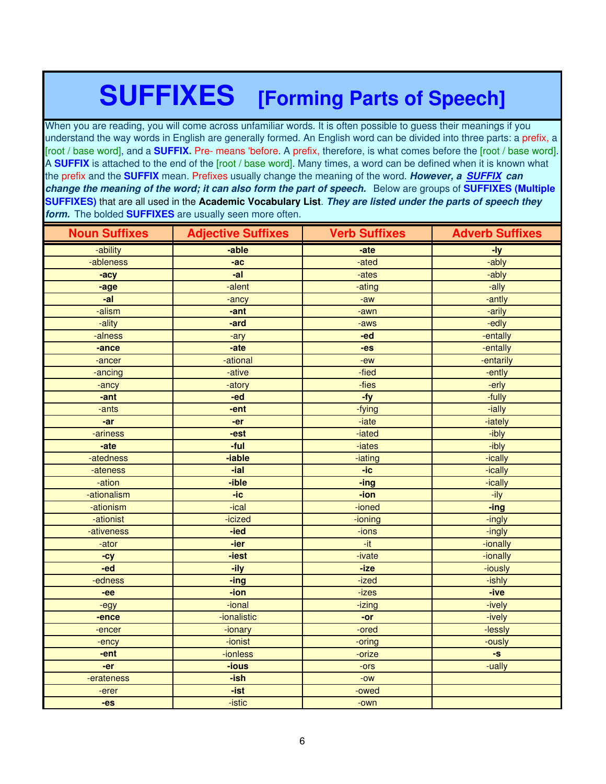# **SUFFIXES [Forming Parts of Speech]**

When you are reading, you will come across unfamiliar words. It is often possible to guess their meanings if you understand the way words in English are generally formed. An English word can be divided into three parts: a prefix, a [root / base word], and a **SUFFIX.** Pre- means 'before. A prefix, therefore, is what comes before the [root / base word]. A **SUFFIX** is attached to the end of the [root / base word]. Many times, a word can be defined when it is known what the prefix and the **SUFFIX** mean. Prefixes usually change the meaning of the word. *However, a SUFFIX can change the meaning of the word; it can also form the part of speech.* Below are groups of **SUFFIXES (Multiple SUFFIXES)** that are all used in the **Academic Vocabulary List**. *They are listed under the parts of speech they form.* The bolded **SUFFIXES** are usually seen more often.

| <b>Noun Suffixes</b> | <b>Adjective Suffixes</b> | <b>Verb Suffixes</b> | <b>Adverb Suffixes</b> |
|----------------------|---------------------------|----------------------|------------------------|
| -ability             | -able                     | -ate                 | $-ly$                  |
| -ableness            | $-ac$                     | -ated                | -ably                  |
| -acy                 | -al                       | -ates                | -ably                  |
| -age                 | -alent                    | -ating               | -ally                  |
| -al                  | -ancy                     | $-aw$                | -antly                 |
| -alism               | -ant                      | -awn                 | -arily                 |
| -ality               | -ard                      | -aws                 | -edly                  |
| -alness              | -ary                      | -ed                  | -entally               |
| -ance                | -ate                      | $-es$                | -entally               |
| -ancer               | -ational                  | -ew                  | -entarily              |
| -ancing              | -ative                    | -fied                | -ently                 |
| -ancy                | -atory                    | -fies                | -erly                  |
| -ant                 | -ed                       | -fy                  | -fully                 |
| -ants                | -ent                      | -fying               | -ially                 |
| $-ar$                | -er                       | -iate                | -iately                |
| -ariness             | -est                      | -iated               | -ibly                  |
| -ate                 | -ful                      | -iates               | -ibly                  |
| -atedness            | -iable                    | -iating              | -ically                |
| -ateness             | -ial                      | $-ic$                | -ically                |
| -ation               | -ible                     | -ing                 | -ically                |
| -ationalism          | $-ic$                     | -ion                 | -ily                   |
| -ationism            | -ical                     | -ioned               | -ing                   |
| -ationist            | -icized                   | -ioning              | -ingly                 |
| -ativeness           | -ied                      | -ions                | -ingly                 |
| -ator                | -ier                      | -it                  | -ionally               |
| $-cy$                | -iest                     | -ivate               | -ionally               |
| -ed                  | -ily                      | -ize                 | -iously                |
| -edness              | -ing                      | -ized                | -ishly                 |
| -ee                  | -ion                      | $-izes$              | -ive                   |
| -egy                 | -ional                    | -izing               | -ively                 |
| -ence                | -ionalistic               | -or                  | -ively                 |
| -encer               | -ionary                   | -ored                | -lessly                |
| -ency                | -ionist                   | -oring               | -ously                 |
| -ent                 | -ionless                  | -orize               | -S                     |
| -er                  | -ious                     | $-0rs$               | -ually                 |
| -erateness           | -ish                      | $-OW$                |                        |
| -erer                | $-ist$                    | -owed                |                        |
| -es                  | -istic                    | -own                 |                        |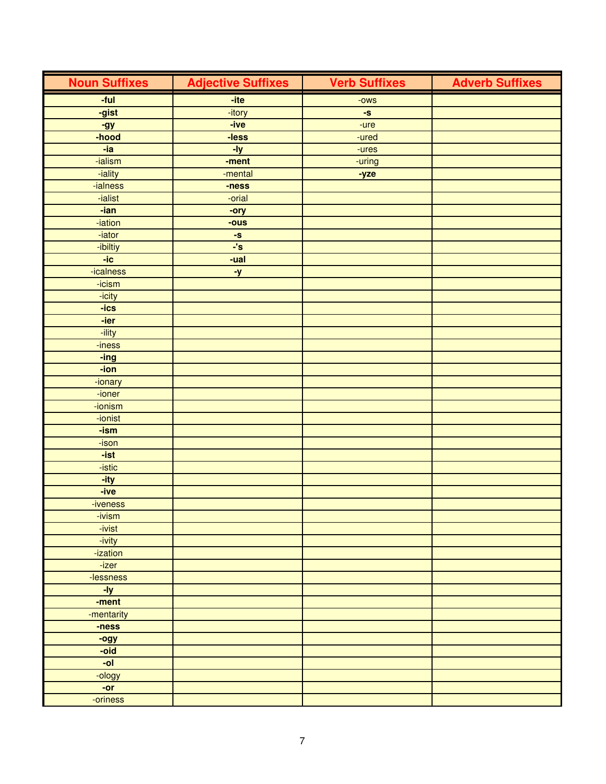| <b>Noun Suffixes</b> | <b>Adjective Suffixes</b> | <b>Verb Suffixes</b> | <b>Adverb Suffixes</b> |
|----------------------|---------------------------|----------------------|------------------------|
| -ful                 | -ite                      | $-OWS$               |                        |
| -gist                | -itory                    | -S                   |                        |
| -gy                  | -ive                      | -ure                 |                        |
| -hood                | -less                     | -ured                |                        |
| -ia                  | $-Iy$                     | -ures                |                        |
| -ialism              | -ment                     | -uring               |                        |
| -iality              | -mental                   | -yze                 |                        |
| -ialness             | -ness                     |                      |                        |
| -ialist              | -orial                    |                      |                        |
| -ian                 | -ory                      |                      |                        |
| -iation              | -ous                      |                      |                        |
| -iator               | -S                        |                      |                        |
| -ibiltiy             | $\overline{\cdot}$ 's     |                      |                        |
| $-ic$                | $-$ ual                   |                      |                        |
| -icalness            | <u>-y</u>                 |                      |                        |
| -icism               |                           |                      |                        |
| -icity               |                           |                      |                        |
| $-ics$               |                           |                      |                        |
| -ier                 |                           |                      |                        |
| -ility               |                           |                      |                        |
| -iness               |                           |                      |                        |
| -ing                 |                           |                      |                        |
| -ion                 |                           |                      |                        |
| -ionary              |                           |                      |                        |
| -ioner               |                           |                      |                        |
| -ionism              |                           |                      |                        |
| -ionist              |                           |                      |                        |
| -ism                 |                           |                      |                        |
| -ison                |                           |                      |                        |
| -ist                 |                           |                      |                        |
| -istic               |                           |                      |                        |
| -ity                 |                           |                      |                        |
| $-ive$               |                           |                      |                        |
| -iveness             |                           |                      |                        |
| -ivism               |                           |                      |                        |
| -ivist               |                           |                      |                        |
| -ivity               |                           |                      |                        |
| -ization             |                           |                      |                        |
| -izer                |                           |                      |                        |
| -lessness            |                           |                      |                        |
| $-1y$                |                           |                      |                        |
| -ment                |                           |                      |                        |
| -mentarity           |                           |                      |                        |
| -ness                |                           |                      |                        |
| -ogy<br>-oid         |                           |                      |                        |
| -ol                  |                           |                      |                        |
| -ology               |                           |                      |                        |
| $-or$                |                           |                      |                        |
| -oriness             |                           |                      |                        |
|                      |                           |                      |                        |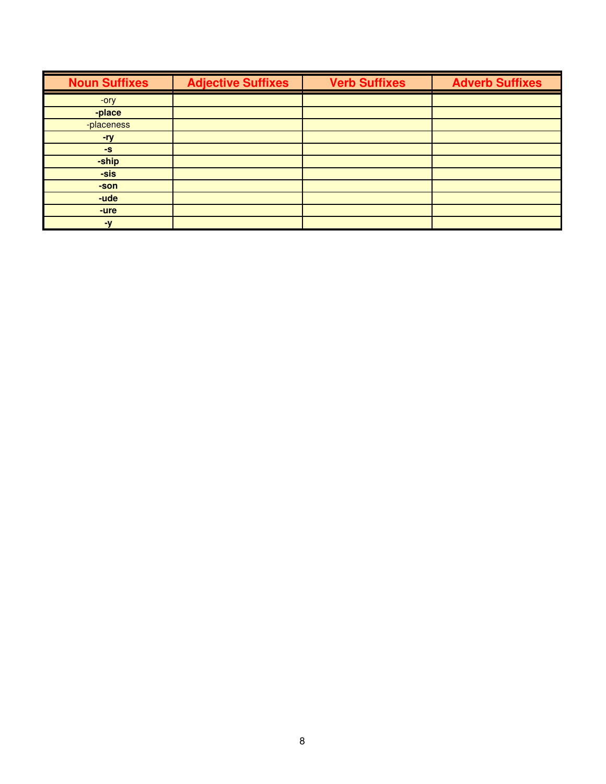| <b>Noun Suffixes</b> | <b>Adjective Suffixes</b> | <b>Verb Suffixes</b> | <b>Adverb Suffixes</b> |
|----------------------|---------------------------|----------------------|------------------------|
| -ory                 |                           |                      |                        |
| -place               |                           |                      |                        |
| -placeness           |                           |                      |                        |
| -ry                  |                           |                      |                        |
| $-S$                 |                           |                      |                        |
| -ship                |                           |                      |                        |
| -sis                 |                           |                      |                        |
| -son                 |                           |                      |                        |
| -ude                 |                           |                      |                        |
| -ure                 |                           |                      |                        |
| $-\mathbf{V}$        |                           |                      |                        |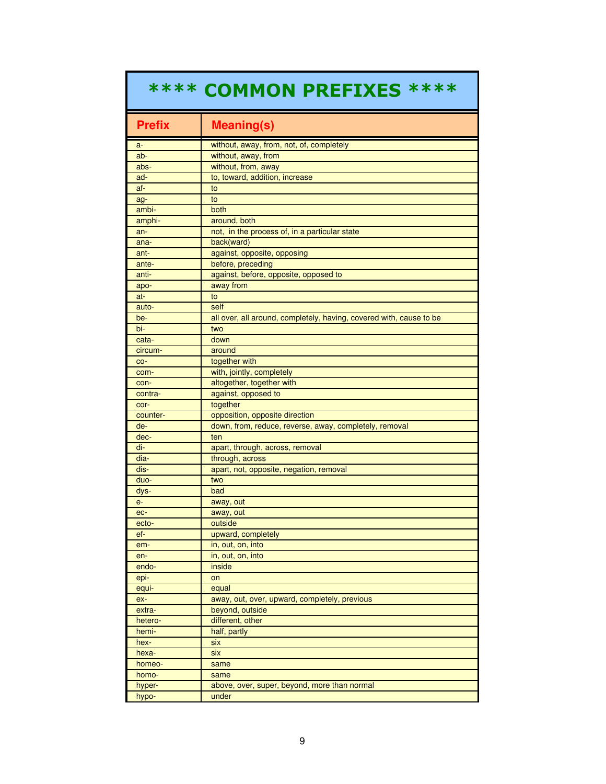## \*\*\*\* COMMON PREFIXES \*\*\*\*

| <b>Prefix</b> | <b>Meaning(s)</b>                                                   |
|---------------|---------------------------------------------------------------------|
| a-            | without, away, from, not, of, completely                            |
| ab-           | without, away, from                                                 |
| abs-          | without, from, away                                                 |
| ad-           | to, toward, addition, increase                                      |
| af-           | to                                                                  |
| ag-           | to                                                                  |
| ambi-         | both                                                                |
| amphi-        | around, both                                                        |
| an-           | not, in the process of, in a particular state                       |
| ana-          | back(ward)                                                          |
| ant-          | against, opposite, opposing                                         |
| ante-         | before, preceding                                                   |
| anti-         | against, before, opposite, opposed to                               |
| apo-          | away from                                                           |
| at-           | to                                                                  |
| auto-         | self                                                                |
| be-           | all over, all around, completely, having, covered with, cause to be |
| bi-           | two                                                                 |
| cata-         | down                                                                |
| circum-       | around                                                              |
| CO-           | together with                                                       |
| com-          | with, jointly, completely                                           |
| con-          | altogether, together with                                           |
| contra-       | against, opposed to                                                 |
| cor-          | together                                                            |
| counter-      | opposition, opposite direction                                      |
| de-           | down, from, reduce, reverse, away, completely, removal              |
| dec-          | ten                                                                 |
| di-           | apart, through, across, removal                                     |
| dia-          | through, across                                                     |
| dis-          | apart, not, opposite, negation, removal                             |
| duo-          | two                                                                 |
| dys-          | bad                                                                 |
| $e-$          | away, out                                                           |
| ec-           | away, out                                                           |
| ecto-         | outside                                                             |
| ef-           | upward, completely                                                  |
| em-           | in, out, on, into                                                   |
| en-           | in, out, on, into                                                   |
| endo-         | inside                                                              |
| epi-          | on                                                                  |
| equi-         | equal                                                               |
| ex-           | away, out, over, upward, completely, previous                       |
| extra-        | beyond, outside                                                     |
| hetero-       | different, other                                                    |
| hemi-         | half, partly                                                        |
| hex-          | six                                                                 |
| hexa-         | six                                                                 |
| homeo-        | same                                                                |
| homo-         | same                                                                |
| hyper-        | above, over, super, beyond, more than normal                        |
| hypo-         | under                                                               |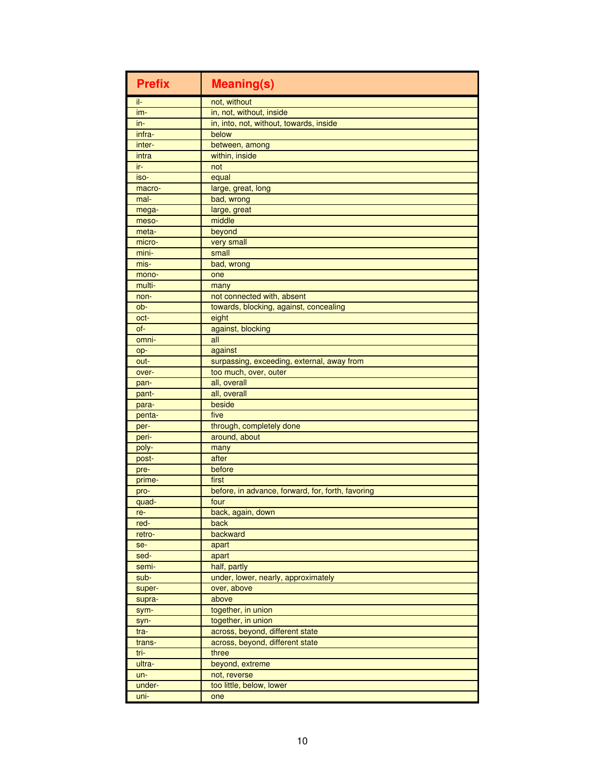| <b>Prefix</b> | <b>Meaning(s)</b>                                 |
|---------------|---------------------------------------------------|
| il-           | not, without                                      |
| im-           | in, not, without, inside                          |
| in-           | in, into, not, without, towards, inside           |
| infra-        | below                                             |
| inter-        | between, among                                    |
| intra         | within, inside                                    |
| ir-           | not                                               |
| iso-          | equal                                             |
| macro-        | large, great, long                                |
| mal-          | bad, wrong                                        |
| mega-         | large, great                                      |
| meso-         | middle                                            |
| meta-         | beyond                                            |
| micro-        | very small                                        |
| mini-         | small                                             |
| mis-          | bad, wrong                                        |
| mono-         | one                                               |
| multi-        | many                                              |
| non-          | not connected with, absent                        |
| ob-           | towards, blocking, against, concealing            |
| oct-          | eight                                             |
| of-           | against, blocking                                 |
| omni-         | all                                               |
| op-           | against                                           |
| out-          | surpassing, exceeding, external, away from        |
| over-         | too much, over, outer                             |
|               | all, overall                                      |
| pan-          | all, overall                                      |
| pant-         | beside                                            |
| para-         | five                                              |
| penta-        | through, completely done                          |
| per-          | around, about                                     |
| peri-         |                                                   |
| poly-         | many                                              |
| post-         | after                                             |
| pre-          | before                                            |
| prime-        | first                                             |
| pro-          | before, in advance, forward, for, forth, favoring |
| quad-         | four                                              |
| re-           | back, again, down                                 |
| red-          | back                                              |
| retro-        | backward                                          |
| se-           | apart                                             |
| sed-          | apart                                             |
| semi-         | half, partly                                      |
| sub-          | under, lower, nearly, approximately               |
| super-        | over, above                                       |
| supra-        | above                                             |
| sym-          | together, in union                                |
| syn-          | together, in union                                |
| tra-          | across, beyond, different state                   |
| trans-        | across, beyond, different state                   |
| tri-          | three                                             |
| ultra-        | beyond, extreme                                   |
| un-           | not, reverse                                      |
| under-        | too little, below, lower                          |
| uni-          | one                                               |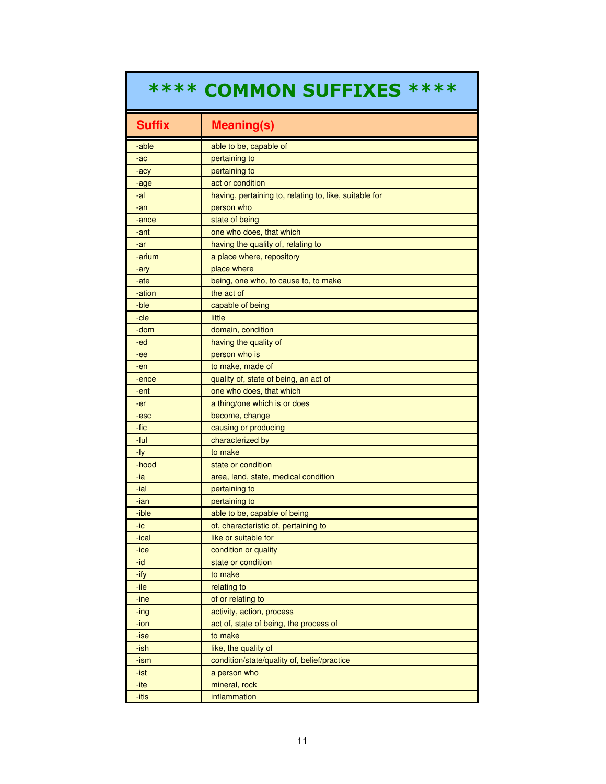## \*\*\*\* COMMON SUFFIXES \*\*\*\*

| <b>Suffix</b> | <b>Meaning(s)</b>                                      |
|---------------|--------------------------------------------------------|
| -able         | able to be, capable of                                 |
| -ac           | pertaining to                                          |
| -acy          | pertaining to                                          |
| -age          | act or condition                                       |
| -al           | having, pertaining to, relating to, like, suitable for |
| -an           | person who                                             |
| -ance         | state of being                                         |
| -ant          | one who does, that which                               |
| -ar           | having the quality of, relating to                     |
| -arium        | a place where, repository                              |
| -ary          | place where                                            |
| -ate          | being, one who, to cause to, to make                   |
| -ation        | the act of                                             |
| -ble          | capable of being                                       |
| -cle          | little                                                 |
| -dom          | domain, condition                                      |
| -ed           | having the quality of                                  |
| -ee           | person who is                                          |
| -en           | to make, made of                                       |
| -ence         | quality of, state of being, an act of                  |
| -ent          | one who does, that which                               |
| -er           | a thing/one which is or does                           |
| -esc          | become, change                                         |
| -fic          | causing or producing                                   |
| -ful          | characterized by                                       |
| -fy           | to make                                                |
| -hood         | state or condition                                     |
| -ia           | area, land, state, medical condition                   |
| -ial          | pertaining to                                          |
| -ian          | pertaining to                                          |
| -ible         | able to be, capable of being                           |
| -ic           | of, characteristic of, pertaining to                   |
| -ical         | like or suitable for                                   |
| $-ice$        | condition or quality                                   |
| -id           | state or condition                                     |
| -ify          | to make                                                |
| -ile          | relating to                                            |
| -ine          | of or relating to                                      |
| -ing          | activity, action, process                              |
| -ion          | act of, state of being, the process of                 |
| -ise          | to make                                                |
| -ish          | like, the quality of                                   |
| -ism          | condition/state/quality of, belief/practice            |
| -ist          | a person who                                           |
| -ite          | mineral, rock                                          |
| -itis         | inflammation                                           |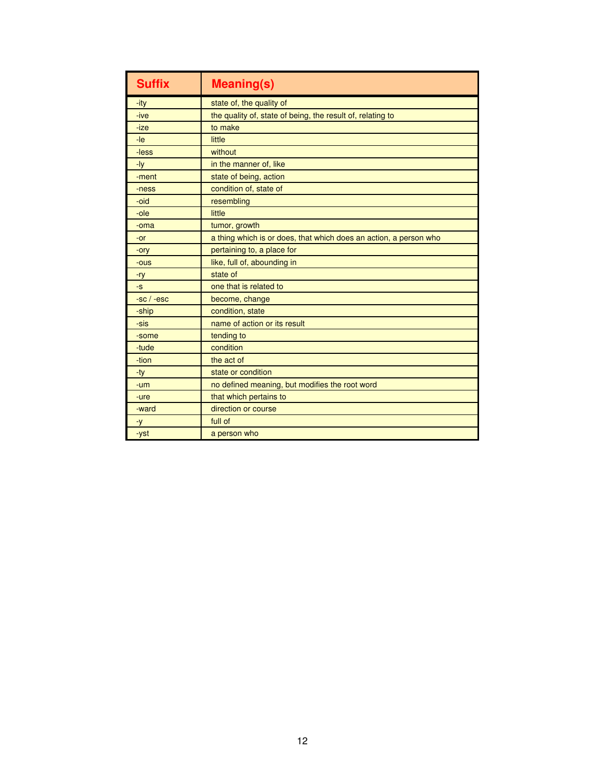| <b>Suffix</b> | <b>Meaning(s)</b>                                                 |
|---------------|-------------------------------------------------------------------|
| -ity          | state of, the quality of                                          |
| -ive          | the quality of, state of being, the result of, relating to        |
| -ize          | to make                                                           |
| $-le$         | little                                                            |
| -less         | without                                                           |
| -ly           | in the manner of, like                                            |
| -ment         | state of being, action                                            |
| -ness         | condition of, state of                                            |
| -oid          | resembling                                                        |
| -ole          | little                                                            |
| -oma          | tumor, growth                                                     |
| -or           | a thing which is or does, that which does an action, a person who |
| -ory          | pertaining to, a place for                                        |
| -ous          | like, full of, abounding in                                       |
| $-ry$         | state of                                                          |
| $-S$          | one that is related to                                            |
| $-sc / -esc$  | become, change                                                    |
| -ship         | condition, state                                                  |
| -sis          | name of action or its result                                      |
| -some         | tending to                                                        |
| -tude         | condition                                                         |
| -tion         | the act of                                                        |
| -ty           | state or condition                                                |
| -um           | no defined meaning, but modifies the root word                    |
| -ure          | that which pertains to                                            |
| -ward         | direction or course                                               |
| $-y$          | full of                                                           |
| -yst          | a person who                                                      |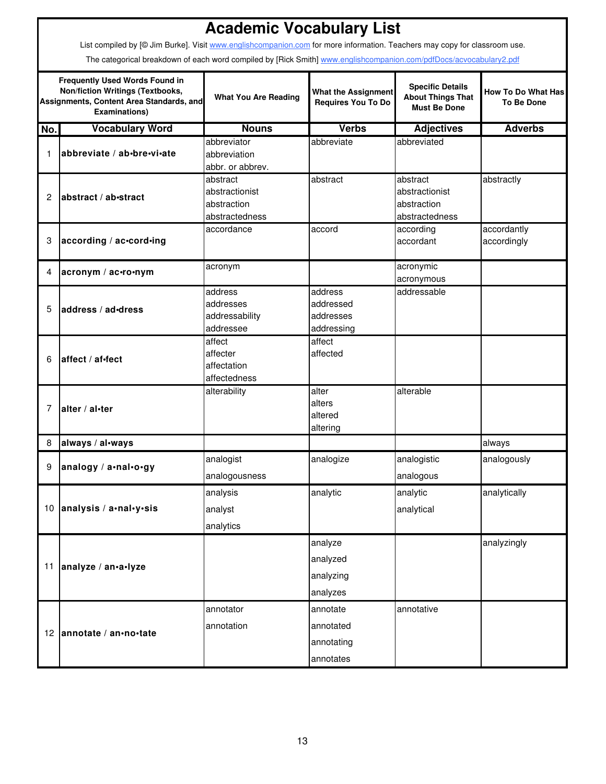|             |                                                                                                                                                      | <b>Academic Vocabulary List</b> |                                                         |                                                                            |                                                |
|-------------|------------------------------------------------------------------------------------------------------------------------------------------------------|---------------------------------|---------------------------------------------------------|----------------------------------------------------------------------------|------------------------------------------------|
|             | List compiled by [@ Jim Burke]. Visit www.englishcompanion.com for more information. Teachers may copy for classroom use.                            |                                 |                                                         |                                                                            |                                                |
|             | The categorical breakdown of each word compiled by [Rick Smith] www.englishcompanion.com/pdfDocs/acvocabulary2.pdf                                   |                                 |                                                         |                                                                            |                                                |
|             | <b>Frequently Used Words Found in</b><br><b>Non/fiction Writings (Textbooks,</b><br>Assignments, Content Area Standards, and<br><b>Examinations)</b> | <b>What You Are Reading</b>     | <b>What the Assignment</b><br><b>Requires You To Do</b> | <b>Specific Details</b><br><b>About Things That</b><br><b>Must Be Done</b> | <b>How To Do What Has</b><br><b>To Be Done</b> |
| No.         | <b>Vocabulary Word</b>                                                                                                                               | <b>Nouns</b>                    | <b>Verbs</b>                                            | <b>Adjectives</b>                                                          | <b>Adverbs</b>                                 |
|             |                                                                                                                                                      | abbreviator                     | abbreviate                                              | abbreviated                                                                |                                                |
| $\mathbf 1$ | abbreviate / ab-bre-vi-ate                                                                                                                           | abbreviation                    |                                                         |                                                                            |                                                |
|             |                                                                                                                                                      | abbr. or abbrev.                |                                                         |                                                                            |                                                |
|             |                                                                                                                                                      | abstract                        | abstract                                                | abstract                                                                   | abstractly                                     |
| 2           | abstract / ab-stract                                                                                                                                 | abstractionist                  |                                                         | abstractionist                                                             |                                                |
|             |                                                                                                                                                      | abstraction                     |                                                         | abstraction                                                                |                                                |
|             |                                                                                                                                                      | abstractedness                  |                                                         | abstractedness                                                             |                                                |
|             |                                                                                                                                                      | accordance                      | accord                                                  | according                                                                  | accordantly                                    |
| 3           | according / ac-cord-ing                                                                                                                              |                                 |                                                         | accordant                                                                  | accordingly                                    |
| 4           | acronym / ac-ro-nym                                                                                                                                  | acronym                         |                                                         | acronymic                                                                  |                                                |
|             |                                                                                                                                                      |                                 |                                                         | acronymous                                                                 |                                                |
|             |                                                                                                                                                      | address                         | address                                                 | addressable                                                                |                                                |
| 5           | address / ad-dress                                                                                                                                   | addresses                       | addressed                                               |                                                                            |                                                |
|             |                                                                                                                                                      | addressability                  | addresses                                               |                                                                            |                                                |
|             |                                                                                                                                                      | addressee                       | addressing                                              |                                                                            |                                                |
|             |                                                                                                                                                      | affect                          | affect                                                  |                                                                            |                                                |
| 6           | affect / af-fect                                                                                                                                     | affecter                        | affected                                                |                                                                            |                                                |
|             |                                                                                                                                                      | affectation                     |                                                         |                                                                            |                                                |
|             |                                                                                                                                                      | affectedness                    |                                                         |                                                                            |                                                |
|             |                                                                                                                                                      | alterability                    | alter                                                   | alterable                                                                  |                                                |
| 7           | alter / al-ter                                                                                                                                       |                                 | alters                                                  |                                                                            |                                                |
|             |                                                                                                                                                      |                                 | altered                                                 |                                                                            |                                                |
|             |                                                                                                                                                      |                                 | altering                                                |                                                                            |                                                |
| 8           | always / al-ways                                                                                                                                     |                                 |                                                         |                                                                            | always                                         |
| 9           | analogy / a.nal.o.gy                                                                                                                                 | analogist                       | analogize                                               | analogistic                                                                | analogously                                    |
|             |                                                                                                                                                      | analogousness                   |                                                         | analogous                                                                  |                                                |
|             |                                                                                                                                                      | analysis                        | analytic                                                | analytic                                                                   | analytically                                   |
|             | 10 analysis / a·nal·y·sis                                                                                                                            | analyst                         |                                                         | analytical                                                                 |                                                |
|             |                                                                                                                                                      | analytics                       |                                                         |                                                                            |                                                |
|             |                                                                                                                                                      |                                 | analyze                                                 |                                                                            | analyzingly                                    |
|             |                                                                                                                                                      |                                 |                                                         |                                                                            |                                                |
|             | 11 analyze / an.a.lyze                                                                                                                               |                                 | analyzed                                                |                                                                            |                                                |
|             |                                                                                                                                                      |                                 | analyzing                                               |                                                                            |                                                |
|             |                                                                                                                                                      |                                 | analyzes                                                |                                                                            |                                                |
|             |                                                                                                                                                      | annotator                       | annotate                                                | annotative                                                                 |                                                |
|             |                                                                                                                                                      | annotation                      | annotated                                               |                                                                            |                                                |
|             | 12 annotate / an•no•tate                                                                                                                             |                                 | annotating                                              |                                                                            |                                                |
|             |                                                                                                                                                      |                                 |                                                         |                                                                            |                                                |
|             |                                                                                                                                                      |                                 | annotates                                               |                                                                            |                                                |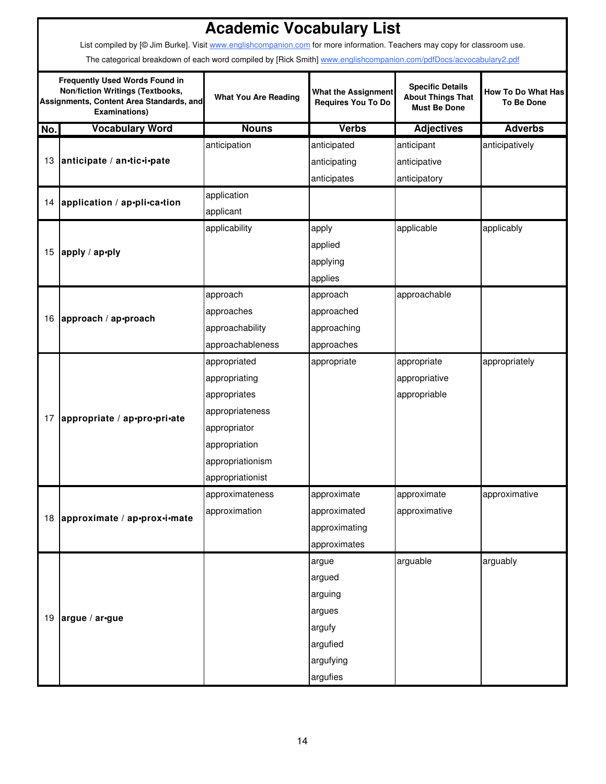|                                                                                                                                               | <b>Academic Vocabulary List</b>                                                                                           |                                                                                        |               |                                                                            |                                                |  |  |  |
|-----------------------------------------------------------------------------------------------------------------------------------------------|---------------------------------------------------------------------------------------------------------------------------|----------------------------------------------------------------------------------------|---------------|----------------------------------------------------------------------------|------------------------------------------------|--|--|--|
|                                                                                                                                               | List compiled by [@ Jim Burke]. Visit www.englishcompanion.com for more information. Teachers may copy for classroom use. |                                                                                        |               |                                                                            |                                                |  |  |  |
|                                                                                                                                               | The categorical breakdown of each word compiled by [Rick Smith] www.englishcompanion.com/pdfDocs/acvocabulary2.pdf        |                                                                                        |               |                                                                            |                                                |  |  |  |
| <b>Frequently Used Words Found in</b><br>Non/fiction Writings (Textbooks,<br>Assignments, Content Area Standards, and<br><b>Examinations)</b> |                                                                                                                           | <b>What the Assignment</b><br><b>What You Are Reading</b><br><b>Requires You To Do</b> |               | <b>Specific Details</b><br><b>About Things That</b><br><b>Must Be Done</b> | <b>How To Do What Has</b><br><b>To Be Done</b> |  |  |  |
| No.                                                                                                                                           | <b>Vocabulary Word</b>                                                                                                    | <b>Nouns</b>                                                                           | <b>Verbs</b>  | <b>Adjectives</b>                                                          | <b>Adverbs</b>                                 |  |  |  |
|                                                                                                                                               |                                                                                                                           | anticipation                                                                           | anticipated   | anticipant                                                                 | anticipatively                                 |  |  |  |
|                                                                                                                                               | 13 anticipate / an-tic-i-pate                                                                                             |                                                                                        | anticipating  | anticipative                                                               |                                                |  |  |  |
|                                                                                                                                               |                                                                                                                           |                                                                                        | anticipates   | anticipatory                                                               |                                                |  |  |  |
|                                                                                                                                               | 14 application / ap•pli•ca•tion                                                                                           | application                                                                            |               |                                                                            |                                                |  |  |  |
|                                                                                                                                               |                                                                                                                           | applicant                                                                              |               |                                                                            |                                                |  |  |  |
|                                                                                                                                               |                                                                                                                           | applicability                                                                          | apply         | applicable                                                                 | applicably                                     |  |  |  |
|                                                                                                                                               | 15 apply / ap•ply                                                                                                         |                                                                                        | applied       |                                                                            |                                                |  |  |  |
|                                                                                                                                               |                                                                                                                           |                                                                                        | applying      |                                                                            |                                                |  |  |  |
|                                                                                                                                               |                                                                                                                           |                                                                                        | applies       |                                                                            |                                                |  |  |  |
|                                                                                                                                               |                                                                                                                           | approach                                                                               | approach      | approachable                                                               |                                                |  |  |  |
|                                                                                                                                               | 16 approach / ap•proach                                                                                                   | approaches                                                                             | approached    |                                                                            |                                                |  |  |  |
|                                                                                                                                               |                                                                                                                           | approachability                                                                        | approaching   |                                                                            |                                                |  |  |  |
|                                                                                                                                               |                                                                                                                           | approachableness                                                                       | approaches    |                                                                            |                                                |  |  |  |
|                                                                                                                                               |                                                                                                                           | appropriated                                                                           | appropriate   | appropriate                                                                | appropriately                                  |  |  |  |
|                                                                                                                                               |                                                                                                                           | appropriating                                                                          |               | appropriative                                                              |                                                |  |  |  |
|                                                                                                                                               |                                                                                                                           | appropriates                                                                           |               | appropriable                                                               |                                                |  |  |  |
| 17                                                                                                                                            | appropriate / ap-pro-pri-ate                                                                                              | appropriateness                                                                        |               |                                                                            |                                                |  |  |  |
|                                                                                                                                               |                                                                                                                           | appropriator                                                                           |               |                                                                            |                                                |  |  |  |
|                                                                                                                                               |                                                                                                                           | appropriation                                                                          |               |                                                                            |                                                |  |  |  |
|                                                                                                                                               |                                                                                                                           | appropriationism                                                                       |               |                                                                            |                                                |  |  |  |
|                                                                                                                                               |                                                                                                                           | appropriationist                                                                       |               |                                                                            |                                                |  |  |  |
|                                                                                                                                               |                                                                                                                           | approximateness                                                                        | approximate   | approximate                                                                | approximative                                  |  |  |  |
|                                                                                                                                               | 18 approximate / ap•prox•i•mate                                                                                           | approximation                                                                          | approximated  | approximative                                                              |                                                |  |  |  |
|                                                                                                                                               |                                                                                                                           |                                                                                        | approximating |                                                                            |                                                |  |  |  |
|                                                                                                                                               |                                                                                                                           |                                                                                        | approximates  |                                                                            |                                                |  |  |  |
|                                                                                                                                               |                                                                                                                           |                                                                                        | argue         | arguable                                                                   | arguably                                       |  |  |  |
|                                                                                                                                               |                                                                                                                           |                                                                                        | argued        |                                                                            |                                                |  |  |  |
|                                                                                                                                               |                                                                                                                           |                                                                                        | arguing       |                                                                            |                                                |  |  |  |
|                                                                                                                                               | 19 argue / ar-gue                                                                                                         |                                                                                        | argues        |                                                                            |                                                |  |  |  |
|                                                                                                                                               |                                                                                                                           |                                                                                        | argufy        |                                                                            |                                                |  |  |  |
|                                                                                                                                               |                                                                                                                           |                                                                                        | argufied      |                                                                            |                                                |  |  |  |
|                                                                                                                                               |                                                                                                                           |                                                                                        | argufying     |                                                                            |                                                |  |  |  |
|                                                                                                                                               |                                                                                                                           |                                                                                        | argufies      |                                                                            |                                                |  |  |  |

 $\mathsf{r}$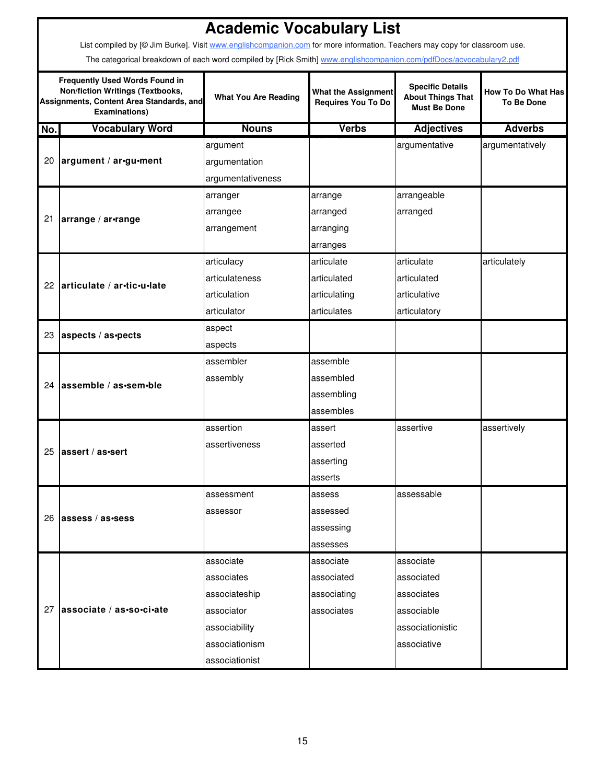|     | <b>Academic Vocabulary List</b><br>List compiled by [@ Jim Burke]. Visit www.englishcompanion.com for more information. Teachers may copy for classroom use. |                             |                                                         |                                                                            |                                                |  |  |  |  |
|-----|--------------------------------------------------------------------------------------------------------------------------------------------------------------|-----------------------------|---------------------------------------------------------|----------------------------------------------------------------------------|------------------------------------------------|--|--|--|--|
|     | The categorical breakdown of each word compiled by [Rick Smith] www.englishcompanion.com/pdfDocs/acvocabulary2.pdf                                           |                             |                                                         |                                                                            |                                                |  |  |  |  |
|     | <b>Frequently Used Words Found in</b><br><b>Non/fiction Writings (Textbooks,</b><br>Assignments, Content Area Standards, and<br><b>Examinations)</b>         | <b>What You Are Reading</b> | <b>What the Assignment</b><br><b>Requires You To Do</b> | <b>Specific Details</b><br><b>About Things That</b><br><b>Must Be Done</b> | <b>How To Do What Has</b><br><b>To Be Done</b> |  |  |  |  |
| No. | <b>Vocabulary Word</b>                                                                                                                                       | <b>Nouns</b>                | <b>Verbs</b>                                            | <b>Adjectives</b>                                                          | <b>Adverbs</b>                                 |  |  |  |  |
|     |                                                                                                                                                              | argument                    |                                                         | argumentative                                                              | argumentatively                                |  |  |  |  |
| 20  | argument / ar-gu-ment                                                                                                                                        | argumentation               |                                                         |                                                                            |                                                |  |  |  |  |
|     |                                                                                                                                                              | argumentativeness           |                                                         |                                                                            |                                                |  |  |  |  |
|     |                                                                                                                                                              | arranger                    | arrange                                                 | arrangeable                                                                |                                                |  |  |  |  |
| 21  | arrange / ar-range                                                                                                                                           | arrangee                    | arranged                                                | arranged                                                                   |                                                |  |  |  |  |
|     |                                                                                                                                                              | arrangement                 | arranging                                               |                                                                            |                                                |  |  |  |  |
|     |                                                                                                                                                              |                             | arranges                                                |                                                                            |                                                |  |  |  |  |
|     |                                                                                                                                                              | articulacy                  | articulate                                              | articulate                                                                 | articulately                                   |  |  |  |  |
|     | 22 articulate / ar-tic-u-late                                                                                                                                | articulateness              | articulated                                             | articulated                                                                |                                                |  |  |  |  |
|     |                                                                                                                                                              | articulation                | articulating                                            | articulative                                                               |                                                |  |  |  |  |
|     |                                                                                                                                                              | articulator                 | articulates                                             | articulatory                                                               |                                                |  |  |  |  |
|     |                                                                                                                                                              | aspect                      |                                                         |                                                                            |                                                |  |  |  |  |
| 23  | aspects / as.pects                                                                                                                                           | aspects                     |                                                         |                                                                            |                                                |  |  |  |  |
|     |                                                                                                                                                              | assembler                   | assemble                                                |                                                                            |                                                |  |  |  |  |
|     |                                                                                                                                                              | assembly                    | assembled                                               |                                                                            |                                                |  |  |  |  |
|     | 24 assemble / as sem ble                                                                                                                                     |                             | assembling                                              |                                                                            |                                                |  |  |  |  |
|     |                                                                                                                                                              |                             | assembles                                               |                                                                            |                                                |  |  |  |  |
|     |                                                                                                                                                              | assertion                   | assert                                                  | assertive                                                                  | assertively                                    |  |  |  |  |
|     |                                                                                                                                                              | assertiveness               | asserted                                                |                                                                            |                                                |  |  |  |  |
|     | 25 assert / as -sert                                                                                                                                         |                             | asserting                                               |                                                                            |                                                |  |  |  |  |
|     |                                                                                                                                                              |                             | asserts                                                 |                                                                            |                                                |  |  |  |  |
|     |                                                                                                                                                              | assessment                  | assess                                                  | assessable                                                                 |                                                |  |  |  |  |
|     |                                                                                                                                                              | assessor                    | assessed                                                |                                                                            |                                                |  |  |  |  |
|     | 26 assess / as-sess                                                                                                                                          |                             | assessing                                               |                                                                            |                                                |  |  |  |  |
|     |                                                                                                                                                              |                             | assesses                                                |                                                                            |                                                |  |  |  |  |
|     |                                                                                                                                                              | associate                   | associate                                               | associate                                                                  |                                                |  |  |  |  |
|     |                                                                                                                                                              | associates                  | associated                                              | associated                                                                 |                                                |  |  |  |  |
|     |                                                                                                                                                              | associateship               | associating                                             | associates                                                                 |                                                |  |  |  |  |
|     | 27 associate / as-so-ci-ate                                                                                                                                  | associator                  | associates                                              | associable                                                                 |                                                |  |  |  |  |
|     |                                                                                                                                                              | associability               |                                                         | associationistic                                                           |                                                |  |  |  |  |
|     |                                                                                                                                                              | associationism              |                                                         | associative                                                                |                                                |  |  |  |  |
|     |                                                                                                                                                              | associationist              |                                                         |                                                                            |                                                |  |  |  |  |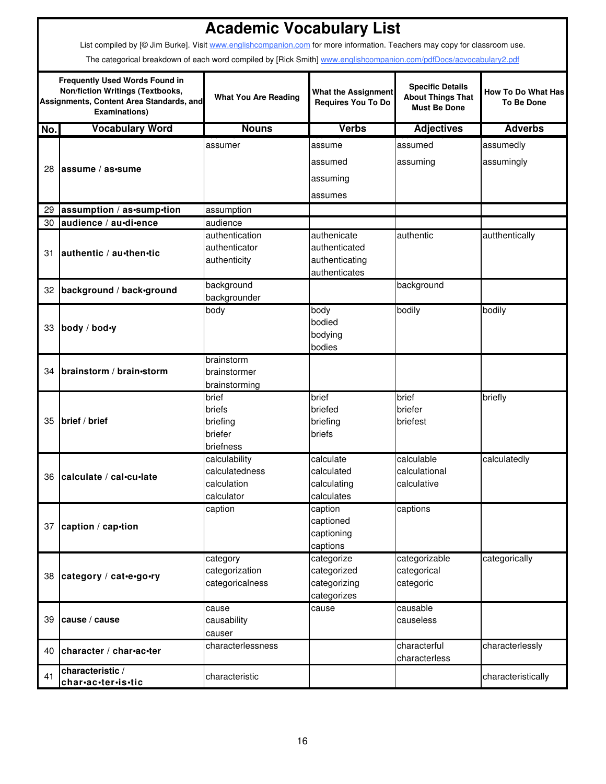|     | <b>Academic Vocabulary List</b>                                                                                                                      |                             |                                                         |                                                                            |                                                |  |  |  |
|-----|------------------------------------------------------------------------------------------------------------------------------------------------------|-----------------------------|---------------------------------------------------------|----------------------------------------------------------------------------|------------------------------------------------|--|--|--|
|     | List compiled by [© Jim Burke]. Visit www.englishcompanion.com for more information. Teachers may copy for classroom use.                            |                             |                                                         |                                                                            |                                                |  |  |  |
|     | The categorical breakdown of each word compiled by [Rick Smith] www.englishcompanion.com/pdfDocs/acvocabulary2.pdf                                   |                             |                                                         |                                                                            |                                                |  |  |  |
|     | <b>Frequently Used Words Found in</b><br><b>Non/fiction Writings (Textbooks,</b><br>Assignments, Content Area Standards, and<br><b>Examinations)</b> | <b>What You Are Reading</b> | <b>What the Assignment</b><br><b>Requires You To Do</b> | <b>Specific Details</b><br><b>About Things That</b><br><b>Must Be Done</b> | <b>How To Do What Has</b><br><b>To Be Done</b> |  |  |  |
| No. | <b>Vocabulary Word</b>                                                                                                                               | <b>Nouns</b>                | <b>Verbs</b>                                            | <b>Adjectives</b>                                                          | <b>Adverbs</b>                                 |  |  |  |
|     |                                                                                                                                                      | assumer                     | assume                                                  | assumed                                                                    | assumedly                                      |  |  |  |
|     |                                                                                                                                                      |                             | assumed                                                 | assuming                                                                   | assumingly                                     |  |  |  |
| 28  | lassume / as•sume                                                                                                                                    |                             | assuming                                                |                                                                            |                                                |  |  |  |
|     |                                                                                                                                                      |                             |                                                         |                                                                            |                                                |  |  |  |
|     |                                                                                                                                                      |                             | assumes                                                 |                                                                            |                                                |  |  |  |
| 29  | assumption / as -sump -tion                                                                                                                          | assumption                  |                                                         |                                                                            |                                                |  |  |  |
| 30  | audience / au-di-ence                                                                                                                                | audience<br>authentication  | authenicate                                             | authentic                                                                  |                                                |  |  |  |
|     |                                                                                                                                                      | authenticator               | authenticated                                           |                                                                            | autthentically                                 |  |  |  |
| 31  | authentic / au-then-tic                                                                                                                              | authenticity                | authenticating                                          |                                                                            |                                                |  |  |  |
|     |                                                                                                                                                      |                             | authenticates                                           |                                                                            |                                                |  |  |  |
|     | background / back-ground                                                                                                                             | background                  |                                                         | background                                                                 |                                                |  |  |  |
| 32  |                                                                                                                                                      | backgrounder                |                                                         |                                                                            |                                                |  |  |  |
|     |                                                                                                                                                      | body                        | body                                                    | bodily                                                                     | bodily                                         |  |  |  |
| 33  | body / bod•y                                                                                                                                         |                             | bodied                                                  |                                                                            |                                                |  |  |  |
|     |                                                                                                                                                      |                             | bodying                                                 |                                                                            |                                                |  |  |  |
|     |                                                                                                                                                      |                             | bodies                                                  |                                                                            |                                                |  |  |  |
| 34  | brainstorm / brain-storm                                                                                                                             | brainstorm<br>brainstormer  |                                                         |                                                                            |                                                |  |  |  |
|     |                                                                                                                                                      | brainstorming               |                                                         |                                                                            |                                                |  |  |  |
|     |                                                                                                                                                      | brief                       | brief                                                   | brief                                                                      | briefly                                        |  |  |  |
|     |                                                                                                                                                      | briefs                      | briefed                                                 | briefer                                                                    |                                                |  |  |  |
| 35  | brief / brief                                                                                                                                        | briefing                    | briefing                                                | briefest                                                                   |                                                |  |  |  |
|     |                                                                                                                                                      | briefer                     | briefs                                                  |                                                                            |                                                |  |  |  |
|     |                                                                                                                                                      | briefness                   |                                                         |                                                                            |                                                |  |  |  |
|     |                                                                                                                                                      | calculability               | calculate                                               | calculable                                                                 | calculatedly                                   |  |  |  |
|     | 36 calculate / cal-cu-late                                                                                                                           | calculatedness              | calculated                                              | calculational                                                              |                                                |  |  |  |
|     |                                                                                                                                                      | calculation                 | calculating                                             | calculative                                                                |                                                |  |  |  |
|     |                                                                                                                                                      | calculator<br>caption       | calculates<br>caption                                   | captions                                                                   |                                                |  |  |  |
|     |                                                                                                                                                      |                             | captioned                                               |                                                                            |                                                |  |  |  |
| 37  | caption / cap-tion                                                                                                                                   |                             | captioning                                              |                                                                            |                                                |  |  |  |
|     |                                                                                                                                                      |                             | captions                                                |                                                                            |                                                |  |  |  |
|     |                                                                                                                                                      | category                    | categorize                                              | categorizable                                                              | categorically                                  |  |  |  |
| 38  | category / cat-e-go-ry                                                                                                                               | categorization              | categorized                                             | categorical                                                                |                                                |  |  |  |
|     |                                                                                                                                                      | categoricalness             | categorizing                                            | categoric                                                                  |                                                |  |  |  |
|     |                                                                                                                                                      |                             | categorizes                                             |                                                                            |                                                |  |  |  |
|     |                                                                                                                                                      | cause                       | cause                                                   | causable                                                                   |                                                |  |  |  |
| 39  | cause / cause                                                                                                                                        | causability                 |                                                         | causeless                                                                  |                                                |  |  |  |
|     |                                                                                                                                                      | causer<br>characterlessness |                                                         | characterful                                                               | characterlessly                                |  |  |  |
| 40  | character / char-ac-ter                                                                                                                              |                             |                                                         | characterless                                                              |                                                |  |  |  |
|     | characteristic /                                                                                                                                     |                             |                                                         |                                                                            |                                                |  |  |  |
| 41  | char.ac.ter.is.tic                                                                                                                                   | characteristic              |                                                         |                                                                            | characteristically                             |  |  |  |

 $\mathsf{r}$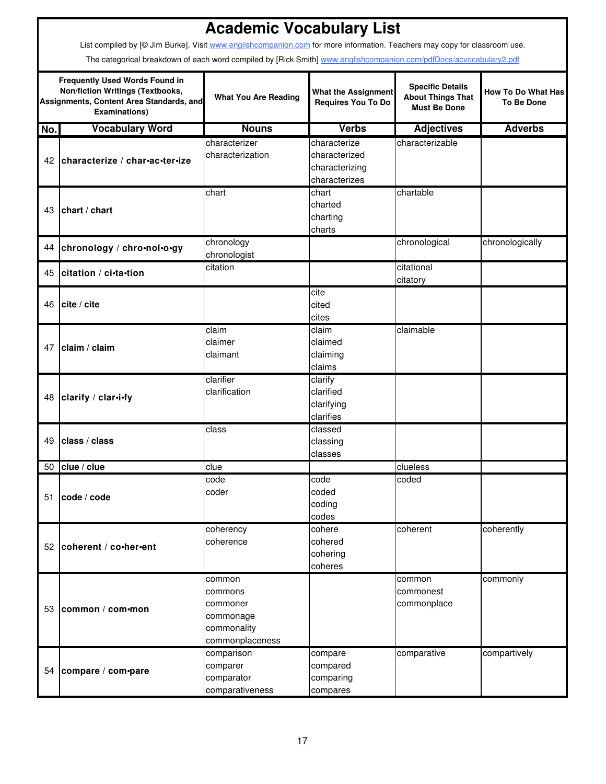|     | <b>Academic Vocabulary List</b><br>List compiled by [@ Jim Burke]. Visit www.englishcompanion.com for more information. Teachers may copy for classroom use. |                                                                              |                                                                  |                                                                            |                                                |  |  |  |  |
|-----|--------------------------------------------------------------------------------------------------------------------------------------------------------------|------------------------------------------------------------------------------|------------------------------------------------------------------|----------------------------------------------------------------------------|------------------------------------------------|--|--|--|--|
|     | The categorical breakdown of each word compiled by [Rick Smith] www.englishcompanion.com/pdfDocs/acvocabulary2.pdf                                           |                                                                              |                                                                  |                                                                            |                                                |  |  |  |  |
|     | <b>Frequently Used Words Found in</b><br>Non/fiction Writings (Textbooks,<br>Assignments, Content Area Standards, and<br><b>Examinations)</b>                | <b>What You Are Reading</b>                                                  | <b>What the Assignment</b><br><b>Requires You To Do</b>          | <b>Specific Details</b><br><b>About Things That</b><br><b>Must Be Done</b> | <b>How To Do What Has</b><br><b>To Be Done</b> |  |  |  |  |
| No. | <b>Vocabulary Word</b>                                                                                                                                       | <b>Nouns</b>                                                                 | <b>Verbs</b>                                                     | <b>Adjectives</b>                                                          | <b>Adverbs</b>                                 |  |  |  |  |
| 42  | characterize / char-ac-ter-ize                                                                                                                               | characterizer<br>characterization                                            | characterize<br>characterized<br>characterizing<br>characterizes | characterizable                                                            |                                                |  |  |  |  |
| 43  | chart / chart                                                                                                                                                | chart                                                                        | chart<br>charted<br>charting<br>charts                           | chartable                                                                  |                                                |  |  |  |  |
| 44  | chronology / chro•nol•o•gy                                                                                                                                   | chronology<br>chronologist                                                   |                                                                  | chronological                                                              | chronologically                                |  |  |  |  |
| 45  | citation / ci-ta-tion                                                                                                                                        | citation                                                                     |                                                                  | citational<br>citatory                                                     |                                                |  |  |  |  |
| 46  | cite / cite                                                                                                                                                  |                                                                              | cite<br>cited<br>cites                                           |                                                                            |                                                |  |  |  |  |
| 47  | claim / claim                                                                                                                                                | claim<br>claimer<br>claimant                                                 | claim<br>claimed<br>claiming<br>claims                           | claimable                                                                  |                                                |  |  |  |  |
| 48  | clarify / clar-i-fy                                                                                                                                          | clarifier<br>clarification                                                   | clarify<br>clarified<br>clarifying<br>clarifies                  |                                                                            |                                                |  |  |  |  |
| 49  | class / class                                                                                                                                                | class                                                                        | classed<br>classing<br>classes                                   |                                                                            |                                                |  |  |  |  |
| 50  | clue / clue                                                                                                                                                  | clue                                                                         |                                                                  | clueless                                                                   |                                                |  |  |  |  |
| 51  | code / code                                                                                                                                                  | code<br>coder                                                                | code<br>coded<br>coding<br>codes                                 | coded                                                                      |                                                |  |  |  |  |
|     | 52 coherent / co•her•ent                                                                                                                                     | coherency<br>coherence                                                       | cohere<br>cohered<br>cohering<br>coheres                         | coherent                                                                   | coherently                                     |  |  |  |  |
|     | 53 common / com•mon                                                                                                                                          | common<br>commons<br>commoner<br>commonage<br>commonality<br>commonplaceness |                                                                  | common<br>commonest<br>commonplace                                         | commonly                                       |  |  |  |  |
| 54  | compare / com-pare                                                                                                                                           | comparison<br>comparer<br>comparator<br>comparativeness                      | compare<br>compared<br>comparing<br>compares                     | comparative                                                                | compartively                                   |  |  |  |  |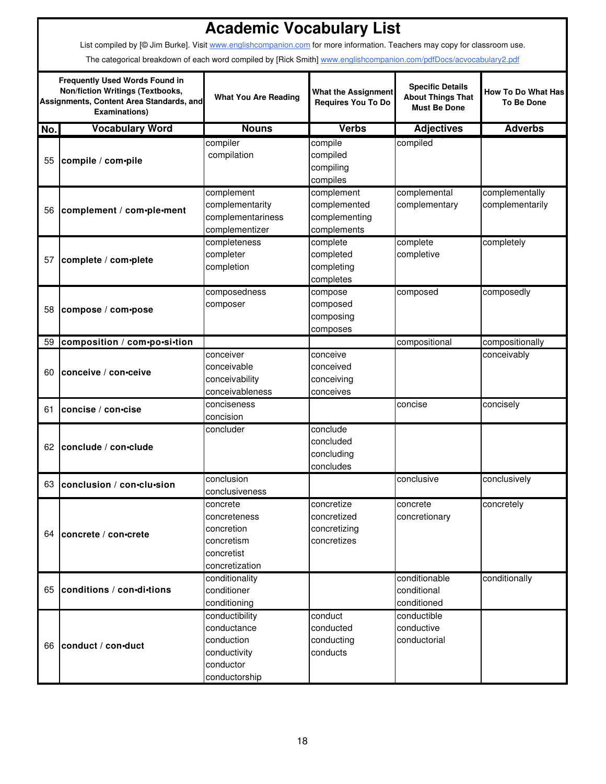|     |                                                                                                                                               | <b>Academic Vocabulary List</b>                                                           |                                                            |                                                                            |                                                |
|-----|-----------------------------------------------------------------------------------------------------------------------------------------------|-------------------------------------------------------------------------------------------|------------------------------------------------------------|----------------------------------------------------------------------------|------------------------------------------------|
|     | List compiled by [@ Jim Burke]. Visit www.englishcompanion.com for more information. Teachers may copy for classroom use.                     |                                                                                           |                                                            |                                                                            |                                                |
|     | The categorical breakdown of each word compiled by [Rick Smith] www.englishcompanion.com/pdfDocs/acvocabulary2.pdf                            |                                                                                           |                                                            |                                                                            |                                                |
|     | <b>Frequently Used Words Found in</b><br>Non/fiction Writings (Textbooks,<br>Assignments, Content Area Standards, and<br><b>Examinations)</b> | <b>What You Are Reading</b>                                                               | <b>What the Assignment</b><br>Requires You To Do           | <b>Specific Details</b><br><b>About Things That</b><br><b>Must Be Done</b> | <b>How To Do What Has</b><br><b>To Be Done</b> |
| No. | <b>Vocabulary Word</b>                                                                                                                        | <b>Nouns</b>                                                                              | <b>Verbs</b>                                               | <b>Adjectives</b>                                                          | <b>Adverbs</b>                                 |
| 55  | compile / com-pile                                                                                                                            | compiler<br>compilation                                                                   | compile<br>compiled<br>compiling<br>compiles               | compiled                                                                   |                                                |
| 56  | complement / com-ple-ment                                                                                                                     | complement<br>complementarity<br>complementariness<br>complementizer                      | complement<br>complemented<br>complementing<br>complements | complemental<br>complementary                                              | complementally<br>complementarily              |
| 57  | complete / com-plete                                                                                                                          | completeness<br>completer<br>completion                                                   | complete<br>completed<br>completing<br>completes           | complete<br>completive                                                     | completely                                     |
| 58  | compose / com•pose                                                                                                                            | composedness<br>composer                                                                  | compose<br>composed<br>composing<br>composes               | composed                                                                   | composedly                                     |
| 59  | composition / com•po•si•tion                                                                                                                  |                                                                                           |                                                            | compositional                                                              | compositionally                                |
| 60  | conceive / con-ceive                                                                                                                          | conceiver<br>conceivable<br>conceivability<br>conceivableness                             | conceive<br>conceived<br>conceiving<br>conceives           |                                                                            | conceivably                                    |
| 61  | concise / con•cise                                                                                                                            | conciseness<br>concision                                                                  |                                                            | concise                                                                    | concisely                                      |
| 62  | conclude / con-clude                                                                                                                          | concluder                                                                                 | conclude<br>concluded<br>concluding<br>concludes           |                                                                            |                                                |
|     | 63 conclusion / con-clu-sion                                                                                                                  | conclusion<br>conclusiveness                                                              |                                                            | conclusive                                                                 | conclusively                                   |
| 64  | concrete / con-crete                                                                                                                          | concrete<br>concreteness<br>concretion<br>concretism<br>concretist<br>concretization      | concretize<br>concretized<br>concretizing<br>concretizes   | concrete<br>concretionary                                                  | concretely                                     |
| 65  | conditions / con-di-tions                                                                                                                     | conditionality<br>conditioner<br>conditioning                                             |                                                            | conditionable<br>conditional<br>conditioned                                | conditionally                                  |
|     | 66 conduct / con-duct                                                                                                                         | conductibility<br>conductance<br>conduction<br>conductivity<br>conductor<br>conductorship | conduct<br>conducted<br>conducting<br>conducts             | conductible<br>conductive<br>conductorial                                  |                                                |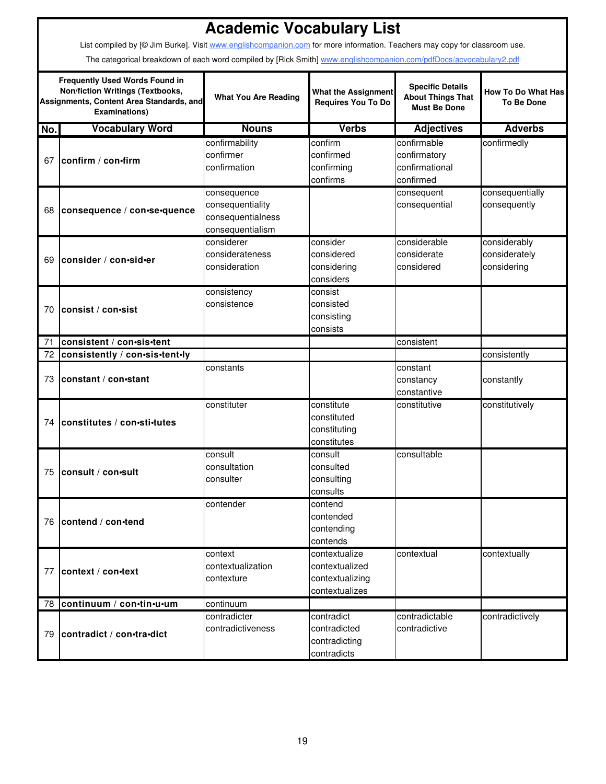|     | <b>Academic Vocabulary List</b>                                                                                                               |                                                                          |                                                                      |                                                                            |                                                |  |  |  |  |
|-----|-----------------------------------------------------------------------------------------------------------------------------------------------|--------------------------------------------------------------------------|----------------------------------------------------------------------|----------------------------------------------------------------------------|------------------------------------------------|--|--|--|--|
|     | List compiled by [@ Jim Burke]. Visit www.englishcompanion.com for more information. Teachers may copy for classroom use.                     |                                                                          |                                                                      |                                                                            |                                                |  |  |  |  |
|     | The categorical breakdown of each word compiled by [Rick Smith] www.englishcompanion.com/pdfDocs/acvocabulary2.pdf                            |                                                                          |                                                                      |                                                                            |                                                |  |  |  |  |
|     | <b>Frequently Used Words Found in</b><br>Non/fiction Writings (Textbooks,<br>Assignments, Content Area Standards, and<br><b>Examinations)</b> | <b>What You Are Reading</b>                                              | <b>What the Assignment</b><br>Requires You To Do                     | <b>Specific Details</b><br><b>About Things That</b><br><b>Must Be Done</b> | <b>How To Do What Has</b><br><b>To Be Done</b> |  |  |  |  |
| No. | <b>Vocabulary Word</b>                                                                                                                        | <b>Nouns</b>                                                             | <b>Verbs</b>                                                         | <b>Adjectives</b>                                                          | <b>Adverbs</b>                                 |  |  |  |  |
| 67  | confirm / con-firm                                                                                                                            | confirmability<br>confirmer<br>confirmation                              | confirm<br>confirmed<br>confirming<br>confirms                       | confirmable<br>confirmatory<br>confirmational<br>confirmed                 | confirmedly                                    |  |  |  |  |
| 68  | consequence / con-se-quence                                                                                                                   | consequence<br>consequentiality<br>consequentialness<br>consequentialism |                                                                      | consequent<br>consequential                                                | consequentially<br>consequently                |  |  |  |  |
| 69  | consider / con-sid-er                                                                                                                         | considerer<br>considerateness<br>consideration                           | consider<br>considered<br>considering<br>considers                   | considerable<br>considerate<br>considered                                  | considerably<br>considerately<br>considering   |  |  |  |  |
| 70  | consist / con-sist                                                                                                                            | consistency<br>consistence                                               | consist<br>consisted<br>consisting<br>consists                       |                                                                            |                                                |  |  |  |  |
| 71  | lconsistent / con∙sis∙tent                                                                                                                    |                                                                          |                                                                      | consistent                                                                 |                                                |  |  |  |  |
| 72  | consistently / con-sis-tent-ly                                                                                                                |                                                                          |                                                                      |                                                                            | consistently                                   |  |  |  |  |
| 73  | constant / con-stant                                                                                                                          | constants                                                                |                                                                      | constant<br>constancy<br>constantive                                       | constantly                                     |  |  |  |  |
| 74  | constitutes / con-sti-tutes                                                                                                                   | constituter                                                              | constitute<br>constituted<br>constituting<br>constitutes             | constitutive                                                               | constitutively                                 |  |  |  |  |
|     | 75 consult / con-sult                                                                                                                         | consult<br>consultation<br>consulter                                     | consult<br>consulted<br>consulting<br>consults                       | consultable                                                                |                                                |  |  |  |  |
|     | 76 contend / con-tend                                                                                                                         | contender                                                                | contend<br>contended<br>contending<br>contends                       |                                                                            |                                                |  |  |  |  |
| 77  | context / con-text                                                                                                                            | context<br>contextualization<br>contexture                               | contextualize<br>contextualized<br>contextualizing<br>contextualizes | contextual                                                                 | contextually                                   |  |  |  |  |
|     | 78 continuum / con-tin-u-um                                                                                                                   | continuum                                                                |                                                                      |                                                                            |                                                |  |  |  |  |
| 79  | contradict / con-tra-dict                                                                                                                     | contradicter<br>contradictiveness                                        | contradict<br>contradicted<br>contradicting<br>contradicts           | contradictable<br>contradictive                                            | contradictively                                |  |  |  |  |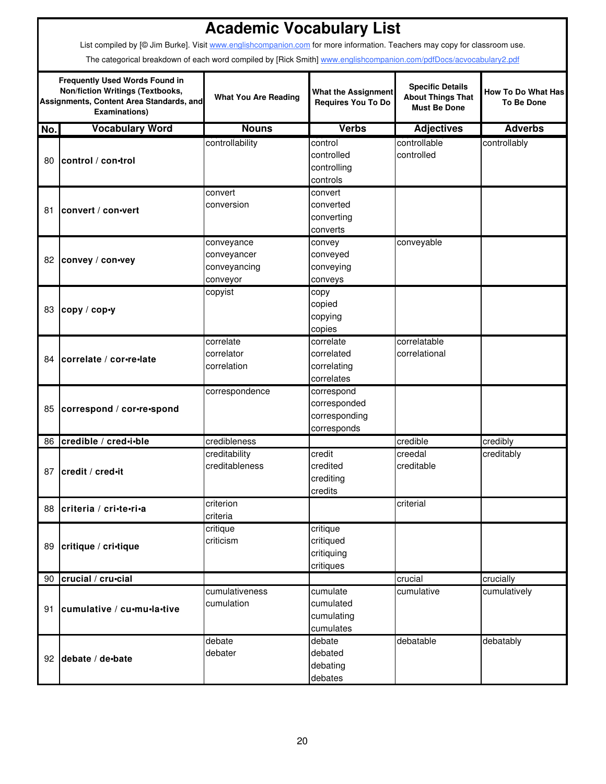|     | <b>Academic Vocabulary List</b><br>List compiled by [@ Jim Burke]. Visit www.englishcompanion.com for more information. Teachers may copy for classroom use. |                                                       |                                                            |                                                                            |                                                |  |  |  |  |
|-----|--------------------------------------------------------------------------------------------------------------------------------------------------------------|-------------------------------------------------------|------------------------------------------------------------|----------------------------------------------------------------------------|------------------------------------------------|--|--|--|--|
|     | The categorical breakdown of each word compiled by [Rick Smith] www.englishcompanion.com/pdfDocs/acvocabulary2.pdf                                           |                                                       |                                                            |                                                                            |                                                |  |  |  |  |
|     | <b>Frequently Used Words Found in</b><br><b>Non/fiction Writings (Textbooks,</b><br>Assignments, Content Area Standards, and<br><b>Examinations)</b>         | <b>What You Are Reading</b>                           | <b>What the Assignment</b><br><b>Requires You To Do</b>    | <b>Specific Details</b><br><b>About Things That</b><br><b>Must Be Done</b> | <b>How To Do What Has</b><br><b>To Be Done</b> |  |  |  |  |
| No. | <b>Vocabulary Word</b>                                                                                                                                       | <b>Nouns</b>                                          | <b>Verbs</b>                                               | <b>Adjectives</b>                                                          | <b>Adverbs</b>                                 |  |  |  |  |
| 80  | control / con-trol                                                                                                                                           | controllability                                       | control<br>controlled<br>controlling<br>controls           | controllable<br>controlled                                                 | controllably                                   |  |  |  |  |
| 81  | convert / con-vert                                                                                                                                           | convert<br>conversion                                 | convert<br>converted<br>converting<br>converts             |                                                                            |                                                |  |  |  |  |
| 82  | convey / con-vey                                                                                                                                             | conveyance<br>conveyancer<br>conveyancing<br>conveyor | convey<br>conveyed<br>conveying<br>conveys                 | conveyable                                                                 |                                                |  |  |  |  |
| 83  | copy / cop•y                                                                                                                                                 | copyist                                               | copy<br>copied<br>copying<br>copies                        |                                                                            |                                                |  |  |  |  |
| 84  | correlate / cor-re-late                                                                                                                                      | correlate<br>correlator<br>correlation                | correlate<br>correlated<br>correlating<br>correlates       | correlatable<br>correlational                                              |                                                |  |  |  |  |
| 85  | correspond / cor-re-spond                                                                                                                                    | correspondence                                        | correspond<br>corresponded<br>corresponding<br>corresponds |                                                                            |                                                |  |  |  |  |
| 86  | credible / cred-i-ble                                                                                                                                        | credibleness                                          |                                                            | credible                                                                   | credibly                                       |  |  |  |  |
|     | 87 credit / cred-it                                                                                                                                          | creditability<br>creditableness                       | credit<br>credited<br>crediting<br>credits                 | creedal<br>creditable                                                      | creditably                                     |  |  |  |  |
| 88  | criteria / cri-te-ri-a                                                                                                                                       | criterion<br>criteria                                 |                                                            | criterial                                                                  |                                                |  |  |  |  |
| 89  | critique / cri-tique                                                                                                                                         | critique<br>criticism                                 | critique<br>critiqued<br>critiquing<br>critiques           |                                                                            |                                                |  |  |  |  |
|     | 90 crucial / cru•cial                                                                                                                                        |                                                       |                                                            | crucial                                                                    | crucially                                      |  |  |  |  |
| 91  | cumulative / cu-mu-la-tive                                                                                                                                   | cumulativeness<br>cumulation                          | cumulate<br>cumulated<br>cumulating<br>cumulates           | cumulative                                                                 | cumulatively                                   |  |  |  |  |
|     | 92 debate / de-bate                                                                                                                                          | debate<br>debater                                     | debate<br>debated<br>debating<br>debates                   | debatable                                                                  | debatably                                      |  |  |  |  |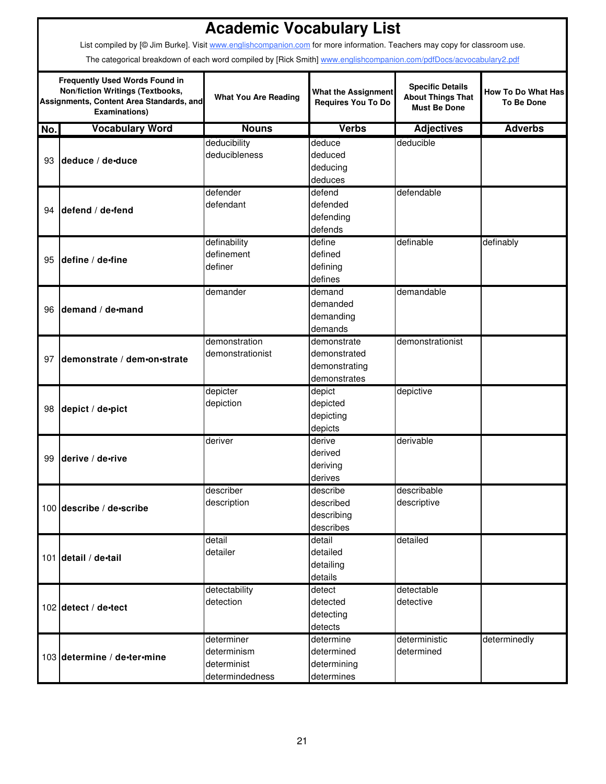|     | <b>Academic Vocabulary List</b>                                                                                                                      |                             |                                                         |                                                                            |                                                |  |  |  |  |
|-----|------------------------------------------------------------------------------------------------------------------------------------------------------|-----------------------------|---------------------------------------------------------|----------------------------------------------------------------------------|------------------------------------------------|--|--|--|--|
|     | List compiled by [@ Jim Burke]. Visit www.englishcompanion.com for more information. Teachers may copy for classroom use.                            |                             |                                                         |                                                                            |                                                |  |  |  |  |
|     | The categorical breakdown of each word compiled by [Rick Smith] www.englishcompanion.com/pdfDocs/acvocabulary2.pdf                                   |                             |                                                         |                                                                            |                                                |  |  |  |  |
|     | <b>Frequently Used Words Found in</b><br><b>Non/fiction Writings (Textbooks,</b><br>Assignments, Content Area Standards, and<br><b>Examinations)</b> | <b>What You Are Reading</b> | <b>What the Assignment</b><br><b>Requires You To Do</b> | <b>Specific Details</b><br><b>About Things That</b><br><b>Must Be Done</b> | <b>How To Do What Has</b><br><b>To Be Done</b> |  |  |  |  |
| No. | <b>Vocabulary Word</b>                                                                                                                               | <b>Nouns</b>                | <b>Verbs</b>                                            | <b>Adjectives</b>                                                          | <b>Adverbs</b>                                 |  |  |  |  |
|     |                                                                                                                                                      | deducibility                | deduce                                                  | deducible                                                                  |                                                |  |  |  |  |
| 93  | deduce / de-duce                                                                                                                                     | deducibleness               | deduced                                                 |                                                                            |                                                |  |  |  |  |
|     |                                                                                                                                                      |                             | deducing                                                |                                                                            |                                                |  |  |  |  |
|     |                                                                                                                                                      |                             | deduces                                                 |                                                                            |                                                |  |  |  |  |
|     |                                                                                                                                                      | defender                    | defend                                                  | defendable                                                                 |                                                |  |  |  |  |
| 94  | defend / de-fend                                                                                                                                     | defendant                   | defended                                                |                                                                            |                                                |  |  |  |  |
|     |                                                                                                                                                      |                             | defending                                               |                                                                            |                                                |  |  |  |  |
|     |                                                                                                                                                      |                             | defends<br>define                                       | definable                                                                  |                                                |  |  |  |  |
|     |                                                                                                                                                      | definability<br>definement  | defined                                                 |                                                                            | definably                                      |  |  |  |  |
| 95  | define / de-fine                                                                                                                                     | definer                     | defining                                                |                                                                            |                                                |  |  |  |  |
|     |                                                                                                                                                      |                             | defines                                                 |                                                                            |                                                |  |  |  |  |
|     |                                                                                                                                                      | demander                    | demand                                                  | demandable                                                                 |                                                |  |  |  |  |
|     |                                                                                                                                                      |                             | demanded                                                |                                                                            |                                                |  |  |  |  |
| 96  | demand / de-mand                                                                                                                                     |                             | demanding                                               |                                                                            |                                                |  |  |  |  |
|     |                                                                                                                                                      |                             | demands                                                 |                                                                            |                                                |  |  |  |  |
|     |                                                                                                                                                      | demonstration               | demonstrate                                             | demonstrationist                                                           |                                                |  |  |  |  |
| 97  | Idemonstrate / dem-on-strate                                                                                                                         | demonstrationist            | demonstrated                                            |                                                                            |                                                |  |  |  |  |
|     |                                                                                                                                                      |                             | demonstrating                                           |                                                                            |                                                |  |  |  |  |
|     |                                                                                                                                                      |                             | demonstrates                                            |                                                                            |                                                |  |  |  |  |
|     |                                                                                                                                                      | depicter                    | depict                                                  | depictive                                                                  |                                                |  |  |  |  |
|     | 98 depict / de-pict                                                                                                                                  | depiction                   | depicted                                                |                                                                            |                                                |  |  |  |  |
|     |                                                                                                                                                      |                             | depicting                                               |                                                                            |                                                |  |  |  |  |
|     |                                                                                                                                                      |                             | depicts                                                 |                                                                            |                                                |  |  |  |  |
|     |                                                                                                                                                      | deriver                     | derive                                                  | derivable                                                                  |                                                |  |  |  |  |
| 99  | derive / de•rive                                                                                                                                     |                             | derived                                                 |                                                                            |                                                |  |  |  |  |
|     |                                                                                                                                                      |                             | deriving                                                |                                                                            |                                                |  |  |  |  |
|     |                                                                                                                                                      | describer                   | derives<br>describe                                     | describable                                                                |                                                |  |  |  |  |
|     |                                                                                                                                                      | description                 | described                                               | descriptive                                                                |                                                |  |  |  |  |
|     | 100 describe / de-scribe                                                                                                                             |                             | describing                                              |                                                                            |                                                |  |  |  |  |
|     |                                                                                                                                                      |                             | describes                                               |                                                                            |                                                |  |  |  |  |
|     |                                                                                                                                                      | detail                      | detail                                                  | detailed                                                                   |                                                |  |  |  |  |
|     |                                                                                                                                                      | detailer                    | detailed                                                |                                                                            |                                                |  |  |  |  |
|     | 101 detail / de-tail                                                                                                                                 |                             | detailing                                               |                                                                            |                                                |  |  |  |  |
|     |                                                                                                                                                      |                             | details                                                 |                                                                            |                                                |  |  |  |  |
|     |                                                                                                                                                      | detectability               | detect                                                  | detectable                                                                 |                                                |  |  |  |  |
|     | 102 detect / de-tect                                                                                                                                 | detection                   | detected                                                | detective                                                                  |                                                |  |  |  |  |
|     |                                                                                                                                                      |                             | detecting                                               |                                                                            |                                                |  |  |  |  |
|     |                                                                                                                                                      |                             | detects                                                 |                                                                            |                                                |  |  |  |  |
|     |                                                                                                                                                      | determiner                  | determine                                               | deterministic                                                              | determinedly                                   |  |  |  |  |
|     | 103 determine / de-ter-mine                                                                                                                          | determinism                 | determined                                              | determined                                                                 |                                                |  |  |  |  |
|     |                                                                                                                                                      | determinist                 | determining                                             |                                                                            |                                                |  |  |  |  |
|     |                                                                                                                                                      | determindedness             | determines                                              |                                                                            |                                                |  |  |  |  |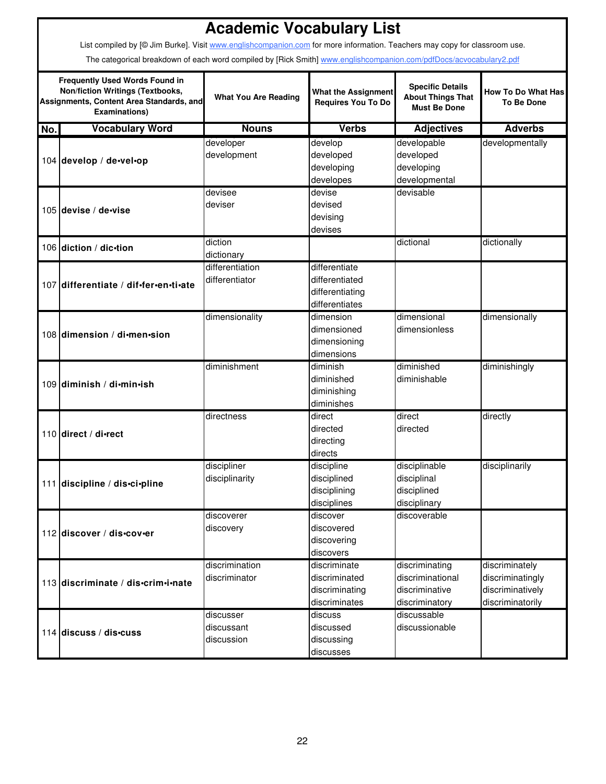|     | <b>Academic Vocabulary List</b>                                                                                                                                                                                                                 |                                       |                                                                      |                                                                            |                                                                            |  |  |  |
|-----|-------------------------------------------------------------------------------------------------------------------------------------------------------------------------------------------------------------------------------------------------|---------------------------------------|----------------------------------------------------------------------|----------------------------------------------------------------------------|----------------------------------------------------------------------------|--|--|--|
|     | List compiled by [© Jim Burke]. Visit www.englishcompanion.com for more information. Teachers may copy for classroom use.<br>The categorical breakdown of each word compiled by [Rick Smith] www.englishcompanion.com/pdfDocs/acvocabulary2.pdf |                                       |                                                                      |                                                                            |                                                                            |  |  |  |
|     | <b>Frequently Used Words Found in</b><br><b>Non/fiction Writings (Textbooks,</b><br>Assignments, Content Area Standards, and<br><b>Examinations)</b>                                                                                            | <b>What You Are Reading</b>           | <b>What the Assignment</b><br><b>Requires You To Do</b>              | <b>Specific Details</b><br><b>About Things That</b><br><b>Must Be Done</b> | <b>How To Do What Has</b><br><b>To Be Done</b>                             |  |  |  |
| No. | <b>Vocabulary Word</b>                                                                                                                                                                                                                          | <b>Nouns</b>                          | <b>Verbs</b>                                                         | <b>Adjectives</b>                                                          | <b>Adverbs</b>                                                             |  |  |  |
|     | 104 develop / de-vel-op                                                                                                                                                                                                                         | developer<br>development              | develop<br>developed<br>developing<br>developes                      | developable<br>developed<br>developing<br>developmental                    | developmentally                                                            |  |  |  |
|     | 105 devise / de-vise                                                                                                                                                                                                                            | devisee<br>deviser                    | devise<br>devised<br>devising<br>devises                             | devisable                                                                  |                                                                            |  |  |  |
|     | 106 diction / dic-tion                                                                                                                                                                                                                          | diction<br>dictionary                 |                                                                      | dictional                                                                  | dictionally                                                                |  |  |  |
|     | 107 differentiate / dif-fer-en-ti-ate                                                                                                                                                                                                           | differentiation<br>differentiator     | differentiate<br>differentiated<br>differentiating<br>differentiates |                                                                            |                                                                            |  |  |  |
|     | 108 dimension / di-men-sion                                                                                                                                                                                                                     | dimensionality                        | dimension<br>dimensioned<br>dimensioning<br>dimensions               | dimensional<br>dimensionless                                               | dimensionally                                                              |  |  |  |
|     | 109 diminish / di-min-ish                                                                                                                                                                                                                       | diminishment                          | diminish<br>diminished<br>diminishing<br>diminishes                  | diminished<br>diminishable                                                 | diminishingly                                                              |  |  |  |
|     | 110 direct / di-rect                                                                                                                                                                                                                            | directness                            | direct<br>directed<br>directing<br>directs                           | direct<br>directed                                                         | directly                                                                   |  |  |  |
|     | 111 discipline / dis-ci-pline                                                                                                                                                                                                                   | discipliner<br>disciplinarity         | discipline<br>disciplined<br>disciplining<br>disciplines             | disciplinable<br>disciplinal<br>disciplined<br>disciplinary                | disciplinarily                                                             |  |  |  |
|     | 112 discover / dis-cov-er                                                                                                                                                                                                                       | discoverer<br>discovery               | discover<br>discovered<br>discovering<br>discovers                   | discoverable                                                               |                                                                            |  |  |  |
|     | 113 discriminate / dis-crim-i-nate                                                                                                                                                                                                              | discrimination<br>discriminator       | discriminate<br>discriminated<br>discriminating<br>discriminates     | discriminating<br>discriminational<br>discriminative<br>discriminatory     | discriminately<br>discriminatingly<br>discriminatively<br>discriminatorily |  |  |  |
|     | 114 discuss / dis-cuss                                                                                                                                                                                                                          | discusser<br>discussant<br>discussion | discuss<br>discussed<br>discussing<br>discusses                      | discussable<br>discussionable                                              |                                                                            |  |  |  |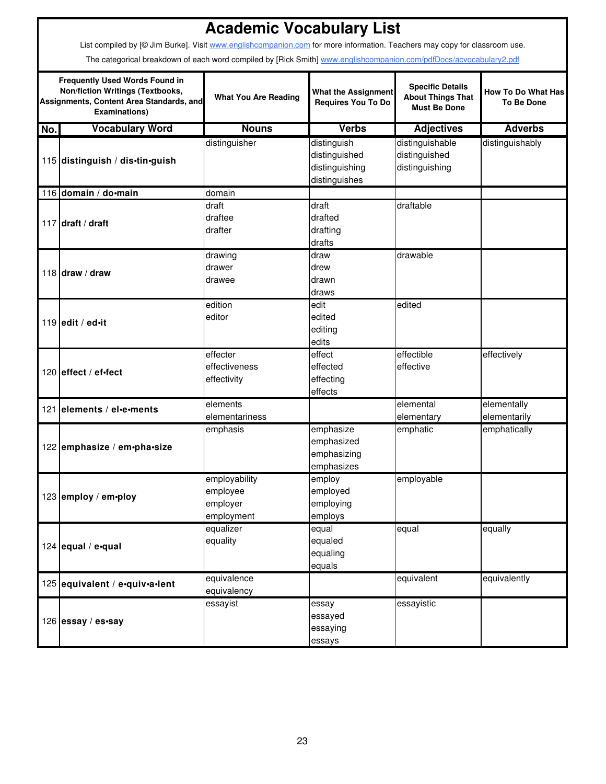|     | <b>Academic Vocabulary List</b>                                                                                                                      |                                                     |                                                                 |                                                                            |                                         |  |  |  |
|-----|------------------------------------------------------------------------------------------------------------------------------------------------------|-----------------------------------------------------|-----------------------------------------------------------------|----------------------------------------------------------------------------|-----------------------------------------|--|--|--|
|     | List compiled by [@ Jim Burke]. Visit www.englishcompanion.com for more information. Teachers may copy for classroom use.                            |                                                     |                                                                 |                                                                            |                                         |  |  |  |
|     | The categorical breakdown of each word compiled by [Rick Smith] www.englishcompanion.com/pdfDocs/acvocabulary2.pdf                                   |                                                     |                                                                 |                                                                            |                                         |  |  |  |
|     | <b>Frequently Used Words Found in</b><br><b>Non/fiction Writings (Textbooks,</b><br>Assignments, Content Area Standards, and<br><b>Examinations)</b> | <b>What You Are Reading</b>                         | <b>What the Assignment</b><br><b>Requires You To Do</b>         | <b>Specific Details</b><br><b>About Things That</b><br><b>Must Be Done</b> | How To Do What Has<br><b>To Be Done</b> |  |  |  |
| No. | <b>Vocabulary Word</b>                                                                                                                               | <b>Nouns</b>                                        | <b>Verbs</b>                                                    | <b>Adjectives</b>                                                          | <b>Adverbs</b>                          |  |  |  |
|     | 115 distinguish / dis-tin-guish                                                                                                                      | distinguisher                                       | distinguish<br>distinguished<br>distinguishing<br>distinguishes | distinguishable<br>distinguished<br>distinguishing                         | distinguishably                         |  |  |  |
|     | 116 domain / do-main                                                                                                                                 | domain                                              |                                                                 |                                                                            |                                         |  |  |  |
|     | 117 draft / draft                                                                                                                                    | draft<br>draftee<br>drafter                         | draft<br>drafted<br>drafting<br>drafts                          | draftable                                                                  |                                         |  |  |  |
|     | 118 draw / draw                                                                                                                                      | drawing<br>drawer<br>drawee                         | draw<br>drew<br>drawn<br>draws                                  | drawable                                                                   |                                         |  |  |  |
|     | 119 ledit / ed $\cdot$ it                                                                                                                            | edition<br>editor                                   | edit<br>edited<br>editing<br>edits                              | edited                                                                     |                                         |  |  |  |
|     | 120 effect / ef-fect                                                                                                                                 | effecter<br>effectiveness<br>effectivity            | effect<br>effected<br>effecting<br>effects                      | effectible<br>effective                                                    | effectively                             |  |  |  |
|     | 121 elements / el-e-ments                                                                                                                            | elements<br>elementariness                          |                                                                 | elemental<br>elementary                                                    | elementally<br>elementarily             |  |  |  |
|     | 122 emphasize / em•pha•size                                                                                                                          | emphasis                                            | emphasize<br>emphasized<br>emphasizing<br>emphasizes            | emphatic                                                                   | emphatically                            |  |  |  |
|     | 123 employ / em•ploy                                                                                                                                 | employability<br>employee<br>employer<br>employment | employ<br>employed<br>employing<br>employs                      | employable                                                                 |                                         |  |  |  |
|     | 124 equal / e-qual                                                                                                                                   | equalizer<br>equality                               | equal<br>equaled<br>equaling<br>equals                          | equal                                                                      | equally                                 |  |  |  |
|     | 125 equivalent / e-quiv-a-lent                                                                                                                       | equivalence<br>equivalency                          |                                                                 | equivalent                                                                 | equivalently                            |  |  |  |
|     | 126 essay / es•say                                                                                                                                   | essayist                                            | essay<br>essayed<br>essaying<br>essays                          | essayistic                                                                 |                                         |  |  |  |

ī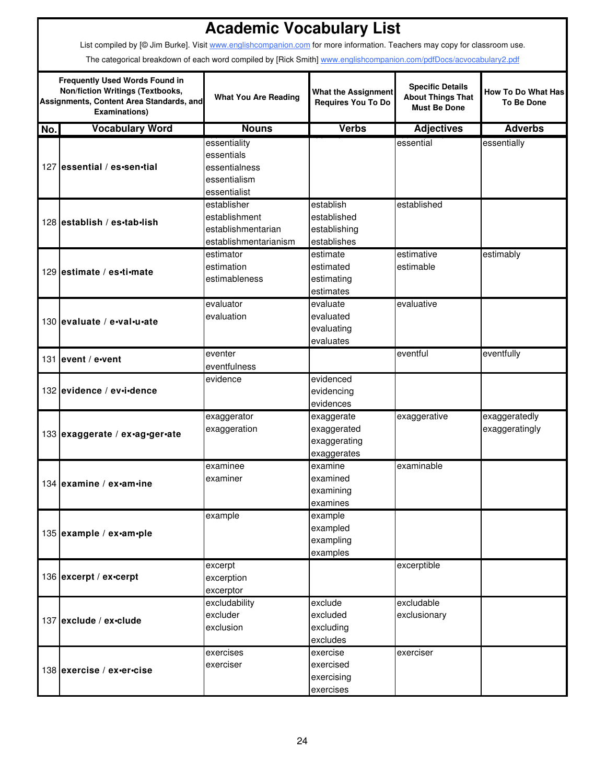|     |                                                                                                                                                      | <b>Academic Vocabulary List</b> |                                                         |                                                                            |                                                |  |  |  |  |
|-----|------------------------------------------------------------------------------------------------------------------------------------------------------|---------------------------------|---------------------------------------------------------|----------------------------------------------------------------------------|------------------------------------------------|--|--|--|--|
|     | List compiled by [@ Jim Burke]. Visit www.englishcompanion.com for more information. Teachers may copy for classroom use.                            |                                 |                                                         |                                                                            |                                                |  |  |  |  |
|     | The categorical breakdown of each word compiled by [Rick Smith] www.englishcompanion.com/pdfDocs/acvocabulary2.pdf                                   |                                 |                                                         |                                                                            |                                                |  |  |  |  |
|     | <b>Frequently Used Words Found in</b><br><b>Non/fiction Writings (Textbooks,</b><br>Assignments, Content Area Standards, and<br><b>Examinations)</b> | <b>What You Are Reading</b>     | <b>What the Assignment</b><br><b>Requires You To Do</b> | <b>Specific Details</b><br><b>About Things That</b><br><b>Must Be Done</b> | <b>How To Do What Has</b><br><b>To Be Done</b> |  |  |  |  |
| No. | <b>Vocabulary Word</b>                                                                                                                               | <b>Nouns</b>                    | <b>Verbs</b>                                            | <b>Adjectives</b>                                                          | <b>Adverbs</b>                                 |  |  |  |  |
|     |                                                                                                                                                      | essentiality                    |                                                         | essential                                                                  | essentially                                    |  |  |  |  |
|     |                                                                                                                                                      | essentials                      |                                                         |                                                                            |                                                |  |  |  |  |
|     | 127 essential / es-sen-tial                                                                                                                          | essentialness                   |                                                         |                                                                            |                                                |  |  |  |  |
|     |                                                                                                                                                      | essentialism                    |                                                         |                                                                            |                                                |  |  |  |  |
|     |                                                                                                                                                      | essentialist                    |                                                         |                                                                            |                                                |  |  |  |  |
|     |                                                                                                                                                      | establisher                     | establish                                               | established                                                                |                                                |  |  |  |  |
|     | 128 establish / es-tab-lish                                                                                                                          | establishment                   | established                                             |                                                                            |                                                |  |  |  |  |
|     |                                                                                                                                                      | establishmentarian              | establishing                                            |                                                                            |                                                |  |  |  |  |
|     |                                                                                                                                                      | establishmentarianism           | establishes                                             |                                                                            |                                                |  |  |  |  |
|     |                                                                                                                                                      | estimator                       | estimate                                                | estimative                                                                 | estimably                                      |  |  |  |  |
|     | 129 estimate / es-ti-mate                                                                                                                            | estimation                      | estimated                                               | estimable                                                                  |                                                |  |  |  |  |
|     |                                                                                                                                                      | estimableness                   | estimating                                              |                                                                            |                                                |  |  |  |  |
|     |                                                                                                                                                      |                                 | estimates                                               |                                                                            |                                                |  |  |  |  |
|     |                                                                                                                                                      | evaluator                       | evaluate                                                | evaluative                                                                 |                                                |  |  |  |  |
|     | 130 levaluate / e-val-u-ate                                                                                                                          | evaluation                      | evaluated                                               |                                                                            |                                                |  |  |  |  |
|     |                                                                                                                                                      |                                 | evaluating                                              |                                                                            |                                                |  |  |  |  |
|     |                                                                                                                                                      |                                 | evaluates                                               |                                                                            |                                                |  |  |  |  |
|     | 131 levent / e-vent                                                                                                                                  | eventer<br>eventfulness         |                                                         | eventful                                                                   | eventfully                                     |  |  |  |  |
|     |                                                                                                                                                      | evidence                        | evidenced                                               |                                                                            |                                                |  |  |  |  |
|     | 132 levidence / ev-i-dence                                                                                                                           |                                 | evidencing                                              |                                                                            |                                                |  |  |  |  |
|     |                                                                                                                                                      |                                 | evidences                                               |                                                                            |                                                |  |  |  |  |
|     |                                                                                                                                                      | exaggerator                     | exaggerate                                              | exaggerative                                                               | exaggeratedly                                  |  |  |  |  |
|     |                                                                                                                                                      | exaggeration                    | exaggerated                                             |                                                                            | exaggeratingly                                 |  |  |  |  |
|     | 133 exaggerate / ex-ag-ger-ate                                                                                                                       |                                 | exaggerating                                            |                                                                            |                                                |  |  |  |  |
|     |                                                                                                                                                      |                                 | exaggerates                                             |                                                                            |                                                |  |  |  |  |
|     |                                                                                                                                                      | examinee                        | examine                                                 | examinable                                                                 |                                                |  |  |  |  |
|     | 134 examine / ex-am-ine                                                                                                                              | examiner                        | examined                                                |                                                                            |                                                |  |  |  |  |
|     |                                                                                                                                                      |                                 | examining                                               |                                                                            |                                                |  |  |  |  |
|     |                                                                                                                                                      |                                 | examines                                                |                                                                            |                                                |  |  |  |  |
|     |                                                                                                                                                      | example                         | example                                                 |                                                                            |                                                |  |  |  |  |
|     | 135 example / ex-am-ple                                                                                                                              |                                 | exampled                                                |                                                                            |                                                |  |  |  |  |
|     |                                                                                                                                                      |                                 | exampling                                               |                                                                            |                                                |  |  |  |  |
|     |                                                                                                                                                      |                                 | examples                                                |                                                                            |                                                |  |  |  |  |
|     |                                                                                                                                                      | excerpt                         |                                                         | excerptible                                                                |                                                |  |  |  |  |
|     | 136 excerpt / ex-cerpt                                                                                                                               | excerption                      |                                                         |                                                                            |                                                |  |  |  |  |
|     |                                                                                                                                                      | excerptor                       |                                                         |                                                                            |                                                |  |  |  |  |
|     |                                                                                                                                                      | excludability                   | exclude                                                 | excludable                                                                 |                                                |  |  |  |  |
|     | 137 exclude / ex-clude                                                                                                                               | excluder                        | excluded                                                | exclusionary                                                               |                                                |  |  |  |  |
|     |                                                                                                                                                      | exclusion                       | excluding                                               |                                                                            |                                                |  |  |  |  |
|     |                                                                                                                                                      |                                 | excludes                                                |                                                                            |                                                |  |  |  |  |
|     |                                                                                                                                                      | exercises                       | exercise                                                | exerciser                                                                  |                                                |  |  |  |  |
|     | 138 exercise / ex-er-cise                                                                                                                            | exerciser                       | exercised                                               |                                                                            |                                                |  |  |  |  |
|     |                                                                                                                                                      |                                 | exercising                                              |                                                                            |                                                |  |  |  |  |

exercises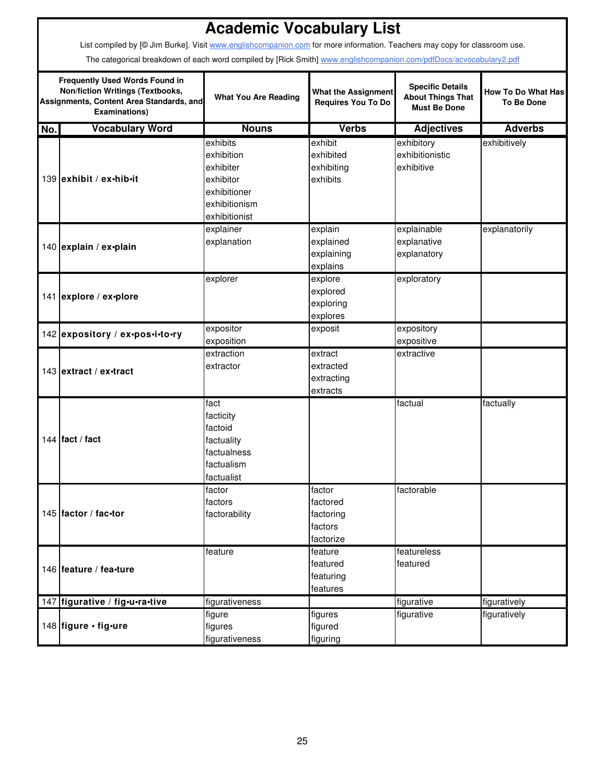|     |                                                                                                                                                                                                                                                 | <b>Academic Vocabulary List</b>                                                                    |                                                         |                                                                            |                                                |  |  |  |  |
|-----|-------------------------------------------------------------------------------------------------------------------------------------------------------------------------------------------------------------------------------------------------|----------------------------------------------------------------------------------------------------|---------------------------------------------------------|----------------------------------------------------------------------------|------------------------------------------------|--|--|--|--|
|     | List compiled by [@ Jim Burke]. Visit www.englishcompanion.com for more information. Teachers may copy for classroom use.<br>The categorical breakdown of each word compiled by [Rick Smith] www.englishcompanion.com/pdfDocs/acvocabulary2.pdf |                                                                                                    |                                                         |                                                                            |                                                |  |  |  |  |
|     | <b>Frequently Used Words Found in</b><br>Non/fiction Writings (Textbooks,<br>Assignments, Content Area Standards, and<br><b>Examinations)</b>                                                                                                   | <b>What You Are Reading</b>                                                                        | <b>What the Assignment</b><br><b>Requires You To Do</b> | <b>Specific Details</b><br><b>About Things That</b><br><b>Must Be Done</b> | <b>How To Do What Has</b><br><b>To Be Done</b> |  |  |  |  |
| No. | <b>Vocabulary Word</b>                                                                                                                                                                                                                          | <b>Nouns</b>                                                                                       | <b>Verbs</b>                                            | <b>Adjectives</b>                                                          | <b>Adverbs</b>                                 |  |  |  |  |
|     | 139 exhibit / ex-hib-it                                                                                                                                                                                                                         | exhibits<br>exhibition<br>exhibiter<br>exhibitor<br>exhibitioner<br>exhibitionism<br>exhibitionist | exhibit<br>exhibited<br>exhibiting<br>exhibits          | exhibitory<br>exhibitionistic<br>exhibitive                                | exhibitively                                   |  |  |  |  |
|     | 140 explain / ex-plain                                                                                                                                                                                                                          | explainer<br>explanation                                                                           | explain<br>explained<br>explaining<br>explains          | explainable<br>explanative<br>explanatory                                  | explanatorily                                  |  |  |  |  |
|     | 141 explore / ex-plore                                                                                                                                                                                                                          | explorer                                                                                           | explore<br>explored<br>exploring<br>explores            | exploratory                                                                |                                                |  |  |  |  |
|     | 142 expository / ex-pos-i-to-ry                                                                                                                                                                                                                 | expositor<br>exposition                                                                            | exposit                                                 | expository<br>expositive                                                   |                                                |  |  |  |  |
|     | 143 extract / ex-tract                                                                                                                                                                                                                          | extraction<br>extractor                                                                            | extract<br>extracted<br>extracting<br>extracts          | extractive                                                                 |                                                |  |  |  |  |
|     | 144 fact / fact                                                                                                                                                                                                                                 | fact<br>facticity<br>factoid<br>factuality<br>factualness<br>factualism<br>factualist              |                                                         | factual                                                                    | factually                                      |  |  |  |  |
|     | 145 factor / fac-tor                                                                                                                                                                                                                            | factor<br>factors<br>factorability                                                                 | factor<br>factored<br>factoring<br>factors<br>factorize | factorable                                                                 |                                                |  |  |  |  |
|     | 146 feature / fea-ture                                                                                                                                                                                                                          | feature                                                                                            | feature<br>featured<br>featuring<br>features            | featureless<br>featured                                                    |                                                |  |  |  |  |
|     | 147 figurative / fig-u-ra-tive                                                                                                                                                                                                                  | figurativeness                                                                                     |                                                         | figurative                                                                 | figuratively                                   |  |  |  |  |
|     | 148 figure · fig·ure                                                                                                                                                                                                                            | figure<br>figures<br>figurativeness                                                                | figures<br>figured<br>figuring                          | figurative                                                                 | figuratively                                   |  |  |  |  |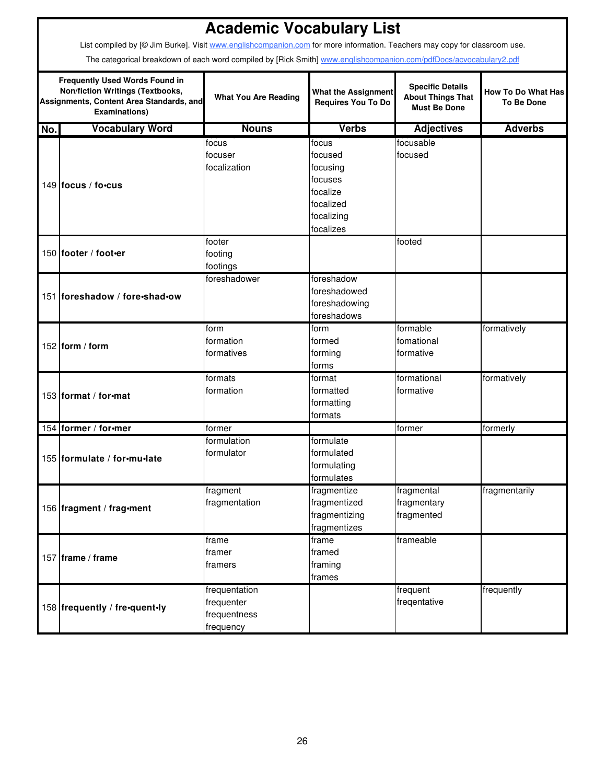|     | <b>Academic Vocabulary List</b>                                                                                                                      |                                                          |                                                                                |                                                                            |                                                |  |  |  |
|-----|------------------------------------------------------------------------------------------------------------------------------------------------------|----------------------------------------------------------|--------------------------------------------------------------------------------|----------------------------------------------------------------------------|------------------------------------------------|--|--|--|
|     | List compiled by [@ Jim Burke]. Visit www.englishcompanion.com for more information. Teachers may copy for classroom use.                            |                                                          |                                                                                |                                                                            |                                                |  |  |  |
|     | The categorical breakdown of each word compiled by [Rick Smith] www.englishcompanion.com/pdfDocs/acvocabulary2.pdf                                   |                                                          |                                                                                |                                                                            |                                                |  |  |  |
|     | <b>Frequently Used Words Found in</b><br><b>Non/fiction Writings (Textbooks,</b><br>Assignments, Content Area Standards, and<br><b>Examinations)</b> | <b>What You Are Reading</b>                              | <b>What the Assignment</b><br><b>Requires You To Do</b>                        | <b>Specific Details</b><br><b>About Things That</b><br><b>Must Be Done</b> | <b>How To Do What Has</b><br><b>To Be Done</b> |  |  |  |
| No. | <b>Vocabulary Word</b>                                                                                                                               | <b>Nouns</b>                                             | <b>Verbs</b>                                                                   | <b>Adjectives</b>                                                          | <b>Adverbs</b>                                 |  |  |  |
|     | 149 focus / fo.cus                                                                                                                                   | focus<br>focuser<br>focalization                         | focus<br>focused<br>focusing<br>focuses<br>focalize<br>focalized<br>focalizing | focusable<br>focused                                                       |                                                |  |  |  |
|     | 150 footer / foot-er                                                                                                                                 | footer<br>footing<br>footings                            | focalizes                                                                      | footed                                                                     |                                                |  |  |  |
|     | 151 foreshadow / fore · shad · ow                                                                                                                    | foreshadower                                             | foreshadow<br>foreshadowed<br>foreshadowing<br>foreshadows                     |                                                                            |                                                |  |  |  |
|     | 152 form / form                                                                                                                                      | form<br>formation<br>formatives                          | form<br>formed<br>forming<br>forms                                             | formable<br>fomational<br>formative                                        | formatively                                    |  |  |  |
|     | 153 Iformat / for-mat                                                                                                                                | formats<br>formation                                     | format<br>formatted<br>formatting<br>formats                                   | formational<br>formative                                                   | formatively                                    |  |  |  |
|     | 154 former / for-mer                                                                                                                                 | former                                                   |                                                                                | former                                                                     | formerly                                       |  |  |  |
|     | 155 formulate / for-mu-late                                                                                                                          | formulation<br>formulator                                | formulate<br>formulated<br>formulating<br>formulates                           |                                                                            |                                                |  |  |  |
|     | 156 fragment / frag-ment                                                                                                                             | fragment<br>fragmentation                                | fragmentize<br>fragmentized<br>fragmentizing<br>fragmentizes                   | fragmental<br>fragmentary<br>fragmented                                    | fragmentarily                                  |  |  |  |
|     | 157   frame / frame                                                                                                                                  | frame<br>framer<br>framers                               | frame<br>framed<br>framing<br>frames                                           | frameable                                                                  |                                                |  |  |  |
|     | 158 frequently / fre•quent•ly                                                                                                                        | frequentation<br>frequenter<br>frequentness<br>frequency |                                                                                | frequent<br>freqentative                                                   | frequently                                     |  |  |  |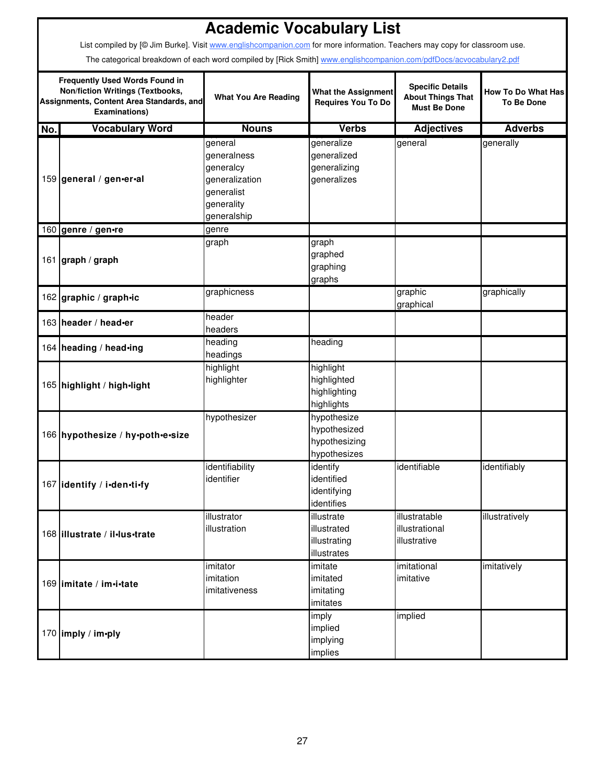|     | <b>Academic Vocabulary List</b><br>List compiled by [@ Jim Burke]. Visit www.englishcompanion.com for more information. Teachers may copy for classroom use. |                                                                                                  |                                                              |                                                                            |                                         |  |  |  |
|-----|--------------------------------------------------------------------------------------------------------------------------------------------------------------|--------------------------------------------------------------------------------------------------|--------------------------------------------------------------|----------------------------------------------------------------------------|-----------------------------------------|--|--|--|
|     | The categorical breakdown of each word compiled by [Rick Smith] www.englishcompanion.com/pdfDocs/acvocabulary2.pdf                                           |                                                                                                  |                                                              |                                                                            |                                         |  |  |  |
|     | <b>Frequently Used Words Found in</b><br><b>Non/fiction Writings (Textbooks,</b><br>Assignments, Content Area Standards, and<br><b>Examinations)</b>         | <b>What You Are Reading</b>                                                                      | <b>What the Assignment</b><br><b>Requires You To Do</b>      | <b>Specific Details</b><br><b>About Things That</b><br><b>Must Be Done</b> | How To Do What Has<br><b>To Be Done</b> |  |  |  |
| No. | <b>Vocabulary Word</b>                                                                                                                                       | <b>Nouns</b>                                                                                     | <b>Verbs</b>                                                 | <b>Adjectives</b>                                                          | <b>Adverbs</b>                          |  |  |  |
|     | 159 general / gen-er-al                                                                                                                                      | general<br>generalness<br>generalcy<br>generalization<br>generalist<br>generality<br>generalship | generalize<br>generalized<br>generalizing<br>generalizes     | general                                                                    | generally                               |  |  |  |
|     | 160 genre / gen•re                                                                                                                                           | genre                                                                                            |                                                              |                                                                            |                                         |  |  |  |
|     | 161 graph / graph                                                                                                                                            | graph                                                                                            | graph<br>graphed<br>graphing<br>graphs                       |                                                                            |                                         |  |  |  |
|     | 162 graphic / graph•ic                                                                                                                                       | graphicness                                                                                      |                                                              | graphic<br>graphical                                                       | graphically                             |  |  |  |
|     | 163 header / head-er                                                                                                                                         | header<br>headers                                                                                |                                                              |                                                                            |                                         |  |  |  |
|     | 164 heading / head-ing                                                                                                                                       | heading<br>headings                                                                              | heading                                                      |                                                                            |                                         |  |  |  |
|     | 165 highlight / high-light                                                                                                                                   | highlight<br>highlighter                                                                         | highlight<br>highlighted<br>highlighting<br>highlights       |                                                                            |                                         |  |  |  |
|     | 166 hypothesize / hy-poth-e-size                                                                                                                             | hypothesizer                                                                                     | hypothesize<br>hypothesized<br>hypothesizing<br>hypothesizes |                                                                            |                                         |  |  |  |
|     | 167 identify / i-den-ti-fy                                                                                                                                   | identifiability<br>identifier                                                                    | identify<br>identified<br>identifying<br>identifies          | identifiable                                                               | identifiably                            |  |  |  |
|     | 168 illustrate / il·lus·trate                                                                                                                                | illustrator<br>illustration                                                                      | illustrate<br>illustrated<br>illustrating<br>illustrates     | illustratable<br>illustrational<br>illustrative                            | illustratively                          |  |  |  |
|     | 169 imitate / im-i-tate                                                                                                                                      | imitator<br>imitation<br>imitativeness                                                           | imitate<br>imitated<br>imitating<br>imitates                 | imitational<br>imitative                                                   | imitatively                             |  |  |  |
|     | 170 imply / im-ply                                                                                                                                           |                                                                                                  | imply<br>implied<br>implying<br>implies                      | implied                                                                    |                                         |  |  |  |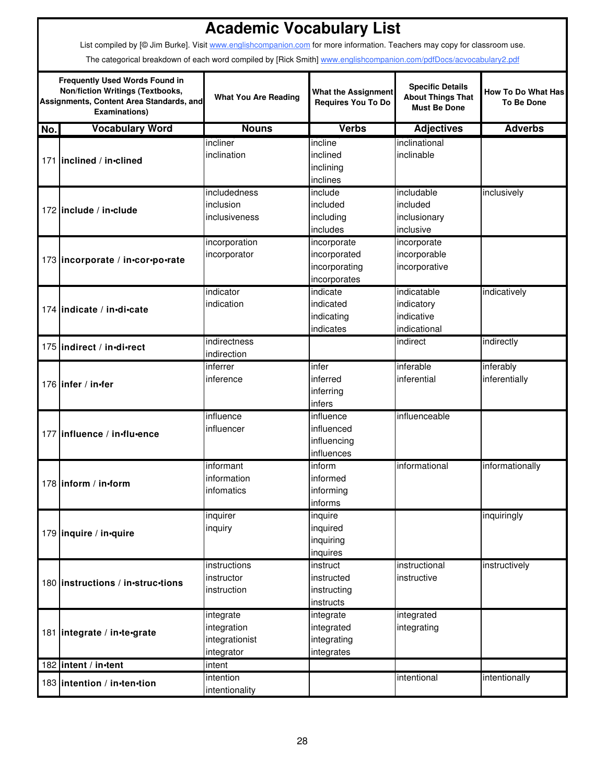|     | List compiled by [@ Jim Burke]. Visit www.englishcompanion.com for more information. Teachers may copy for classroom use.                                                                                                                                                  | <b>Academic Vocabulary List</b>                          |                                                              |                                                                            |                                                |
|-----|----------------------------------------------------------------------------------------------------------------------------------------------------------------------------------------------------------------------------------------------------------------------------|----------------------------------------------------------|--------------------------------------------------------------|----------------------------------------------------------------------------|------------------------------------------------|
|     | The categorical breakdown of each word compiled by [Rick Smith] www.englishcompanion.com/pdfDocs/acvocabulary2.pdf<br><b>Frequently Used Words Found in</b><br><b>Non/fiction Writings (Textbooks,</b><br>Assignments, Content Area Standards, and<br><b>Examinations)</b> | <b>What You Are Reading</b>                              | <b>What the Assignment</b><br>Requires You To Do             | <b>Specific Details</b><br><b>About Things That</b><br><b>Must Be Done</b> | <b>How To Do What Has</b><br><b>To Be Done</b> |
| No. | <b>Vocabulary Word</b>                                                                                                                                                                                                                                                     | <b>Nouns</b>                                             | <b>Verbs</b>                                                 | <b>Adjectives</b>                                                          | <b>Adverbs</b>                                 |
|     | 171 inclined / in-clined                                                                                                                                                                                                                                                   | incliner<br>inclination                                  | incline<br>inclined<br>inclining<br>inclines                 | inclinational<br>inclinable                                                |                                                |
|     | 172 linclude / in-clude                                                                                                                                                                                                                                                    | includedness<br>inclusion<br>inclusiveness               | include<br>included<br>including<br>includes                 | includable<br>included<br>inclusionary<br>inclusive                        | inclusively                                    |
|     | 173 incorporate / in•cor•po•rate                                                                                                                                                                                                                                           | incorporation<br>incorporator                            | incorporate<br>incorporated<br>incorporating<br>incorporates | incorporate<br>incorporable<br>incorporative                               |                                                |
|     | 174 indicate / in-di-cate                                                                                                                                                                                                                                                  | indicator<br>indication                                  | indicate<br>indicated<br>indicating<br>indicates             | indicatable<br>indicatory<br>indicative<br>indicational                    | indicatively                                   |
|     | 175 indirect / in-di-rect                                                                                                                                                                                                                                                  | indirectness<br>indirection                              |                                                              | indirect                                                                   | indirectly                                     |
|     | 176 infer / in-fer                                                                                                                                                                                                                                                         | inferrer<br>inference                                    | infer<br>inferred<br>inferring<br>infers                     | inferable<br>inferential                                                   | inferably<br>inferentially                     |
|     | 177 influence / in-flu-ence                                                                                                                                                                                                                                                | influence<br>influencer                                  | influence<br>influenced<br>influencing<br>influences         | influenceable                                                              |                                                |
|     | 178 inform / in-form                                                                                                                                                                                                                                                       | informant<br>information<br>infomatics                   | inform<br>informed<br>informing<br>informs                   | informational                                                              | informationally                                |
|     | 179 inquire / in-quire                                                                                                                                                                                                                                                     | inquirer<br>inquiry                                      | inquire<br>inquired<br>inquiring<br>inquires                 |                                                                            | inquiringly                                    |
|     | 180   instructions / in - struc-tions                                                                                                                                                                                                                                      | instructions<br>instructor<br>instruction                | instruct<br>instructed<br>instructing<br>instructs           | instructional<br>instructive                                               | instructively                                  |
|     | 181 integrate / in-te-grate                                                                                                                                                                                                                                                | integrate<br>integration<br>integrationist<br>integrator | integrate<br>integrated<br>integrating<br>integrates         | integrated<br>integrating                                                  |                                                |
|     | 182 intent / in-tent                                                                                                                                                                                                                                                       | intent                                                   |                                                              |                                                                            |                                                |
|     | 183 intention / in-ten-tion                                                                                                                                                                                                                                                | intention<br>intentionality                              |                                                              | intentional                                                                | intentionally                                  |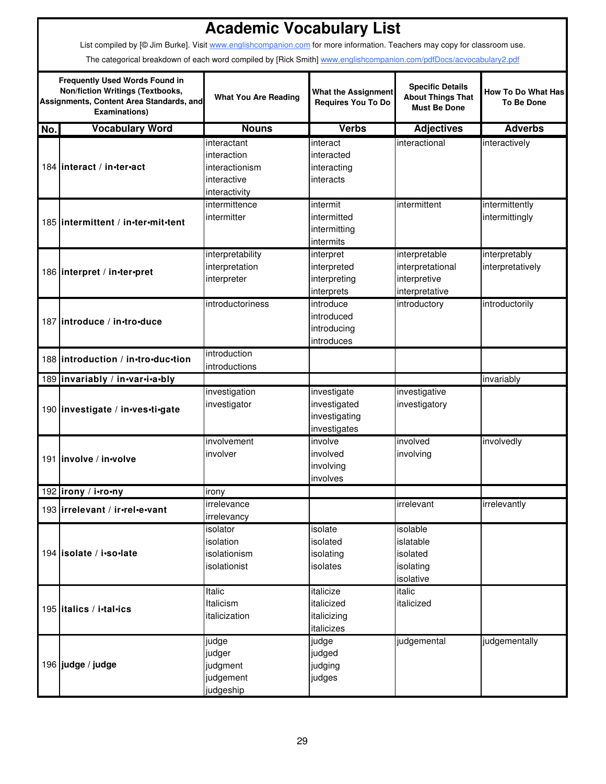|     | <b>Academic Vocabulary List</b>                                                                                                                      |                                                               |                                                         |                                                                            |                                                |  |  |  |  |
|-----|------------------------------------------------------------------------------------------------------------------------------------------------------|---------------------------------------------------------------|---------------------------------------------------------|----------------------------------------------------------------------------|------------------------------------------------|--|--|--|--|
|     | List compiled by [@ Jim Burke]. Visit www.englishcompanion.com for more information. Teachers may copy for classroom use.                            |                                                               |                                                         |                                                                            |                                                |  |  |  |  |
|     |                                                                                                                                                      |                                                               |                                                         |                                                                            |                                                |  |  |  |  |
|     | The categorical breakdown of each word compiled by [Rick Smith] www.englishcompanion.com/pdfDocs/acvocabulary2.pdf                                   |                                                               |                                                         |                                                                            |                                                |  |  |  |  |
|     | <b>Frequently Used Words Found in</b><br><b>Non/fiction Writings (Textbooks,</b><br>Assignments, Content Area Standards, and<br><b>Examinations)</b> | <b>What You Are Reading</b>                                   | <b>What the Assignment</b><br><b>Requires You To Do</b> | <b>Specific Details</b><br><b>About Things That</b><br><b>Must Be Done</b> | <b>How To Do What Has</b><br><b>To Be Done</b> |  |  |  |  |
| No. | <b>Vocabulary Word</b>                                                                                                                               | <b>Nouns</b>                                                  | <b>Verbs</b>                                            | <b>Adjectives</b>                                                          | <b>Adverbs</b>                                 |  |  |  |  |
|     |                                                                                                                                                      | interactant                                                   | interact                                                | interactional                                                              | interactively                                  |  |  |  |  |
|     | 184 linteract / in-ter-act                                                                                                                           | interaction<br>interactionism<br>interactive<br>interactivity | interacted<br>interacting<br>interacts                  |                                                                            |                                                |  |  |  |  |
|     |                                                                                                                                                      | intermittence                                                 | intermit                                                | intermittent                                                               | intermittently                                 |  |  |  |  |
|     | 185 lintermittent / in-ter-mit-tent                                                                                                                  | intermitter                                                   | intermitted<br>intermitting<br>intermits                |                                                                            | intermittingly                                 |  |  |  |  |
|     |                                                                                                                                                      | interpretability                                              | interpret                                               | interpretable                                                              | interpretably                                  |  |  |  |  |
|     | 186 interpret / in-ter-pret                                                                                                                          | interpretation                                                | interpreted                                             | interpretational                                                           | interpretatively                               |  |  |  |  |
|     |                                                                                                                                                      | interpreter                                                   | interpreting                                            | interpretive                                                               |                                                |  |  |  |  |
|     |                                                                                                                                                      |                                                               | interprets                                              | interpretative                                                             |                                                |  |  |  |  |
|     |                                                                                                                                                      | introductoriness                                              | introduce                                               | introductory                                                               | introductorily                                 |  |  |  |  |
|     | 187 introduce / in-tro-duce                                                                                                                          |                                                               | introduced                                              |                                                                            |                                                |  |  |  |  |
|     |                                                                                                                                                      |                                                               | introducing                                             |                                                                            |                                                |  |  |  |  |
|     |                                                                                                                                                      |                                                               | introduces                                              |                                                                            |                                                |  |  |  |  |
|     | 188 introduction / in-tro-duc-tion                                                                                                                   | introduction<br>introductions                                 |                                                         |                                                                            |                                                |  |  |  |  |
|     | 189 invariably / in-var-i-a-bly                                                                                                                      |                                                               |                                                         |                                                                            | invariably                                     |  |  |  |  |
|     |                                                                                                                                                      | investigation                                                 | investigate                                             | investigative                                                              |                                                |  |  |  |  |
|     | 190 investigate / in-ves-ti-gate                                                                                                                     | investigator                                                  | investigated<br>investigating<br>investigates           | investigatory                                                              |                                                |  |  |  |  |
|     |                                                                                                                                                      | involvement                                                   | involve                                                 | involved                                                                   | involvedly                                     |  |  |  |  |
|     | 191   involve / in volve                                                                                                                             | involver                                                      | involved                                                | involving                                                                  |                                                |  |  |  |  |
|     |                                                                                                                                                      |                                                               | involving                                               |                                                                            |                                                |  |  |  |  |
|     |                                                                                                                                                      |                                                               | involves                                                |                                                                            |                                                |  |  |  |  |
|     | 192 lirony / i.ro.ny                                                                                                                                 | irony                                                         |                                                         |                                                                            |                                                |  |  |  |  |
|     | 193 irrelevant / ir-rel-e-vant                                                                                                                       | irrelevance                                                   |                                                         | irrelevant                                                                 | irrelevantly                                   |  |  |  |  |
|     |                                                                                                                                                      | irrelevancy                                                   |                                                         |                                                                            |                                                |  |  |  |  |
|     |                                                                                                                                                      | isolator                                                      | isolate                                                 | isolable                                                                   |                                                |  |  |  |  |
|     | 194 isolate / i.so.late                                                                                                                              | isolation<br>isolationism                                     | isolated                                                | islatable<br>isolated                                                      |                                                |  |  |  |  |
|     |                                                                                                                                                      | isolationist                                                  | isolating<br>isolates                                   | isolating                                                                  |                                                |  |  |  |  |
|     |                                                                                                                                                      |                                                               |                                                         | isolative                                                                  |                                                |  |  |  |  |
|     |                                                                                                                                                      | <b>Italic</b>                                                 | italicize                                               | italic                                                                     |                                                |  |  |  |  |
|     |                                                                                                                                                      | Italicism                                                     | italicized                                              | italicized                                                                 |                                                |  |  |  |  |
|     | 195 litalics / i.tal.ics                                                                                                                             | italicization                                                 | italicizing                                             |                                                                            |                                                |  |  |  |  |
|     |                                                                                                                                                      |                                                               | italicizes                                              |                                                                            |                                                |  |  |  |  |
|     |                                                                                                                                                      | judge                                                         | judge                                                   | judgemental                                                                | judgementally                                  |  |  |  |  |
|     |                                                                                                                                                      | judger                                                        | judged                                                  |                                                                            |                                                |  |  |  |  |
|     | 196 judge / judge                                                                                                                                    | judgment                                                      | judging                                                 |                                                                            |                                                |  |  |  |  |
|     |                                                                                                                                                      | judgement                                                     | judges                                                  |                                                                            |                                                |  |  |  |  |
|     |                                                                                                                                                      | judgeship                                                     |                                                         |                                                                            |                                                |  |  |  |  |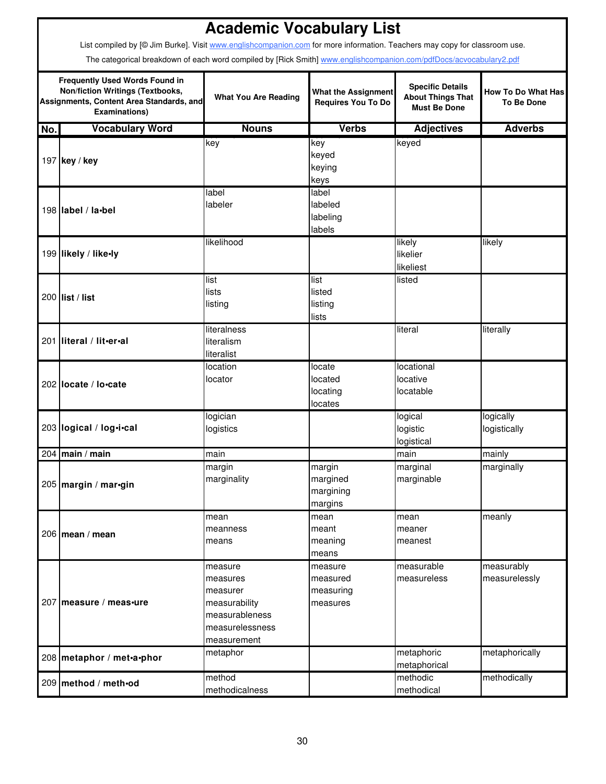|     |                                                                                                                                                                                                                                                 | <b>Academic Vocabulary List</b>                                                                      |                                                         |                                                                            |                                                |  |  |  |  |
|-----|-------------------------------------------------------------------------------------------------------------------------------------------------------------------------------------------------------------------------------------------------|------------------------------------------------------------------------------------------------------|---------------------------------------------------------|----------------------------------------------------------------------------|------------------------------------------------|--|--|--|--|
|     | List compiled by [@ Jim Burke]. Visit www.englishcompanion.com for more information. Teachers may copy for classroom use.<br>The categorical breakdown of each word compiled by [Rick Smith] www.englishcompanion.com/pdfDocs/acvocabulary2.pdf |                                                                                                      |                                                         |                                                                            |                                                |  |  |  |  |
|     | <b>Frequently Used Words Found in</b><br><b>Non/fiction Writings (Textbooks,</b><br>Assignments, Content Area Standards, and<br><b>Examinations)</b>                                                                                            | <b>What You Are Reading</b>                                                                          | <b>What the Assignment</b><br><b>Requires You To Do</b> | <b>Specific Details</b><br><b>About Things That</b><br><b>Must Be Done</b> | <b>How To Do What Has</b><br><b>To Be Done</b> |  |  |  |  |
| No. | <b>Vocabulary Word</b>                                                                                                                                                                                                                          | <b>Nouns</b>                                                                                         | <b>Verbs</b>                                            | <b>Adjectives</b>                                                          | <b>Adverbs</b>                                 |  |  |  |  |
|     | 197 key / key                                                                                                                                                                                                                                   | key                                                                                                  | key<br>keyed<br>keying<br>keys                          | keyed                                                                      |                                                |  |  |  |  |
|     | 198 label / la•bel                                                                                                                                                                                                                              | label<br>labeler                                                                                     | label<br>labeled<br>labeling<br>labels                  |                                                                            |                                                |  |  |  |  |
|     | 199 likely / like-ly                                                                                                                                                                                                                            | likelihood                                                                                           |                                                         | likely<br>likelier<br>likeliest                                            | likely                                         |  |  |  |  |
|     | 200 list / list                                                                                                                                                                                                                                 | list<br>lists<br>listing                                                                             | list<br>listed<br>listing<br>lists                      | listed                                                                     |                                                |  |  |  |  |
|     | 201 literal / lit.er.al                                                                                                                                                                                                                         | literalness<br>literalism<br>literalist                                                              |                                                         | literal                                                                    | literally                                      |  |  |  |  |
|     | 202 locate / lo.cate                                                                                                                                                                                                                            | location<br>locator                                                                                  | locate<br>located<br>locating<br>locates                | locational<br>locative<br>locatable                                        |                                                |  |  |  |  |
|     | 203 logical / log.i.cal                                                                                                                                                                                                                         | logician<br>logistics                                                                                |                                                         | logical<br>logistic<br>logistical                                          | logically<br>logistically                      |  |  |  |  |
|     | 204 main / main                                                                                                                                                                                                                                 | main                                                                                                 |                                                         | main                                                                       | mainly                                         |  |  |  |  |
|     | 205 margin / mar-gin                                                                                                                                                                                                                            | margin<br>marginality                                                                                | margin<br>margined<br>margining<br>margins              | marginal<br>marginable                                                     | marginally                                     |  |  |  |  |
|     | 206   mean / mean                                                                                                                                                                                                                               | mean<br>meanness<br>means                                                                            | mean<br>meant<br>meaning<br>means                       | mean<br>meaner<br>meanest                                                  | meanly                                         |  |  |  |  |
|     | 207 measure / meas-ure                                                                                                                                                                                                                          | measure<br>measures<br>measurer<br>measurability<br>measurableness<br>measurelessness<br>measurement | measure<br>measured<br>measuring<br>measures            | measurable<br>measureless                                                  | measurably<br>measurelessly                    |  |  |  |  |
|     | 208 metaphor / met-a-phor                                                                                                                                                                                                                       | metaphor                                                                                             |                                                         | metaphoric<br>metaphorical                                                 | metaphorically                                 |  |  |  |  |
|     | 209 method / meth•od                                                                                                                                                                                                                            | method<br>methodicalness                                                                             |                                                         | methodic<br>methodical                                                     | methodically                                   |  |  |  |  |

Ī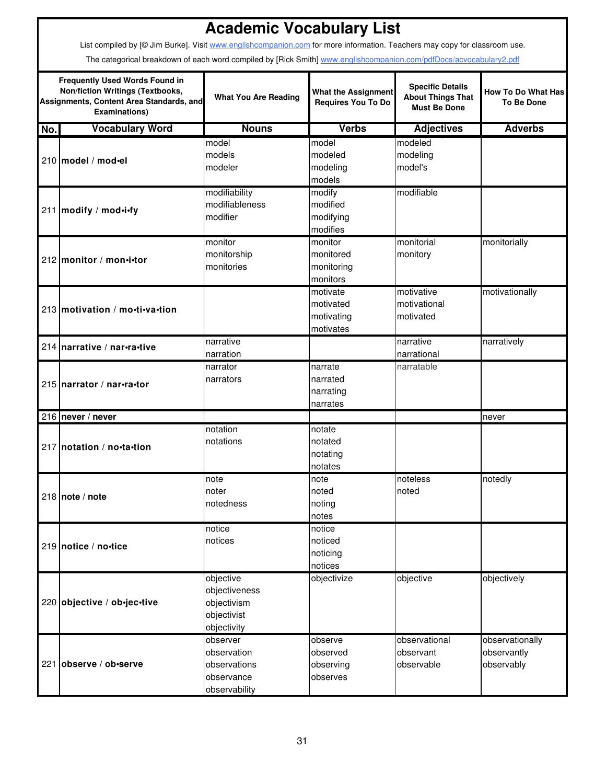|     |                                                                                                                                                                                                                                                 | <b>Academic Vocabulary List</b>                                         |                                                         |                                                                            |                                                |  |  |  |  |
|-----|-------------------------------------------------------------------------------------------------------------------------------------------------------------------------------------------------------------------------------------------------|-------------------------------------------------------------------------|---------------------------------------------------------|----------------------------------------------------------------------------|------------------------------------------------|--|--|--|--|
|     | List compiled by [@ Jim Burke]. Visit www.englishcompanion.com for more information. Teachers may copy for classroom use.<br>The categorical breakdown of each word compiled by [Rick Smith] www.englishcompanion.com/pdfDocs/acvocabulary2.pdf |                                                                         |                                                         |                                                                            |                                                |  |  |  |  |
|     | <b>Frequently Used Words Found in</b><br><b>Non/fiction Writings (Textbooks,</b><br>Assignments, Content Area Standards, and<br><b>Examinations)</b>                                                                                            | <b>What You Are Reading</b>                                             | <b>What the Assignment</b><br><b>Requires You To Do</b> | <b>Specific Details</b><br><b>About Things That</b><br><b>Must Be Done</b> | <b>How To Do What Has</b><br><b>To Be Done</b> |  |  |  |  |
| No. | <b>Vocabulary Word</b>                                                                                                                                                                                                                          | <b>Nouns</b>                                                            | <b>Verbs</b>                                            | <b>Adjectives</b>                                                          | <b>Adverbs</b>                                 |  |  |  |  |
|     | 210 model / mod-el                                                                                                                                                                                                                              | model<br>models<br>modeler                                              | model<br>modeled<br>modeling<br>models                  | modeled<br>modeling<br>model's                                             |                                                |  |  |  |  |
|     | 211 modify / mod-i-fy                                                                                                                                                                                                                           | modifiability<br>modifiableness<br>modifier                             | modify<br>modified<br>modifying<br>modifies             | modifiable                                                                 |                                                |  |  |  |  |
|     | 212 monitor / mon-i-tor                                                                                                                                                                                                                         | monitor<br>monitorship<br>monitories                                    | monitor<br>monitored<br>monitoring<br>monitors          | monitorial<br>monitory                                                     | monitorially                                   |  |  |  |  |
|     | 213 motivation / mo-ti-va-tion                                                                                                                                                                                                                  |                                                                         | motivate<br>motivated<br>motivating<br>motivates        | motivative<br>motivational<br>motivated                                    | motivationally                                 |  |  |  |  |
|     | 214 narrative / nar-ra-tive                                                                                                                                                                                                                     | narrative<br>narration                                                  |                                                         | narrative<br>narrational                                                   | narratively                                    |  |  |  |  |
|     | 215 Inarrator / nar-ra-tor                                                                                                                                                                                                                      | narrator<br>narrators                                                   | narrate<br>narrated<br>narrating<br>narrates            | narratable                                                                 |                                                |  |  |  |  |
|     | 216   never / never                                                                                                                                                                                                                             |                                                                         |                                                         |                                                                            | never                                          |  |  |  |  |
|     | 217 notation / no-ta-tion                                                                                                                                                                                                                       | notation<br>notations                                                   | notate<br>notated<br>notating<br>notates                |                                                                            |                                                |  |  |  |  |
|     | 218 note / note                                                                                                                                                                                                                                 | note<br>noter<br>notedness                                              | note<br>noted<br>noting<br>notes                        | noteless<br>noted                                                          | notedly                                        |  |  |  |  |
|     | 219 notice / no-tice                                                                                                                                                                                                                            | notice<br>notices                                                       | notice<br>noticed<br>noticing<br>notices                |                                                                            |                                                |  |  |  |  |
|     | 220 objective / ob-jec-tive                                                                                                                                                                                                                     | objective<br>objectiveness<br>objectivism<br>objectivist<br>objectivity | objectivize                                             | objective                                                                  | objectively                                    |  |  |  |  |
|     | 221 observe / ob-serve                                                                                                                                                                                                                          | observer<br>observation<br>observations<br>observance<br>observability  | observe<br>observed<br>observing<br>observes            | observational<br>observant<br>observable                                   | observationally<br>observantly<br>observably   |  |  |  |  |

ī

 $\mathsf{r}$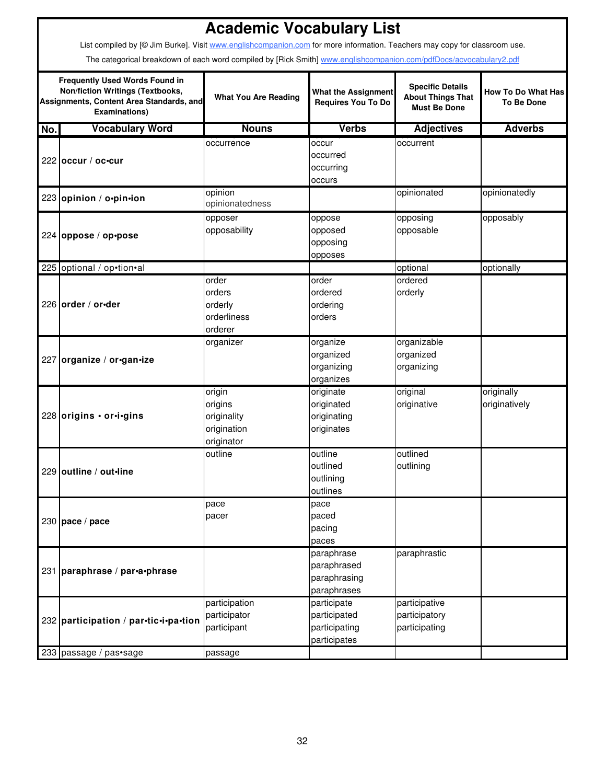|     |                                                                                                                                               | <b>Academic Vocabulary List</b>                               |                                                              |                                                                            |                                                |  |  |  |  |
|-----|-----------------------------------------------------------------------------------------------------------------------------------------------|---------------------------------------------------------------|--------------------------------------------------------------|----------------------------------------------------------------------------|------------------------------------------------|--|--|--|--|
|     | List compiled by [© Jim Burke]. Visit www.englishcompanion.com for more information. Teachers may copy for classroom use.                     |                                                               |                                                              |                                                                            |                                                |  |  |  |  |
|     | The categorical breakdown of each word compiled by [Rick Smith] www.englishcompanion.com/pdfDocs/acvocabulary2.pdf                            |                                                               |                                                              |                                                                            |                                                |  |  |  |  |
|     | <b>Frequently Used Words Found in</b><br>Non/fiction Writings (Textbooks,<br>Assignments, Content Area Standards, and<br><b>Examinations)</b> | <b>What You Are Reading</b>                                   | <b>What the Assignment</b><br><b>Requires You To Do</b>      | <b>Specific Details</b><br><b>About Things That</b><br><b>Must Be Done</b> | <b>How To Do What Has</b><br><b>To Be Done</b> |  |  |  |  |
| No. | <b>Vocabulary Word</b>                                                                                                                        | <b>Nouns</b>                                                  | <b>Verbs</b>                                                 | <b>Adjectives</b>                                                          | <b>Adverbs</b>                                 |  |  |  |  |
|     | 222 occur / oc-cur                                                                                                                            | occurrence                                                    | occur<br>occurred<br>occurring<br>occurs                     | occurrent                                                                  |                                                |  |  |  |  |
|     | 223 opinion / o.pin.ion                                                                                                                       | opinion<br>opinionatedness                                    |                                                              | opinionated                                                                | opinionatedly                                  |  |  |  |  |
|     | 224 oppose / op•pose                                                                                                                          | opposer<br>opposability                                       | oppose<br>opposed<br>opposing<br>opposes                     | opposing<br>opposable                                                      | opposably                                      |  |  |  |  |
|     | 225 optional / op•tion•al                                                                                                                     |                                                               |                                                              | optional                                                                   | optionally                                     |  |  |  |  |
|     | 226 order / or-der                                                                                                                            | order<br>orders<br>orderly<br>orderliness<br>orderer          | order<br>ordered<br>ordering<br>orders                       | ordered<br>orderly                                                         |                                                |  |  |  |  |
|     | 227 organize / or-gan-ize                                                                                                                     | organizer                                                     | organize<br>organized<br>organizing<br>organizes             | organizable<br>organized<br>organizing                                     |                                                |  |  |  |  |
|     | 228 origins · or·i·gins                                                                                                                       | origin<br>origins<br>originality<br>origination<br>originator | originate<br>originated<br>originating<br>originates         | original<br>originative                                                    | originally<br>originatively                    |  |  |  |  |
|     | 229 outline / out-line                                                                                                                        | outline                                                       | outline<br>outlined<br>outlining<br>outlines                 | outlined<br>outlining                                                      |                                                |  |  |  |  |
|     | 230 $pace / pace$                                                                                                                             | pace<br>pacer                                                 | pace<br>paced<br>pacing<br>paces                             |                                                                            |                                                |  |  |  |  |
|     | 231 paraphrase / par-a-phrase                                                                                                                 |                                                               | paraphrase<br>paraphrased<br>paraphrasing<br>paraphrases     | paraphrastic                                                               |                                                |  |  |  |  |
|     | 232 participation / par-tic-i-pa-tion                                                                                                         | participation<br>participator<br>participant                  | participate<br>participated<br>participating<br>participates | participative<br>participatory<br>participating                            |                                                |  |  |  |  |
|     | 233 passage / pas•sage                                                                                                                        | passage                                                       |                                                              |                                                                            |                                                |  |  |  |  |

I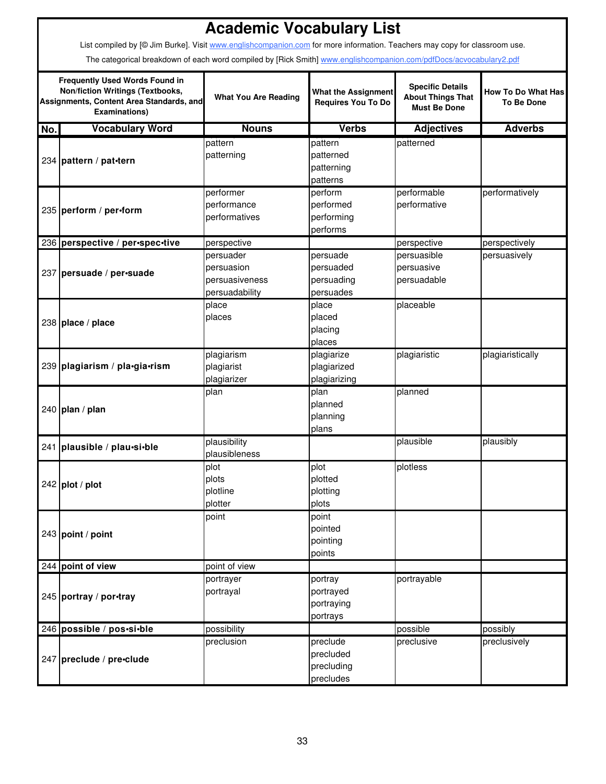|     |                                                                                                                                                                                                                                                 | <b>Academic Vocabulary List</b>                             |                                                  |                                                                            |                                                |  |  |  |  |
|-----|-------------------------------------------------------------------------------------------------------------------------------------------------------------------------------------------------------------------------------------------------|-------------------------------------------------------------|--------------------------------------------------|----------------------------------------------------------------------------|------------------------------------------------|--|--|--|--|
|     | List compiled by [@ Jim Burke]. Visit www.englishcompanion.com for more information. Teachers may copy for classroom use.<br>The categorical breakdown of each word compiled by [Rick Smith] www.englishcompanion.com/pdfDocs/acvocabulary2.pdf |                                                             |                                                  |                                                                            |                                                |  |  |  |  |
|     | <b>Frequently Used Words Found in</b><br>Non/fiction Writings (Textbooks,<br>Assignments, Content Area Standards, and<br><b>Examinations)</b>                                                                                                   | <b>What You Are Reading</b>                                 | <b>What the Assignment</b><br>Requires You To Do | <b>Specific Details</b><br><b>About Things That</b><br><b>Must Be Done</b> | <b>How To Do What Has</b><br><b>To Be Done</b> |  |  |  |  |
| No. | <b>Vocabulary Word</b>                                                                                                                                                                                                                          | <b>Nouns</b>                                                | <b>Verbs</b>                                     | <b>Adjectives</b>                                                          | <b>Adverbs</b>                                 |  |  |  |  |
|     | 234 pattern / pat-tern                                                                                                                                                                                                                          | pattern<br>patterning                                       | pattern<br>patterned<br>patterning<br>patterns   | patterned                                                                  |                                                |  |  |  |  |
|     | 235 perform / per-form                                                                                                                                                                                                                          | performer<br>performance<br>performatives                   | perform<br>performed<br>performing<br>performs   | performable<br>performative                                                | performatively                                 |  |  |  |  |
|     | 236 perspective / per-spec-tive                                                                                                                                                                                                                 | perspective                                                 |                                                  | perspective                                                                | perspectively                                  |  |  |  |  |
|     | 237 persuade / per-suade                                                                                                                                                                                                                        | persuader<br>persuasion<br>persuasiveness<br>persuadability | persuade<br>persuaded<br>persuading<br>persuades | persuasible<br>persuasive<br>persuadable                                   | persuasively                                   |  |  |  |  |
|     | 238 place / place                                                                                                                                                                                                                               | place<br>places                                             | place<br>placed<br>placing<br>places             | placeable                                                                  |                                                |  |  |  |  |
|     | 239 plagiarism / pla•gia•rism                                                                                                                                                                                                                   | plagiarism<br>plagiarist<br>plagiarizer                     | plagiarize<br>plagiarized<br>plagiarizing        | plagiaristic                                                               | plagiaristically                               |  |  |  |  |
|     | 240 plan / plan                                                                                                                                                                                                                                 | plan                                                        | plan<br>planned<br>planning<br>plans             | planned                                                                    |                                                |  |  |  |  |
|     | 241 plausible / plau-si-ble                                                                                                                                                                                                                     | plausibility<br>plausibleness                               |                                                  | plausible                                                                  | plausibly                                      |  |  |  |  |
|     | $242$ plot / plot                                                                                                                                                                                                                               | plot<br>plots<br>plotline<br>plotter                        | plot<br>plotted<br>plotting<br>plots             | plotless                                                                   |                                                |  |  |  |  |
|     | 243 point / point                                                                                                                                                                                                                               | point                                                       | point<br>pointed<br>pointing<br>points           |                                                                            |                                                |  |  |  |  |
|     | 244 point of view                                                                                                                                                                                                                               | point of view                                               |                                                  |                                                                            |                                                |  |  |  |  |
|     | 245 portray / por-tray                                                                                                                                                                                                                          | portrayer<br>portrayal                                      | portray<br>portrayed<br>portraying<br>portrays   | portrayable                                                                |                                                |  |  |  |  |
|     | 246 possible / pos.si.ble                                                                                                                                                                                                                       | possibility                                                 |                                                  | possible                                                                   | possibly                                       |  |  |  |  |
|     | 247 preclude / pre-clude                                                                                                                                                                                                                        | preclusion                                                  | preclude<br>precluded<br>precluding<br>precludes | preclusive                                                                 | preclusively                                   |  |  |  |  |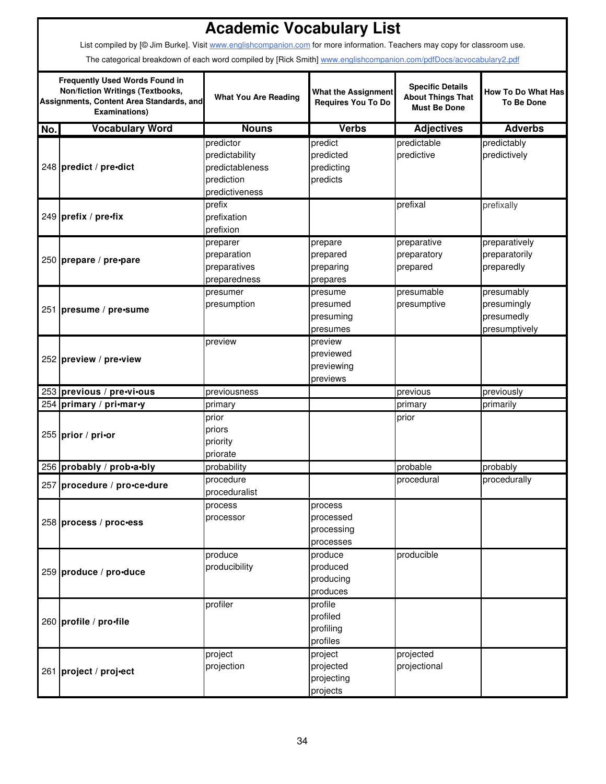|     | List compiled by [@ Jim Burke]. Visit www.englishcompanion.com for more information. Teachers may copy for classroom use.                            | <b>Academic Vocabulary List</b>                                                |                                                         |                                                                            |                                                          |  |  |  |  |
|-----|------------------------------------------------------------------------------------------------------------------------------------------------------|--------------------------------------------------------------------------------|---------------------------------------------------------|----------------------------------------------------------------------------|----------------------------------------------------------|--|--|--|--|
|     | The categorical breakdown of each word compiled by [Rick Smith] www.englishcompanion.com/pdfDocs/acvocabulary2.pdf                                   |                                                                                |                                                         |                                                                            |                                                          |  |  |  |  |
|     | <b>Frequently Used Words Found in</b><br><b>Non/fiction Writings (Textbooks,</b><br>Assignments, Content Area Standards, and<br><b>Examinations)</b> | <b>What You Are Reading</b>                                                    | <b>What the Assignment</b><br><b>Requires You To Do</b> | <b>Specific Details</b><br><b>About Things That</b><br><b>Must Be Done</b> | <b>How To Do What Has</b><br><b>To Be Done</b>           |  |  |  |  |
| No. | <b>Vocabulary Word</b>                                                                                                                               | <b>Nouns</b>                                                                   | <b>Verbs</b>                                            | <b>Adjectives</b>                                                          | <b>Adverbs</b>                                           |  |  |  |  |
|     | 248 predict / pre-dict                                                                                                                               | predictor<br>predictability<br>predictableness<br>prediction<br>predictiveness | predict<br>predicted<br>predicting<br>predicts          | predictable<br>predictive                                                  | predictably<br>predictively                              |  |  |  |  |
|     | 249 prefix / pre-fix                                                                                                                                 | prefix<br>prefixation<br>prefixion                                             |                                                         | prefixal                                                                   | prefixally                                               |  |  |  |  |
|     | 250 prepare / pre-pare                                                                                                                               | preparer<br>preparation<br>preparatives<br>preparedness                        | prepare<br>prepared<br>preparing<br>prepares            | preparative<br>preparatory<br>prepared                                     | preparatively<br>preparatorily<br>preparedly             |  |  |  |  |
|     | 251 presume / pre-sume                                                                                                                               | presumer<br>presumption                                                        | presume<br>presumed<br>presuming<br>presumes            | presumable<br>presumptive                                                  | presumably<br>presumingly<br>presumedly<br>presumptively |  |  |  |  |
|     | 252 preview / pre-view                                                                                                                               | preview                                                                        | preview<br>previewed<br>previewing<br>previews          |                                                                            |                                                          |  |  |  |  |
|     | 253 previous / pre-vi-ous                                                                                                                            | previousness                                                                   |                                                         | previous                                                                   | previously                                               |  |  |  |  |
|     | 254 primary / pri-mar-y                                                                                                                              | primary                                                                        |                                                         | primary                                                                    | primarily                                                |  |  |  |  |
|     | 255 prior / pri-or                                                                                                                                   | prior<br>priors<br>priority<br>priorate                                        |                                                         | prior                                                                      |                                                          |  |  |  |  |
|     | 256 probably / prob.a.bly                                                                                                                            | probability                                                                    |                                                         | probable                                                                   | probably                                                 |  |  |  |  |
|     | 257 procedure / pro-ce-dure                                                                                                                          | procedure<br>proceduralist                                                     |                                                         | procedural                                                                 | procedurally                                             |  |  |  |  |
|     | 258 process / proc-ess                                                                                                                               | process<br>processor                                                           | process<br>processed<br>processing<br>processes         |                                                                            |                                                          |  |  |  |  |
|     | 259 produce / pro-duce                                                                                                                               | produce<br>producibility                                                       | produce<br>produced<br>producing<br>produces            | producible                                                                 |                                                          |  |  |  |  |
|     | 260 profile / pro-file                                                                                                                               | profiler                                                                       | profile<br>profiled<br>profiling<br>profiles            |                                                                            |                                                          |  |  |  |  |
|     | 261 project / proj-ect                                                                                                                               | project<br>projection                                                          | project<br>projected<br>projecting<br>projects          | projected<br>projectional                                                  |                                                          |  |  |  |  |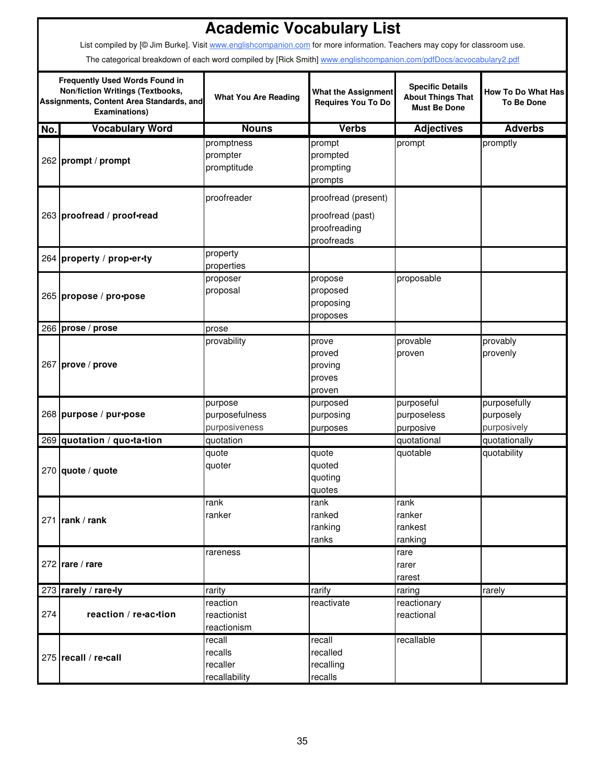|     | <b>Academic Vocabulary List</b><br>List compiled by [@ Jim Burke]. Visit www.englishcompanion.com for more information. Teachers may copy for classroom use. |                                                |                                                                       |                                                                            |                                                |  |  |  |  |
|-----|--------------------------------------------------------------------------------------------------------------------------------------------------------------|------------------------------------------------|-----------------------------------------------------------------------|----------------------------------------------------------------------------|------------------------------------------------|--|--|--|--|
|     | The categorical breakdown of each word compiled by [Rick Smith] www.englishcompanion.com/pdfDocs/acvocabulary2.pdf                                           |                                                |                                                                       |                                                                            |                                                |  |  |  |  |
|     | <b>Frequently Used Words Found in</b><br><b>Non/fiction Writings (Textbooks,</b><br>Assignments, Content Area Standards, and<br><b>Examinations)</b>         | <b>What You Are Reading</b>                    | <b>What the Assignment</b><br><b>Requires You To Do</b>               | <b>Specific Details</b><br><b>About Things That</b><br><b>Must Be Done</b> | <b>How To Do What Has</b><br><b>To Be Done</b> |  |  |  |  |
| No. | <b>Vocabulary Word</b>                                                                                                                                       | <b>Nouns</b>                                   | <b>Verbs</b>                                                          | <b>Adjectives</b>                                                          | <b>Adverbs</b>                                 |  |  |  |  |
|     | 262 prompt / prompt                                                                                                                                          | promptness<br>prompter<br>promptitude          | prompt<br>prompted<br>prompting<br>prompts                            | prompt                                                                     | promptly                                       |  |  |  |  |
|     | 263 proofread / proof-read                                                                                                                                   | proofreader                                    | proofread (present)<br>proofread (past)<br>proofreading<br>proofreads |                                                                            |                                                |  |  |  |  |
|     | 264 property / prop-er-ty                                                                                                                                    | property<br>properties                         |                                                                       |                                                                            |                                                |  |  |  |  |
|     | 265 propose / pro•pose                                                                                                                                       | proposer<br>proposal                           | propose<br>proposed<br>proposing<br>proposes                          | proposable                                                                 |                                                |  |  |  |  |
|     | 266 prose / prose                                                                                                                                            | prose                                          |                                                                       |                                                                            |                                                |  |  |  |  |
|     | 267 prove / prove                                                                                                                                            | provability                                    | prove<br>proved<br>proving<br>proves<br>proven                        | provable<br>proven                                                         | provably<br>provenly                           |  |  |  |  |
|     | 268 purpose / pur•pose                                                                                                                                       | purpose<br>purposefulness<br>purposiveness     | purposed<br>purposing<br>purposes                                     | purposeful<br>purposeless<br>purposive                                     | purposefully<br>purposely<br>purposively       |  |  |  |  |
|     | 269 quotation / quo-ta-tion                                                                                                                                  | quotation                                      |                                                                       | quotational                                                                | quotationally                                  |  |  |  |  |
|     | $270$ quote / quote                                                                                                                                          | quote<br>quoter                                | quote<br>quoted<br>quoting<br>quotes                                  | quotable                                                                   | quotability                                    |  |  |  |  |
|     | 271   rank / rank                                                                                                                                            | rank<br>ranker                                 | rank<br>ranked<br>ranking<br>ranks                                    | rank<br>ranker<br>rankest<br>ranking                                       |                                                |  |  |  |  |
|     | $272$ rare / rare                                                                                                                                            | rareness                                       |                                                                       | rare<br>rarer<br>rarest                                                    |                                                |  |  |  |  |
|     | 273 rarely / rare-ly                                                                                                                                         | rarity                                         | rarify                                                                | raring                                                                     | rarely                                         |  |  |  |  |
| 274 | reaction / re-ac-tion                                                                                                                                        | reaction<br>reactionist<br>reactionism         | reactivate                                                            | reactionary<br>reactional                                                  |                                                |  |  |  |  |
|     | 275 recall / re-call                                                                                                                                         | recall<br>recalls<br>recaller<br>recallability | recall<br>recalled<br>recalling<br>recalls                            | recallable                                                                 |                                                |  |  |  |  |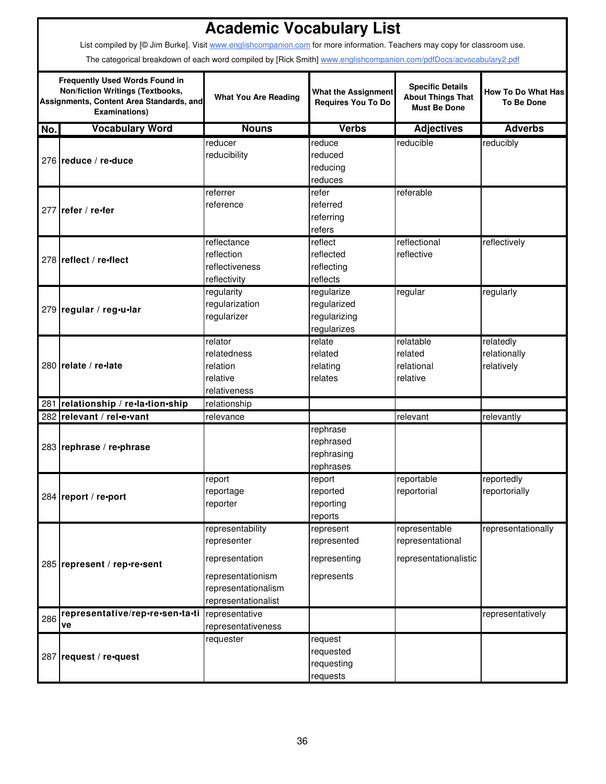|     | <b>Academic Vocabulary List</b>                                                                                                                      |                                                                                                                      |                                                          |                                                                            |                                                |  |  |  |
|-----|------------------------------------------------------------------------------------------------------------------------------------------------------|----------------------------------------------------------------------------------------------------------------------|----------------------------------------------------------|----------------------------------------------------------------------------|------------------------------------------------|--|--|--|
|     | List compiled by [@ Jim Burke]. Visit www.englishcompanion.com for more information. Teachers may copy for classroom use.                            |                                                                                                                      |                                                          |                                                                            |                                                |  |  |  |
|     | The categorical breakdown of each word compiled by [Rick Smith] www.englishcompanion.com/pdfDocs/acvocabulary2.pdf                                   |                                                                                                                      |                                                          |                                                                            |                                                |  |  |  |
|     | <b>Frequently Used Words Found in</b><br><b>Non/fiction Writings (Textbooks,</b><br>Assignments, Content Area Standards, and<br><b>Examinations)</b> | <b>What You Are Reading</b>                                                                                          | <b>What the Assignment</b><br>Requires You To Do         | <b>Specific Details</b><br><b>About Things That</b><br><b>Must Be Done</b> | <b>How To Do What Has</b><br><b>To Be Done</b> |  |  |  |
| No. | <b>Vocabulary Word</b>                                                                                                                               | <b>Nouns</b>                                                                                                         | <b>Verbs</b>                                             | <b>Adjectives</b>                                                          | <b>Adverbs</b>                                 |  |  |  |
|     | 276 reduce / re-duce                                                                                                                                 | reducer<br>reducibility                                                                                              | reduce<br>reduced<br>reducing<br>reduces                 | reducible                                                                  | reducibly                                      |  |  |  |
|     | 277 refer / re-fer                                                                                                                                   | referrer<br>reference                                                                                                | refer<br>referred<br>referring<br>refers                 | referable                                                                  |                                                |  |  |  |
|     | 278 reflect / re-flect                                                                                                                               | reflectance<br>reflection<br>reflectiveness<br>reflectivity                                                          | reflect<br>reflected<br>reflecting<br>reflects           | reflectional<br>reflective                                                 | reflectively                                   |  |  |  |
|     | 279 regular / reg-u-lar                                                                                                                              | regularity<br>regularization<br>regularizer                                                                          | regularize<br>regularized<br>regularizing<br>regularizes | regular                                                                    | regularly                                      |  |  |  |
|     | 280 relate / re-late                                                                                                                                 | relator<br>relatedness<br>relation<br>relative<br>relativeness                                                       | relate<br>related<br>relating<br>relates                 | relatable<br>related<br>relational<br>relative                             | relatedly<br>relationally<br>relatively        |  |  |  |
|     | 281 relationship / re-la-tion-ship                                                                                                                   | relationship                                                                                                         |                                                          |                                                                            |                                                |  |  |  |
|     | 282 relevant / rel-e-vant                                                                                                                            | relevance                                                                                                            |                                                          | relevant                                                                   | relevantly                                     |  |  |  |
|     | 283 rephrase / re-phrase                                                                                                                             |                                                                                                                      | rephrase<br>rephrased<br>rephrasing<br>rephrases         |                                                                            |                                                |  |  |  |
|     | 284 report / re-port                                                                                                                                 | report<br>reportage<br>reporter                                                                                      | report<br>reported<br>reporting<br>reports               | reportable<br>reportorial                                                  | reportedly<br>reportorially                    |  |  |  |
|     | 285 represent / rep•re•sent                                                                                                                          | representability<br>representer<br>representation<br>representationism<br>representationalism<br>representationalist | represent<br>represented<br>representing<br>represents   | representable<br>representational<br>representationalistic                 | representationally                             |  |  |  |
| 286 | representative/rep-re-sen-ta-ti<br>ve                                                                                                                | representative<br>representativeness                                                                                 |                                                          |                                                                            | representatively                               |  |  |  |
|     | 287 request / re-quest                                                                                                                               | requester                                                                                                            | request<br>requested<br>requesting<br>requests           |                                                                            |                                                |  |  |  |

г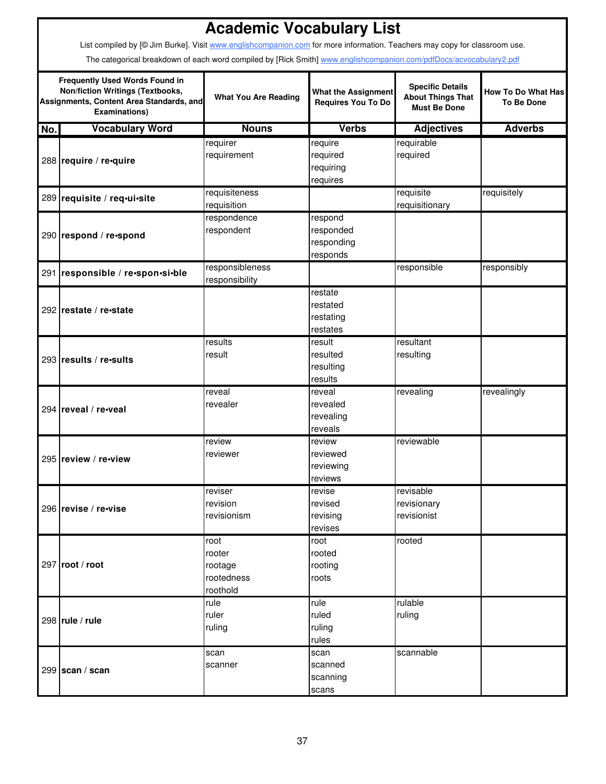|     | <b>Academic Vocabulary List</b><br>List compiled by [@ Jim Burke]. Visit www.englishcompanion.com for more information. Teachers may copy for classroom use. |                                                     |                                                         |                                                                            |                                                |  |  |  |  |
|-----|--------------------------------------------------------------------------------------------------------------------------------------------------------------|-----------------------------------------------------|---------------------------------------------------------|----------------------------------------------------------------------------|------------------------------------------------|--|--|--|--|
|     | The categorical breakdown of each word compiled by [Rick Smith] www.englishcompanion.com/pdfDocs/acvocabulary2.pdf                                           |                                                     |                                                         |                                                                            |                                                |  |  |  |  |
|     | <b>Frequently Used Words Found in</b><br><b>Non/fiction Writings (Textbooks,</b><br>Assignments, Content Area Standards, and<br><b>Examinations)</b>         | <b>What You Are Reading</b>                         | <b>What the Assignment</b><br><b>Requires You To Do</b> | <b>Specific Details</b><br><b>About Things That</b><br><b>Must Be Done</b> | <b>How To Do What Has</b><br><b>To Be Done</b> |  |  |  |  |
| No. | <b>Vocabulary Word</b>                                                                                                                                       | <b>Nouns</b>                                        | <b>Verbs</b>                                            | <b>Adjectives</b>                                                          | <b>Adverbs</b>                                 |  |  |  |  |
|     | 288 require / re-quire                                                                                                                                       | requirer<br>requirement                             | require<br>required<br>requiring<br>requires            | requirable<br>required                                                     |                                                |  |  |  |  |
|     | 289 requisite / req-ui-site                                                                                                                                  | requisiteness<br>requisition                        |                                                         | requisite<br>requisitionary                                                | requisitely                                    |  |  |  |  |
|     | 290 respond / re-spond                                                                                                                                       | respondence<br>respondent                           | respond<br>responded<br>responding<br>responds          |                                                                            |                                                |  |  |  |  |
|     | 291 responsible / re-spon-si-ble                                                                                                                             | responsibleness<br>responsibility                   |                                                         | responsible                                                                | responsibly                                    |  |  |  |  |
|     | 292 restate / re-state                                                                                                                                       |                                                     | restate<br>restated<br>restating<br>restates            |                                                                            |                                                |  |  |  |  |
|     | 293 results / re-sults                                                                                                                                       | results<br>result                                   | result<br>resulted<br>resulting<br>results              | resultant<br>resulting                                                     |                                                |  |  |  |  |
|     | 294 reveal / re-veal                                                                                                                                         | reveal<br>revealer                                  | reveal<br>revealed<br>revealing<br>reveals              | revealing                                                                  | revealingly                                    |  |  |  |  |
|     | 295 review / re-view                                                                                                                                         | review<br>reviewer                                  | review<br>reviewed<br>reviewing<br>reviews              | reviewable                                                                 |                                                |  |  |  |  |
|     | 296 revise / re-vise                                                                                                                                         | reviser<br>revision<br>revisionism                  | revise<br>revised<br>revising<br>revises                | revisable<br>revisionary<br>revisionist                                    |                                                |  |  |  |  |
|     | 297 root / root                                                                                                                                              | root<br>rooter<br>rootage<br>rootedness<br>roothold | root<br>rooted<br>rooting<br>roots                      | rooted                                                                     |                                                |  |  |  |  |
|     | 298 $rule / rule$                                                                                                                                            | rule<br>ruler<br>ruling                             | rule<br>ruled<br>ruling<br>rules                        | rulable<br>ruling                                                          |                                                |  |  |  |  |
|     | 299 $\succeq$ scan / scan                                                                                                                                    | scan<br>scanner                                     | scan<br>scanned<br>scanning<br>scans                    | scannable                                                                  |                                                |  |  |  |  |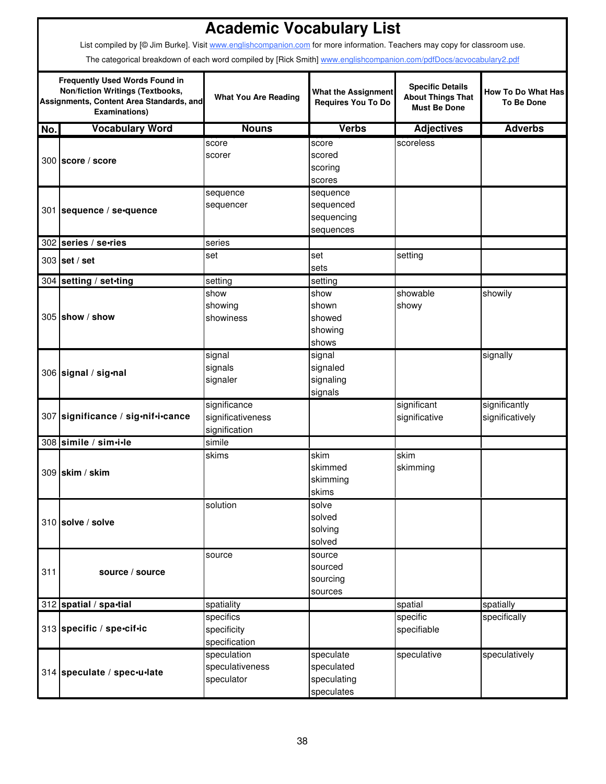|     | List compiled by [@ Jim Burke]. Visit www.englishcompanion.com for more information. Teachers may copy for classroom use.<br>The categorical breakdown of each word compiled by [Rick Smith] www.englishcompanion.com/pdfDocs/acvocabulary2.pdf | <b>Academic Vocabulary List</b>                    |                                                         |                                                                            |                                                |
|-----|-------------------------------------------------------------------------------------------------------------------------------------------------------------------------------------------------------------------------------------------------|----------------------------------------------------|---------------------------------------------------------|----------------------------------------------------------------------------|------------------------------------------------|
|     | <b>Frequently Used Words Found in</b><br><b>Non/fiction Writings (Textbooks,</b><br>Assignments, Content Area Standards, and<br><b>Examinations)</b>                                                                                            | <b>What You Are Reading</b>                        | <b>What the Assignment</b><br><b>Requires You To Do</b> | <b>Specific Details</b><br><b>About Things That</b><br><b>Must Be Done</b> | <b>How To Do What Has</b><br><b>To Be Done</b> |
| No. | <b>Vocabulary Word</b>                                                                                                                                                                                                                          | <b>Nouns</b>                                       | <b>Verbs</b>                                            | <b>Adjectives</b>                                                          | <b>Adverbs</b>                                 |
|     | 300 score / score                                                                                                                                                                                                                               | score<br>scorer                                    | score<br>scored<br>scoring<br>scores                    | scoreless                                                                  |                                                |
|     | 301 sequence / se-quence                                                                                                                                                                                                                        | sequence<br>sequencer                              | sequence<br>sequenced<br>sequencing<br>sequences        |                                                                            |                                                |
|     | 302 series / se-ries                                                                                                                                                                                                                            | series                                             |                                                         |                                                                            |                                                |
|     | $303$ set / set                                                                                                                                                                                                                                 | set                                                | set<br>sets                                             | setting                                                                    |                                                |
|     | 304 setting / set-ting                                                                                                                                                                                                                          | setting                                            | setting                                                 |                                                                            |                                                |
|     | $305$ show / show                                                                                                                                                                                                                               | show<br>showing<br>showiness                       | show<br>shown<br>showed<br>showing<br>shows             | showable<br>showy                                                          | showily                                        |
|     | 306 signal / sig-nal                                                                                                                                                                                                                            | signal<br>signals<br>signaler                      | signal<br>signaled<br>signaling<br>signals              |                                                                            | signally                                       |
|     | 307 significance / sig-nif-i-cance                                                                                                                                                                                                              | significance<br>significativeness<br>signification |                                                         | significant<br>significative                                               | significantly<br>significatively               |
|     | 308 simile / sim.i.le                                                                                                                                                                                                                           | simile                                             |                                                         |                                                                            |                                                |
|     | 309 skim / skim                                                                                                                                                                                                                                 | skims                                              | skim<br>skimmed<br>skimming<br>skims                    | skim<br>skimming                                                           |                                                |
|     | 310 solve / solve                                                                                                                                                                                                                               | solution                                           | solve<br>solved<br>solving<br>solved                    |                                                                            |                                                |
| 311 | source / source                                                                                                                                                                                                                                 | source                                             | source<br>sourced<br>sourcing<br>sources                |                                                                            |                                                |
|     | 312 spatial / spa-tial                                                                                                                                                                                                                          | spatiality                                         |                                                         | spatial                                                                    | spatially                                      |
|     | 313 specific / spe-cif-ic                                                                                                                                                                                                                       | specifics<br>specificity<br>specification          |                                                         | specific<br>specifiable                                                    | specifically                                   |
|     | 314 speculate / spec-u-late                                                                                                                                                                                                                     | speculation<br>speculativeness<br>speculator       | speculate<br>speculated<br>speculating<br>speculates    | speculative                                                                | speculatively                                  |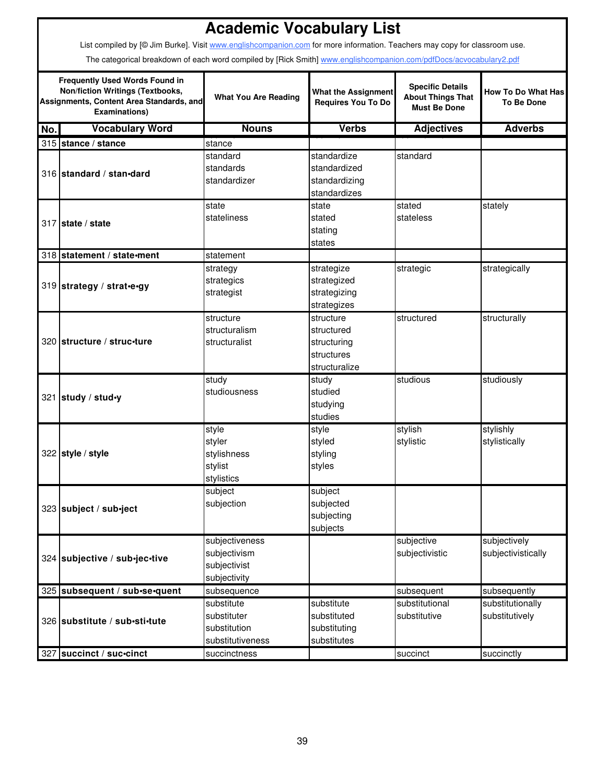|                                                                                                                                               | <b>Academic Vocabulary List</b>                                                                                           |                                                                |                                                                       |                                                                            |                                                |  |
|-----------------------------------------------------------------------------------------------------------------------------------------------|---------------------------------------------------------------------------------------------------------------------------|----------------------------------------------------------------|-----------------------------------------------------------------------|----------------------------------------------------------------------------|------------------------------------------------|--|
|                                                                                                                                               | List compiled by [© Jim Burke]. Visit www.englishcompanion.com for more information. Teachers may copy for classroom use. |                                                                |                                                                       |                                                                            |                                                |  |
|                                                                                                                                               | The categorical breakdown of each word compiled by [Rick Smith] www.englishcompanion.com/pdfDocs/acvocabulary2.pdf        |                                                                |                                                                       |                                                                            |                                                |  |
| <b>Frequently Used Words Found in</b><br>Non/fiction Writings (Textbooks,<br>Assignments, Content Area Standards, and<br><b>Examinations)</b> |                                                                                                                           | <b>What You Are Reading</b>                                    | <b>What the Assignment</b><br>Requires You To Do                      | <b>Specific Details</b><br><b>About Things That</b><br><b>Must Be Done</b> | <b>How To Do What Has</b><br><b>To Be Done</b> |  |
| No.                                                                                                                                           | <b>Vocabulary Word</b>                                                                                                    | <b>Nouns</b>                                                   | <b>Verbs</b>                                                          | <b>Adjectives</b>                                                          | <b>Adverbs</b>                                 |  |
|                                                                                                                                               | 315 stance / stance                                                                                                       | stance                                                         |                                                                       |                                                                            |                                                |  |
|                                                                                                                                               | 316 standard / stan-dard                                                                                                  | standard<br>standards<br>standardizer                          | standardize<br>standardized<br>standardizing<br>standardizes          | standard                                                                   |                                                |  |
|                                                                                                                                               | 317 state / state                                                                                                         | state<br>stateliness                                           | state<br>stated<br>stating<br>states                                  | stated<br>stateless                                                        | stately                                        |  |
|                                                                                                                                               | 318 statement / state-ment                                                                                                | statement                                                      |                                                                       |                                                                            |                                                |  |
|                                                                                                                                               | 319 strategy / strat-e-gy                                                                                                 | strategy<br>strategics<br>strategist                           | strategize<br>strategized<br>strategizing<br>strategizes              | strategic                                                                  | strategically                                  |  |
|                                                                                                                                               | 320 structure / struc-ture                                                                                                | structure<br>structuralism<br>structuralist                    | structure<br>structured<br>structuring<br>structures<br>structuralize | structured                                                                 | structurally                                   |  |
|                                                                                                                                               | 321 study / stud.y                                                                                                        | study<br>studiousness                                          | study<br>studied<br>studying<br>studies                               | studious                                                                   | studiously                                     |  |
|                                                                                                                                               | 322 style / style                                                                                                         | style<br>styler<br>stylishness<br>stylist<br>stylistics        | style<br>styled<br>styling<br>styles                                  | stylish<br>stylistic                                                       | stylishly<br>stylistically                     |  |
|                                                                                                                                               | 323 subject / sub-ject                                                                                                    | subject<br>subjection                                          | subject<br>subjected<br>subjecting<br>subjects                        |                                                                            |                                                |  |
|                                                                                                                                               | 324 subjective / sub-jec-tive                                                                                             | subjectiveness<br>subjectivism<br>subjectivist<br>subjectivity |                                                                       | subjective<br>subjectivistic                                               | subjectively<br>subjectivistically             |  |
|                                                                                                                                               | 325 subsequent / sub-se-quent                                                                                             | subsequence                                                    |                                                                       | subsequent                                                                 | subsequently                                   |  |
|                                                                                                                                               | 326 substitute / sub-sti-tute                                                                                             | substitute<br>substituter<br>substitution<br>substitutiveness  | substitute<br>substituted<br>substituting<br>substitutes              | substitutional<br>substitutive                                             | substitutionally<br>substitutively             |  |
| 327                                                                                                                                           | succinct / suc-cinct                                                                                                      | succinctness                                                   |                                                                       | succinct                                                                   | succinctly                                     |  |

П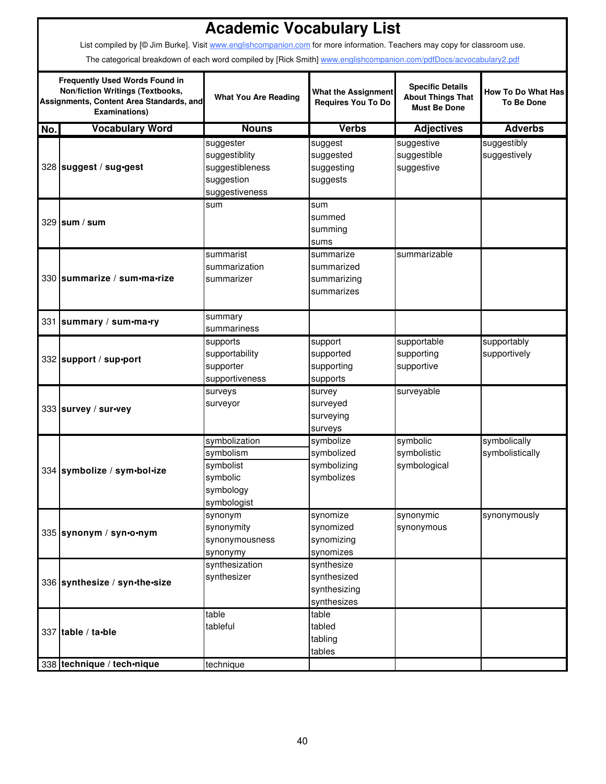|                                                                                                                                                      | <b>Academic Vocabulary List</b><br>List compiled by [@ Jim Burke]. Visit www.englishcompanion.com for more information. Teachers may copy for classroom use.<br>The categorical breakdown of each word compiled by [Rick Smith] www.englishcompanion.com/pdfDocs/acvocabulary2.pdf |                                                                                 |                                                          |                                                                            |                                                |  |
|------------------------------------------------------------------------------------------------------------------------------------------------------|------------------------------------------------------------------------------------------------------------------------------------------------------------------------------------------------------------------------------------------------------------------------------------|---------------------------------------------------------------------------------|----------------------------------------------------------|----------------------------------------------------------------------------|------------------------------------------------|--|
| <b>Frequently Used Words Found in</b><br><b>Non/fiction Writings (Textbooks,</b><br>Assignments, Content Area Standards, and<br><b>Examinations)</b> |                                                                                                                                                                                                                                                                                    | <b>What You Are Reading</b>                                                     | <b>What the Assignment</b><br><b>Requires You To Do</b>  | <b>Specific Details</b><br><b>About Things That</b><br><b>Must Be Done</b> | <b>How To Do What Has</b><br><b>To Be Done</b> |  |
| No.                                                                                                                                                  | <b>Vocabulary Word</b>                                                                                                                                                                                                                                                             | <b>Nouns</b>                                                                    | <b>Verbs</b>                                             | <b>Adjectives</b>                                                          | <b>Adverbs</b>                                 |  |
|                                                                                                                                                      | 328 suggest / sug-gest                                                                                                                                                                                                                                                             | suggester<br>suggestiblity<br>suggestibleness<br>suggestion<br>suggestiveness   | suggest<br>suggested<br>suggesting<br>suggests           | suggestive<br>suggestible<br>suggestive                                    | suggestibly<br>suggestively                    |  |
|                                                                                                                                                      | 329 sum / sum                                                                                                                                                                                                                                                                      | sum                                                                             | sum<br>summed<br>summing<br>sums                         |                                                                            |                                                |  |
|                                                                                                                                                      | 330 summarize / sum·ma·rize                                                                                                                                                                                                                                                        | summarist<br>summarization<br>summarizer                                        | summarize<br>summarized<br>summarizing<br>summarizes     | summarizable                                                               |                                                |  |
|                                                                                                                                                      | 331 summary / sum-ma-ry                                                                                                                                                                                                                                                            | summary<br>summariness                                                          |                                                          |                                                                            |                                                |  |
|                                                                                                                                                      | 332 support / sup-port                                                                                                                                                                                                                                                             | supports<br>supportability<br>supporter<br>supportiveness                       | support<br>supported<br>supporting<br>supports           | supportable<br>supporting<br>supportive                                    | supportably<br>supportively                    |  |
|                                                                                                                                                      | 333 survey / sur-vey                                                                                                                                                                                                                                                               | surveys<br>surveyor                                                             | survey<br>surveyed<br>surveying<br>surveys               | surveyable                                                                 |                                                |  |
|                                                                                                                                                      | 334 symbolize / sym•bol•ize                                                                                                                                                                                                                                                        | symbolization<br>symbolism<br>symbolist<br>symbolic<br>symbology<br>symbologist | symbolize<br>symbolized<br>symbolizing<br>symbolizes     | symbolic<br>symbolistic<br>symbological                                    | symbolically<br>symbolistically                |  |
|                                                                                                                                                      | 335 synonym / syn•o•nym                                                                                                                                                                                                                                                            | synonym<br>synonymity<br>synonymousness<br>synonymy                             | synomize<br>synomized<br>synomizing<br>synomizes         | synonymic<br>synonymous                                                    | synonymously                                   |  |
|                                                                                                                                                      | 336 synthesize / syn-the-size                                                                                                                                                                                                                                                      | synthesization<br>synthesizer                                                   | synthesize<br>synthesized<br>synthesizing<br>synthesizes |                                                                            |                                                |  |
|                                                                                                                                                      | 337 table / ta•ble                                                                                                                                                                                                                                                                 | table<br>tableful                                                               | table<br>tabled<br>tabling<br>tables                     |                                                                            |                                                |  |
|                                                                                                                                                      | 338 technique / tech-nique                                                                                                                                                                                                                                                         | technique                                                                       |                                                          |                                                                            |                                                |  |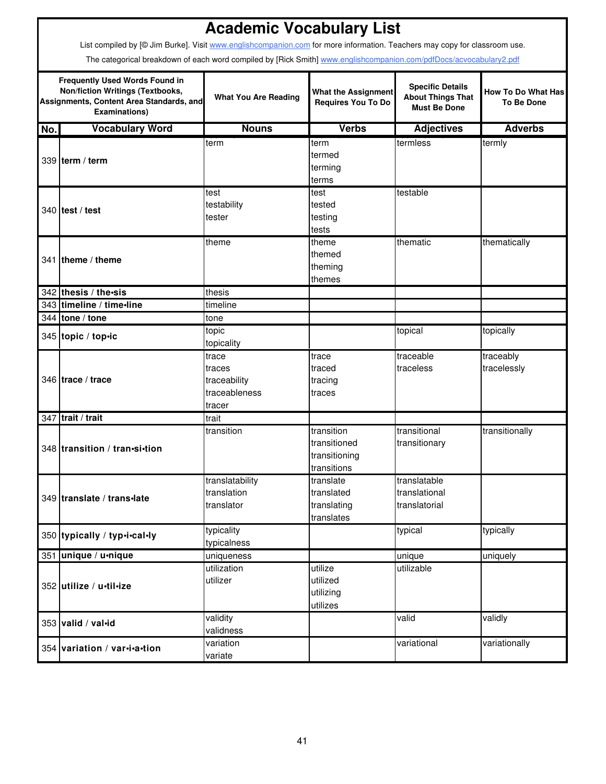|                                                                                                                                                      | <b>Academic Vocabulary List</b>                                                                                           |                                                            |                                                            |                                                                            |                                                |  |
|------------------------------------------------------------------------------------------------------------------------------------------------------|---------------------------------------------------------------------------------------------------------------------------|------------------------------------------------------------|------------------------------------------------------------|----------------------------------------------------------------------------|------------------------------------------------|--|
|                                                                                                                                                      | List compiled by [@ Jim Burke]. Visit www.englishcompanion.com for more information. Teachers may copy for classroom use. |                                                            |                                                            |                                                                            |                                                |  |
|                                                                                                                                                      | The categorical breakdown of each word compiled by [Rick Smith] www.englishcompanion.com/pdfDocs/acvocabulary2.pdf        |                                                            |                                                            |                                                                            |                                                |  |
| <b>Frequently Used Words Found in</b><br><b>Non/fiction Writings (Textbooks,</b><br>Assignments, Content Area Standards, and<br><b>Examinations)</b> |                                                                                                                           | <b>What You Are Reading</b>                                | <b>What the Assignment</b><br><b>Requires You To Do</b>    | <b>Specific Details</b><br><b>About Things That</b><br><b>Must Be Done</b> | <b>How To Do What Has</b><br><b>To Be Done</b> |  |
| No.                                                                                                                                                  | <b>Vocabulary Word</b>                                                                                                    | <b>Nouns</b>                                               | <b>Verbs</b>                                               | <b>Adjectives</b>                                                          | <b>Adverbs</b>                                 |  |
|                                                                                                                                                      | 339 term / term                                                                                                           | term                                                       | term<br>termed<br>terming<br>terms                         | termless                                                                   | termly                                         |  |
|                                                                                                                                                      | $340$ test / test                                                                                                         | test<br>testability<br>tester                              | test<br>tested<br>testing<br>tests                         | testable                                                                   |                                                |  |
|                                                                                                                                                      | 341 theme / theme                                                                                                         | theme                                                      | theme<br>themed<br>theming<br>themes                       | thematic                                                                   | thematically                                   |  |
|                                                                                                                                                      | 342 thesis / the sis                                                                                                      | thesis                                                     |                                                            |                                                                            |                                                |  |
|                                                                                                                                                      | 343 timeline / time-line                                                                                                  | timeline                                                   |                                                            |                                                                            |                                                |  |
|                                                                                                                                                      | 344 tone / tone                                                                                                           | tone                                                       |                                                            |                                                                            |                                                |  |
|                                                                                                                                                      | 345 topic / top.ic                                                                                                        | topic<br>topicality                                        |                                                            | topical                                                                    | topically                                      |  |
|                                                                                                                                                      | 346 trace / trace                                                                                                         | trace<br>traces<br>traceability<br>traceableness<br>tracer | trace<br>traced<br>tracing<br>traces                       | traceable<br>traceless                                                     | traceably<br>tracelessly                       |  |
|                                                                                                                                                      | 347 trait / trait                                                                                                         | trait                                                      |                                                            |                                                                            |                                                |  |
|                                                                                                                                                      | 348 transition / tran-si-tion                                                                                             | transition                                                 | transition<br>transitioned<br>transitioning<br>transitions | transitional<br>transitionary                                              | transitionally                                 |  |
|                                                                                                                                                      | 349 translate / trans-late                                                                                                | translatability<br>translation<br>translator               | translate<br>translated<br>translating<br>translates       | translatable<br>translational<br>translatorial                             |                                                |  |
|                                                                                                                                                      | 350 typically / typ.i.cal.ly                                                                                              | typicality<br>typicalness                                  |                                                            | typical                                                                    | typically                                      |  |
|                                                                                                                                                      | 351 unique / u-nique                                                                                                      | uniqueness                                                 |                                                            | unique                                                                     | uniquely                                       |  |
|                                                                                                                                                      | 352 utilize / u-til-ize                                                                                                   | utilization<br>utilizer                                    | utilize<br>utilized<br>utilizing<br>utilizes               | utilizable                                                                 |                                                |  |
|                                                                                                                                                      | 353 valid / val-id                                                                                                        | validity<br>validness                                      |                                                            | valid                                                                      | validly                                        |  |
|                                                                                                                                                      | 354 variation / var-i-a-tion                                                                                              | variation<br>variate                                       |                                                            | variational                                                                | variationally                                  |  |